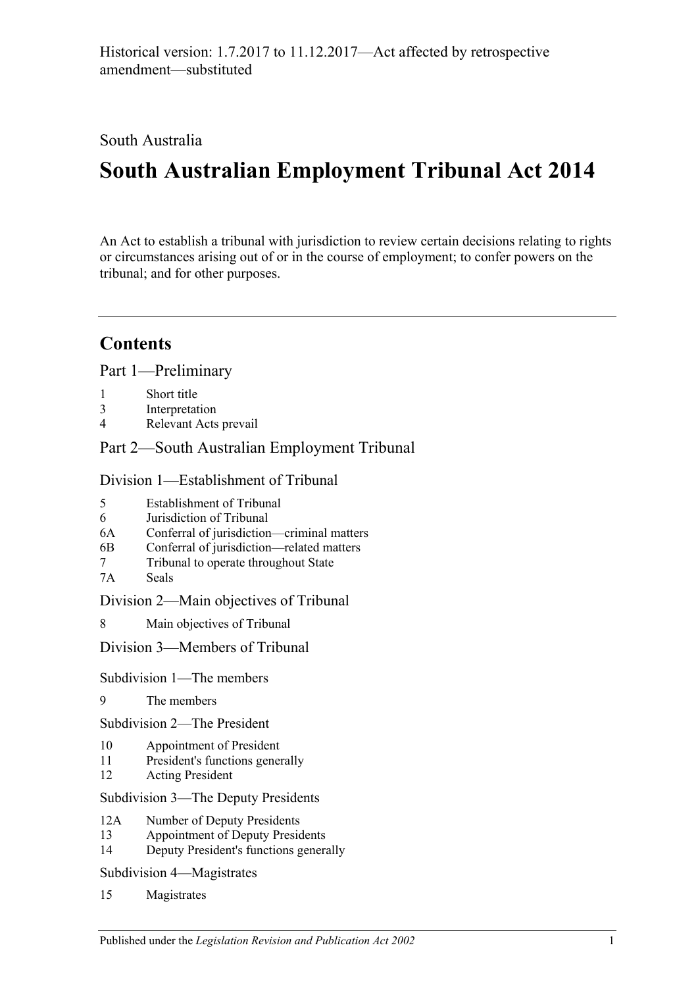South Australia

# **South Australian Employment Tribunal Act 2014**

An Act to establish a tribunal with jurisdiction to review certain decisions relating to rights or circumstances arising out of or in the course of employment; to confer powers on the tribunal; and for other purposes.

# **Contents**

Part [1—Preliminary](#page-4-0)

- 1 [Short title](#page-4-1)
- 3 [Interpretation](#page-4-2)
- 4 [Relevant Acts prevail](#page-5-0)

Part [2—South Australian Employment Tribunal](#page-6-0)

Division [1—Establishment of Tribunal](#page-6-1)

- 5 [Establishment of Tribunal](#page-6-2)
- 6 [Jurisdiction of Tribunal](#page-6-3)
- 6A [Conferral of jurisdiction—criminal matters](#page-6-4)
- 6B [Conferral of jurisdiction—related matters](#page-7-0)
- 7 [Tribunal to operate throughout State](#page-7-1)
- 7A [Seals](#page-7-2)

Division [2—Main objectives of Tribunal](#page-8-0)

8 [Main objectives of Tribunal](#page-8-1)

Division [3—Members of Tribunal](#page-8-2)

Subdivision [1—The members](#page-8-3)

9 [The members](#page-8-4)

Subdivision [2—The President](#page-9-0)

- 10 [Appointment of President](#page-9-1)
- 11 [President's functions generally](#page-9-2)
- 12 [Acting President](#page-10-0)

Subdivision [3—The Deputy Presidents](#page-11-0)

- 12A [Number of Deputy Presidents](#page-11-1)
- 13 [Appointment of Deputy Presidents](#page-11-2)
- 14 [Deputy President's functions generally](#page-12-0)

Subdivision [4—Magistrates](#page-13-0)

15 [Magistrates](#page-13-1)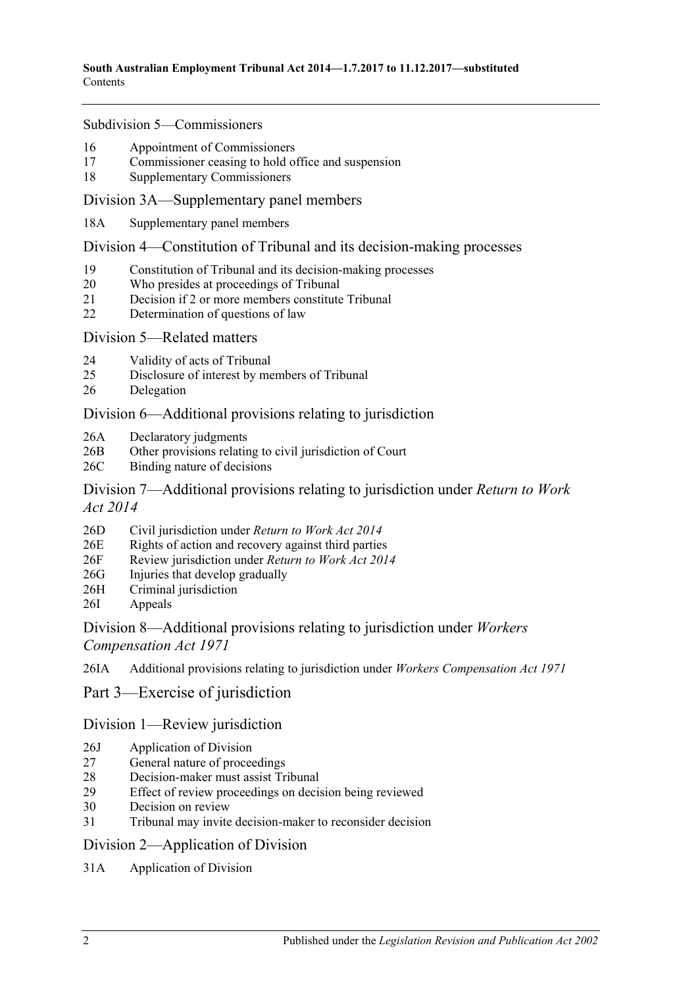#### Subdivision [5—Commissioners](#page-13-2)

- 16 [Appointment of Commissioners](#page-13-3)
- 17 [Commissioner ceasing to hold office and suspension](#page-14-0)
- 18 [Supplementary Commissioners](#page-15-0)

#### [Division 3A—Supplementary panel members](#page-16-0)

18A [Supplementary panel members](#page-16-1)

#### Division [4—Constitution of Tribunal and its decision-making processes](#page-16-2)

- 19 [Constitution of Tribunal and its decision-making processes](#page-16-3)
- 20 [Who presides at proceedings of Tribunal](#page-17-0)
- 21 [Decision if 2 or more members constitute Tribunal](#page-18-0)
- 22 [Determination of questions of law](#page-18-1)

#### Division [5—Related matters](#page-18-2)

- 24 [Validity of acts of Tribunal](#page-18-3)
- 25 [Disclosure of interest by members of Tribunal](#page-18-4)
- 26 [Delegation](#page-19-0)

# [Division 6—Additional provisions relating to jurisdiction](#page-19-1)

- 26A [Declaratory judgments](#page-19-2)
- 26B [Other provisions relating to civil jurisdiction of Court](#page-19-3)
- 26C [Binding nature of decisions](#page-19-4)

# [Division 7—Additional provisions relating to jurisdiction under](#page-20-0) *Return to Work Act [2014](#page-20-0)*

- 26D [Civil jurisdiction under](#page-20-1) *Return to Work Act 2014*
- 26E [Rights of action and recovery against third parties](#page-20-2)
- 26F [Review jurisdiction under](#page-20-3) *Return to Work Act 2014*
- 26G [Injuries that develop gradually](#page-20-4)
- 26H [Criminal jurisdiction](#page-21-0)
- 26I [Appeals](#page-21-1)

# [Division 8—Additional provisions relating to jurisdiction under](#page-21-2) *Workers [Compensation Act 1971](#page-21-2)*

26IA [Additional provisions relating to jurisdiction under](#page-21-3) *Workers Compensation Act 1971*

# Part [3—Exercise of jurisdiction](#page-22-0)

# [Division 1—Review jurisdiction](#page-22-1)

- 26J [Application of Division](#page-22-2)
- 27 [General nature of proceedings](#page-22-3)
- 28 [Decision-maker must assist Tribunal](#page-22-4)
- 29 [Effect of review proceedings on decision being reviewed](#page-23-0)
- 30 [Decision on review](#page-24-0)
- 31 [Tribunal may invite decision-maker to reconsider decision](#page-24-1)

#### [Division 2—Application of Division](#page-25-0)

31A [Application of Division](#page-25-1)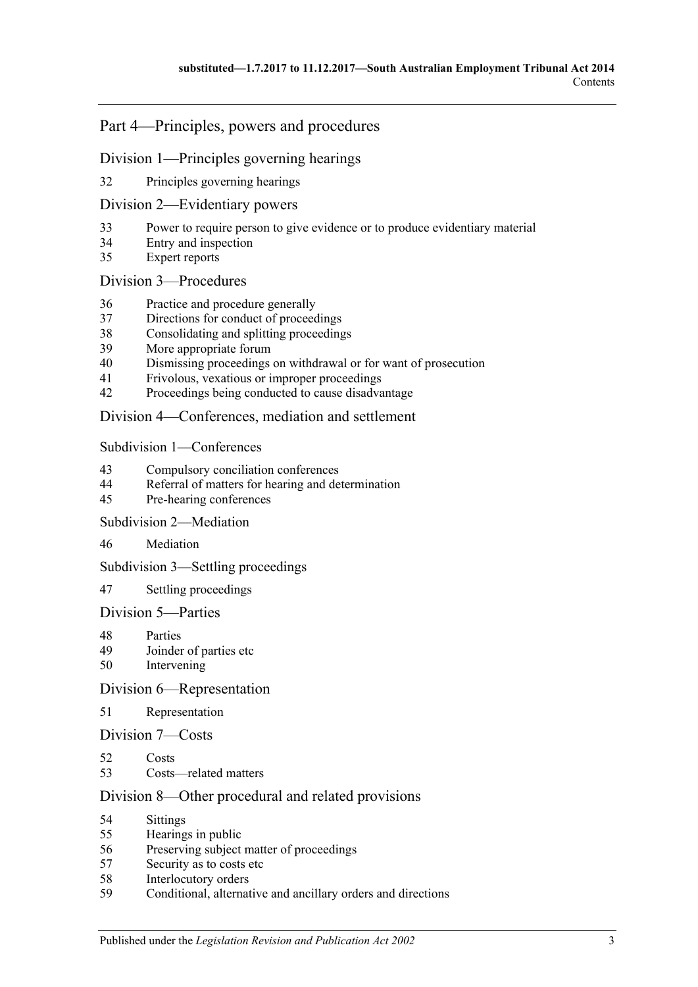# Part [4—Principles, powers and procedures](#page-25-2)

#### Division [1—Principles governing hearings](#page-25-3)

[Principles governing hearings](#page-25-4)

#### Division [2—Evidentiary powers](#page-26-0)

- [Power to require person to give evidence or to produce evidentiary material](#page-26-1)
- [Entry and inspection](#page-27-0)
- [Expert reports](#page-27-1)

#### Division [3—Procedures](#page-27-2)

- [Practice and procedure generally](#page-27-3)
- [Directions for conduct of proceedings](#page-28-0)
- [Consolidating and splitting proceedings](#page-28-1)
- [More appropriate forum](#page-29-0)
- [Dismissing proceedings on withdrawal or for want of prosecution](#page-29-1)
- [Frivolous, vexatious or improper proceedings](#page-29-2)
- [Proceedings being conducted to cause disadvantage](#page-29-3)

#### Division [4—Conferences, mediation and settlement](#page-30-0)

#### Subdivision [1—Conferences](#page-30-1)

- [Compulsory conciliation conferences](#page-30-2)
- [Referral of matters for hearing and determination](#page-32-0)
- [Pre-hearing conferences](#page-32-1)

#### Subdivision [2—Mediation](#page-32-2)

[Mediation](#page-32-3)

#### Subdivision [3—Settling proceedings](#page-33-0)

[Settling proceedings](#page-33-1)

# Division [5—Parties](#page-34-0)

- [Parties](#page-34-1)<br>49 Joinder
- [Joinder of parties etc](#page-34-2)
- [Intervening](#page-35-0)

#### Division [6—Representation](#page-35-1)

# [Representation](#page-35-2)

#### Division [7—Costs](#page-35-3)

- [Costs](#page-35-4)
- [Costs—related matters](#page-35-5)

# Division [8—Other procedural and related provisions](#page-36-0)

- [Sittings](#page-36-1)
- [Hearings in public](#page-36-2)
- [Preserving subject matter of proceedings](#page-37-0)
- [Security as to costs etc](#page-37-1)
- [Interlocutory orders](#page-38-0)<br>59 Conditional alternat
- [Conditional, alternative and ancillary orders and directions](#page-38-1)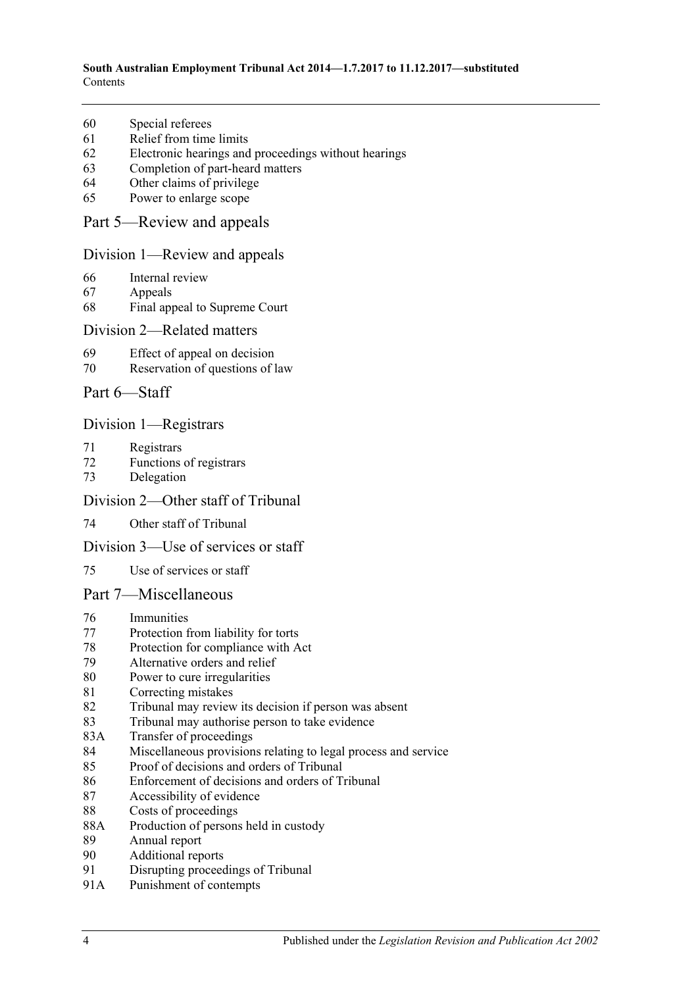- [Special referees](#page-38-2)
- [Relief from time limits](#page-38-3)
- [Electronic hearings and proceedings without hearings](#page-38-4)
- [Completion of part-heard matters](#page-39-0)
- [Other claims of privilege](#page-39-1)
- [Power to enlarge scope](#page-39-2)

#### Part [5—Review and appeals](#page-39-3)

#### Division [1—Review and appeals](#page-39-4)

- [Internal review](#page-39-5)
- [Appeals](#page-40-0)
- [Final appeal to Supreme Court](#page-40-1)

#### Division [2—Related matters](#page-41-0)

- [Effect of appeal on decision](#page-41-1)
- [Reservation of questions of law](#page-41-2)
- Part [6—Staff](#page-41-3)

# Division [1—Registrars](#page-41-4)

- [Registrars](#page-41-5)
- [Functions of registrars](#page-42-0)
- [Delegation](#page-42-1)

#### Division [2—Other staff of Tribunal](#page-43-0)

[Other staff of Tribunal](#page-43-1)

#### Division [3—Use of services or staff](#page-43-2)

[Use of services or staff](#page-43-3)

#### Part [7—Miscellaneous](#page-43-4)

- [Immunities](#page-43-5)
- [Protection from liability for torts](#page-44-0)
- [Protection for compliance with Act](#page-44-1)
- [Alternative orders and relief](#page-44-2)
- [Power to cure irregularities](#page-44-3)
- [Correcting mistakes](#page-44-4)
- [Tribunal may review its decision if person was absent](#page-45-0)
- [Tribunal may authorise person to take evidence](#page-45-1)
- 83A [Transfer of proceedings](#page-46-0)
- [Miscellaneous provisions relating to legal process and service](#page-47-0)
- [Proof of decisions and orders of Tribunal](#page-47-1)
- [Enforcement of decisions and orders of Tribunal](#page-47-2)
- [Accessibility of evidence](#page-48-0)
- [Costs of proceedings](#page-48-1)
- 88A [Production of persons held in custody](#page-49-0)
- [Annual report](#page-49-1)
- [Additional reports](#page-49-2)
- [Disrupting proceedings of Tribunal](#page-49-3)
- 91A [Punishment of contempts](#page-50-0)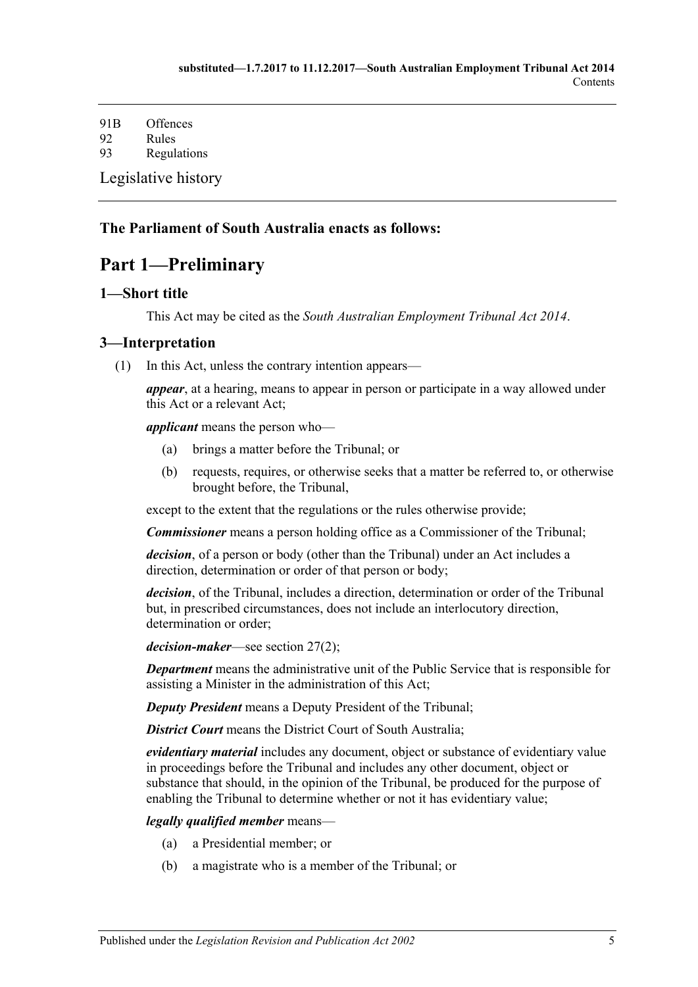91B [Offences](#page-50-1) 92 [Rules](#page-50-2) 93 [Regulations](#page-51-0) [Legislative history](#page-52-0)

# <span id="page-4-0"></span>**The Parliament of South Australia enacts as follows:**

# **Part 1—Preliminary**

# <span id="page-4-1"></span>**1—Short title**

This Act may be cited as the *South Australian Employment Tribunal Act 2014*.

# <span id="page-4-2"></span>**3—Interpretation**

(1) In this Act, unless the contrary intention appears—

*appear*, at a hearing, means to appear in person or participate in a way allowed under this Act or a relevant Act;

*applicant* means the person who—

- (a) brings a matter before the Tribunal; or
- (b) requests, requires, or otherwise seeks that a matter be referred to, or otherwise brought before, the Tribunal,

except to the extent that the regulations or the rules otherwise provide;

*Commissioner* means a person holding office as a Commissioner of the Tribunal;

*decision*, of a person or body (other than the Tribunal) under an Act includes a direction, determination or order of that person or body;

*decision*, of the Tribunal, includes a direction, determination or order of the Tribunal but, in prescribed circumstances, does not include an interlocutory direction, determination or order;

*decision-maker*—see [section](#page-22-5) 27(2);

*Department* means the administrative unit of the Public Service that is responsible for assisting a Minister in the administration of this Act;

*Deputy President* means a Deputy President of the Tribunal;

**District Court** means the District Court of South Australia;

*evidentiary material* includes any document, object or substance of evidentiary value in proceedings before the Tribunal and includes any other document, object or substance that should, in the opinion of the Tribunal, be produced for the purpose of enabling the Tribunal to determine whether or not it has evidentiary value;

#### *legally qualified member* means—

- (a) a Presidential member; or
- (b) a magistrate who is a member of the Tribunal; or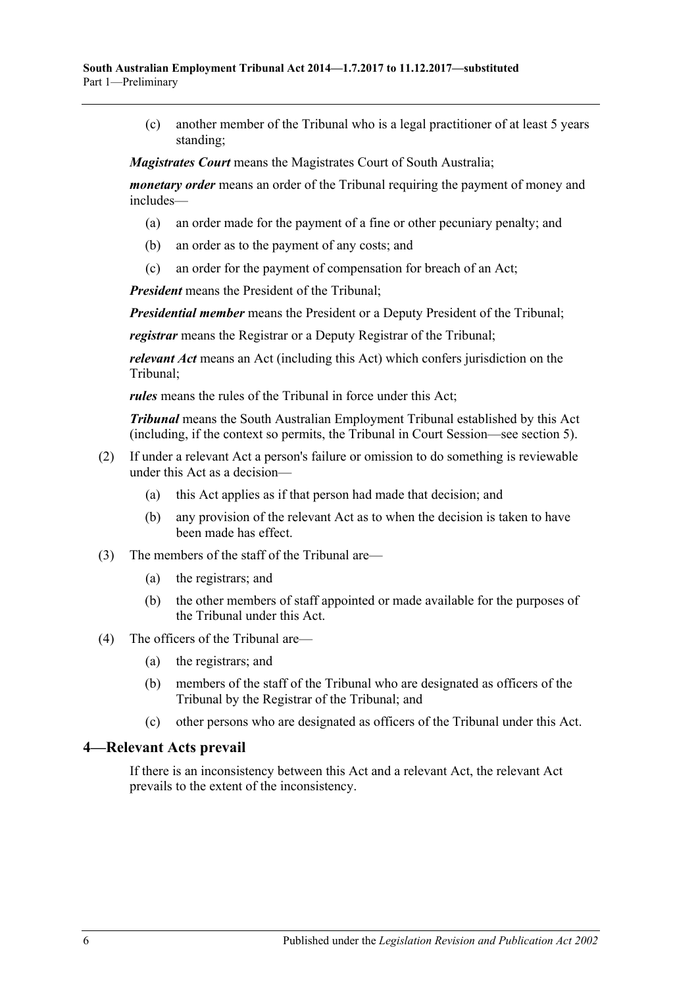(c) another member of the Tribunal who is a legal practitioner of at least 5 years standing;

*Magistrates Court* means the Magistrates Court of South Australia;

*monetary order* means an order of the Tribunal requiring the payment of money and includes—

- (a) an order made for the payment of a fine or other pecuniary penalty; and
- (b) an order as to the payment of any costs; and
- (c) an order for the payment of compensation for breach of an Act;

*President* means the President of the Tribunal;

*Presidential member* means the President or a Deputy President of the Tribunal;

*registrar* means the Registrar or a Deputy Registrar of the Tribunal;

*relevant Act* means an Act (including this Act) which confers jurisdiction on the Tribunal;

*rules* means the rules of the Tribunal in force under this Act;

*Tribunal* means the South Australian Employment Tribunal established by this Act (including, if the context so permits, the Tribunal in Court Session—see [section](#page-6-2) 5).

- (2) If under a relevant Act a person's failure or omission to do something is reviewable under this Act as a decision—
	- (a) this Act applies as if that person had made that decision; and
	- (b) any provision of the relevant Act as to when the decision is taken to have been made has effect.
- (3) The members of the staff of the Tribunal are—
	- (a) the registrars; and
	- (b) the other members of staff appointed or made available for the purposes of the Tribunal under this Act.
- (4) The officers of the Tribunal are—
	- (a) the registrars; and
	- (b) members of the staff of the Tribunal who are designated as officers of the Tribunal by the Registrar of the Tribunal; and
	- (c) other persons who are designated as officers of the Tribunal under this Act.

#### <span id="page-5-0"></span>**4—Relevant Acts prevail**

If there is an inconsistency between this Act and a relevant Act, the relevant Act prevails to the extent of the inconsistency.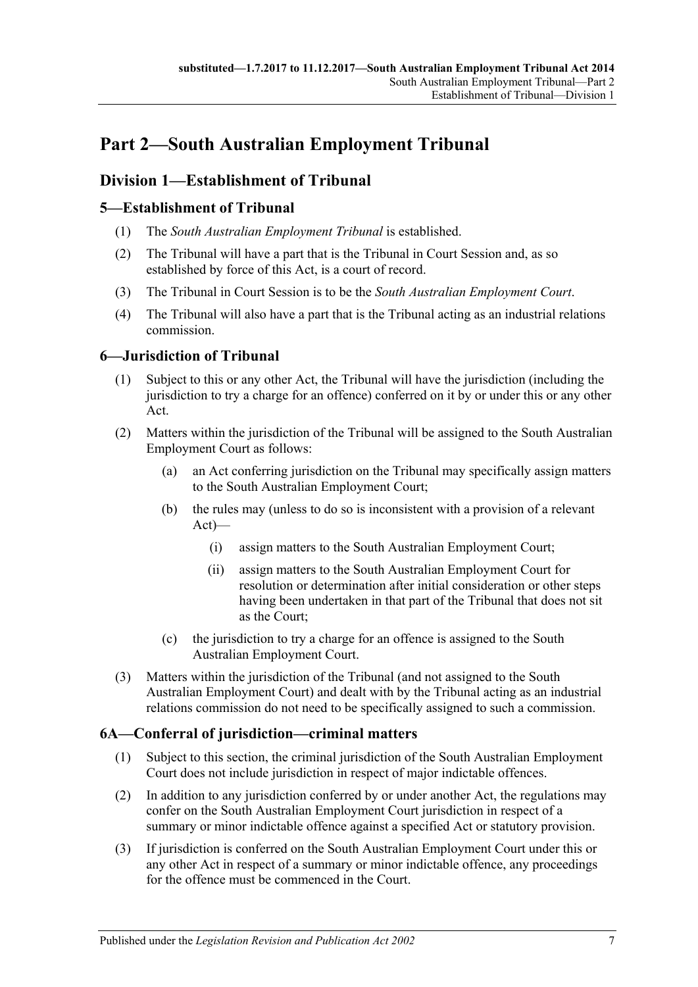# <span id="page-6-0"></span>**Part 2—South Australian Employment Tribunal**

# <span id="page-6-1"></span>**Division 1—Establishment of Tribunal**

# <span id="page-6-2"></span>**5—Establishment of Tribunal**

- (1) The *South Australian Employment Tribunal* is established.
- (2) The Tribunal will have a part that is the Tribunal in Court Session and, as so established by force of this Act, is a court of record.
- (3) The Tribunal in Court Session is to be the *South Australian Employment Court*.
- (4) The Tribunal will also have a part that is the Tribunal acting as an industrial relations commission.

# <span id="page-6-3"></span>**6—Jurisdiction of Tribunal**

- (1) Subject to this or any other Act, the Tribunal will have the jurisdiction (including the jurisdiction to try a charge for an offence) conferred on it by or under this or any other Act.
- (2) Matters within the jurisdiction of the Tribunal will be assigned to the South Australian Employment Court as follows:
	- (a) an Act conferring jurisdiction on the Tribunal may specifically assign matters to the South Australian Employment Court;
	- (b) the rules may (unless to do so is inconsistent with a provision of a relevant Act)—
		- (i) assign matters to the South Australian Employment Court;
		- (ii) assign matters to the South Australian Employment Court for resolution or determination after initial consideration or other steps having been undertaken in that part of the Tribunal that does not sit as the Court;
	- (c) the jurisdiction to try a charge for an offence is assigned to the South Australian Employment Court.
- (3) Matters within the jurisdiction of the Tribunal (and not assigned to the South Australian Employment Court) and dealt with by the Tribunal acting as an industrial relations commission do not need to be specifically assigned to such a commission.

# <span id="page-6-4"></span>**6A—Conferral of jurisdiction—criminal matters**

- (1) Subject to this section, the criminal jurisdiction of the South Australian Employment Court does not include jurisdiction in respect of major indictable offences.
- (2) In addition to any jurisdiction conferred by or under another Act, the regulations may confer on the South Australian Employment Court jurisdiction in respect of a summary or minor indictable offence against a specified Act or statutory provision.
- (3) If jurisdiction is conferred on the South Australian Employment Court under this or any other Act in respect of a summary or minor indictable offence, any proceedings for the offence must be commenced in the Court.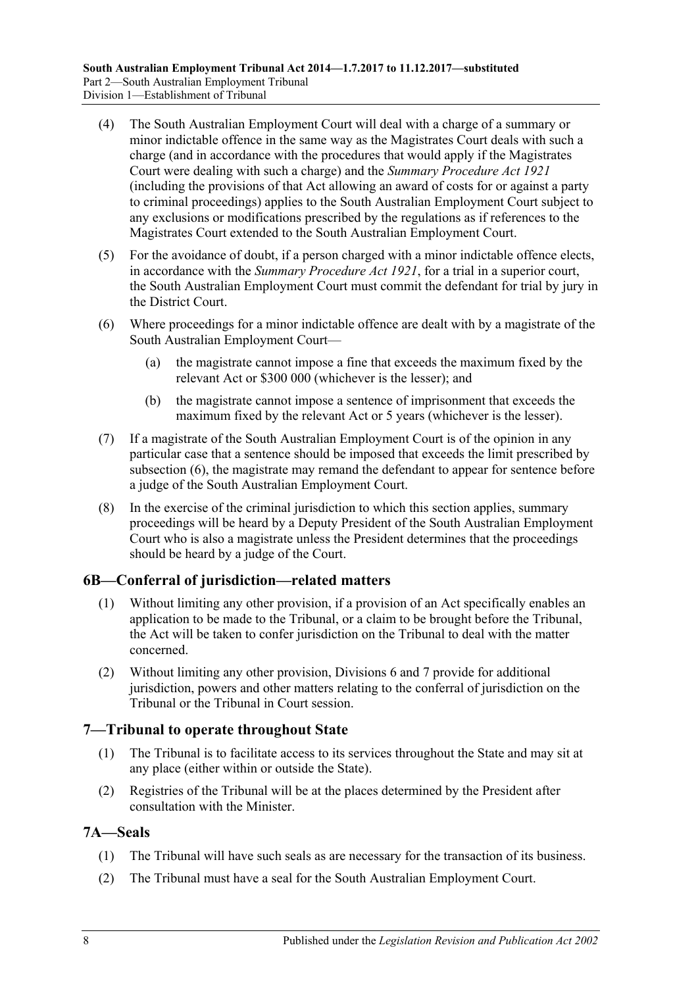- (4) The South Australian Employment Court will deal with a charge of a summary or minor indictable offence in the same way as the Magistrates Court deals with such a charge (and in accordance with the procedures that would apply if the Magistrates Court were dealing with such a charge) and the *[Summary Procedure Act](http://www.legislation.sa.gov.au/index.aspx?action=legref&type=act&legtitle=Summary%20Procedure%20Act%201921) 1921* (including the provisions of that Act allowing an award of costs for or against a party to criminal proceedings) applies to the South Australian Employment Court subject to any exclusions or modifications prescribed by the regulations as if references to the Magistrates Court extended to the South Australian Employment Court.
- (5) For the avoidance of doubt, if a person charged with a minor indictable offence elects, in accordance with the *[Summary Procedure Act](http://www.legislation.sa.gov.au/index.aspx?action=legref&type=act&legtitle=Summary%20Procedure%20Act%201921) 1921*, for a trial in a superior court, the South Australian Employment Court must commit the defendant for trial by jury in the District Court.
- <span id="page-7-3"></span>(6) Where proceedings for a minor indictable offence are dealt with by a magistrate of the South Australian Employment Court—
	- (a) the magistrate cannot impose a fine that exceeds the maximum fixed by the relevant Act or \$300 000 (whichever is the lesser); and
	- (b) the magistrate cannot impose a sentence of imprisonment that exceeds the maximum fixed by the relevant Act or 5 years (whichever is the lesser).
- (7) If a magistrate of the South Australian Employment Court is of the opinion in any particular case that a sentence should be imposed that exceeds the limit prescribed by [subsection](#page-7-3) (6), the magistrate may remand the defendant to appear for sentence before a judge of the South Australian Employment Court.
- (8) In the exercise of the criminal jurisdiction to which this section applies, summary proceedings will be heard by a Deputy President of the South Australian Employment Court who is also a magistrate unless the President determines that the proceedings should be heard by a judge of the Court.

# <span id="page-7-0"></span>**6B—Conferral of jurisdiction—related matters**

- (1) Without limiting any other provision, if a provision of an Act specifically enables an application to be made to the Tribunal, or a claim to be brought before the Tribunal, the Act will be taken to confer jurisdiction on the Tribunal to deal with the matter concerned.
- (2) Without limiting any other provision, [Divisions 6](#page-19-1) and [7](#page-20-0) provide for additional jurisdiction, powers and other matters relating to the conferral of jurisdiction on the Tribunal or the Tribunal in Court session.

# <span id="page-7-1"></span>**7—Tribunal to operate throughout State**

- (1) The Tribunal is to facilitate access to its services throughout the State and may sit at any place (either within or outside the State).
- (2) Registries of the Tribunal will be at the places determined by the President after consultation with the Minister.

# <span id="page-7-2"></span>**7A—Seals**

- (1) The Tribunal will have such seals as are necessary for the transaction of its business.
- (2) The Tribunal must have a seal for the South Australian Employment Court.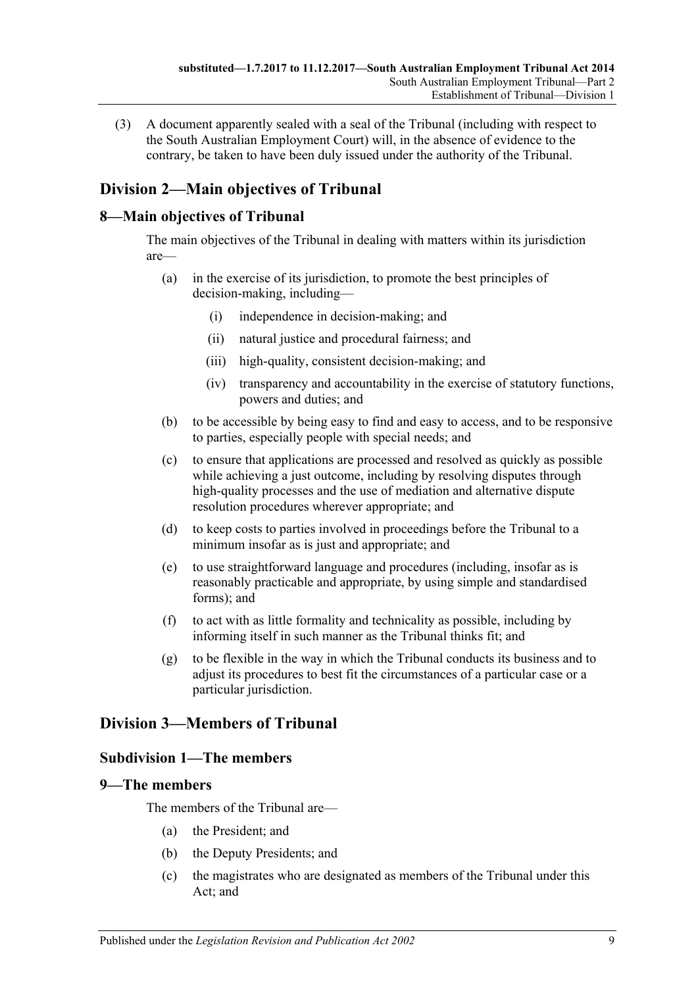(3) A document apparently sealed with a seal of the Tribunal (including with respect to the South Australian Employment Court) will, in the absence of evidence to the contrary, be taken to have been duly issued under the authority of the Tribunal.

# <span id="page-8-0"></span>**Division 2—Main objectives of Tribunal**

# <span id="page-8-1"></span>**8—Main objectives of Tribunal**

The main objectives of the Tribunal in dealing with matters within its jurisdiction are—

- (a) in the exercise of its jurisdiction, to promote the best principles of decision-making, including—
	- (i) independence in decision-making; and
	- (ii) natural justice and procedural fairness; and
	- (iii) high-quality, consistent decision-making; and
	- (iv) transparency and accountability in the exercise of statutory functions, powers and duties; and
- (b) to be accessible by being easy to find and easy to access, and to be responsive to parties, especially people with special needs; and
- (c) to ensure that applications are processed and resolved as quickly as possible while achieving a just outcome, including by resolving disputes through high-quality processes and the use of mediation and alternative dispute resolution procedures wherever appropriate; and
- (d) to keep costs to parties involved in proceedings before the Tribunal to a minimum insofar as is just and appropriate; and
- (e) to use straightforward language and procedures (including, insofar as is reasonably practicable and appropriate, by using simple and standardised forms); and
- (f) to act with as little formality and technicality as possible, including by informing itself in such manner as the Tribunal thinks fit; and
- (g) to be flexible in the way in which the Tribunal conducts its business and to adjust its procedures to best fit the circumstances of a particular case or a particular jurisdiction.

# <span id="page-8-2"></span>**Division 3—Members of Tribunal**

# <span id="page-8-3"></span>**Subdivision 1—The members**

# <span id="page-8-4"></span>**9—The members**

The members of the Tribunal are—

- (a) the President; and
- (b) the Deputy Presidents; and
- (c) the magistrates who are designated as members of the Tribunal under this Act; and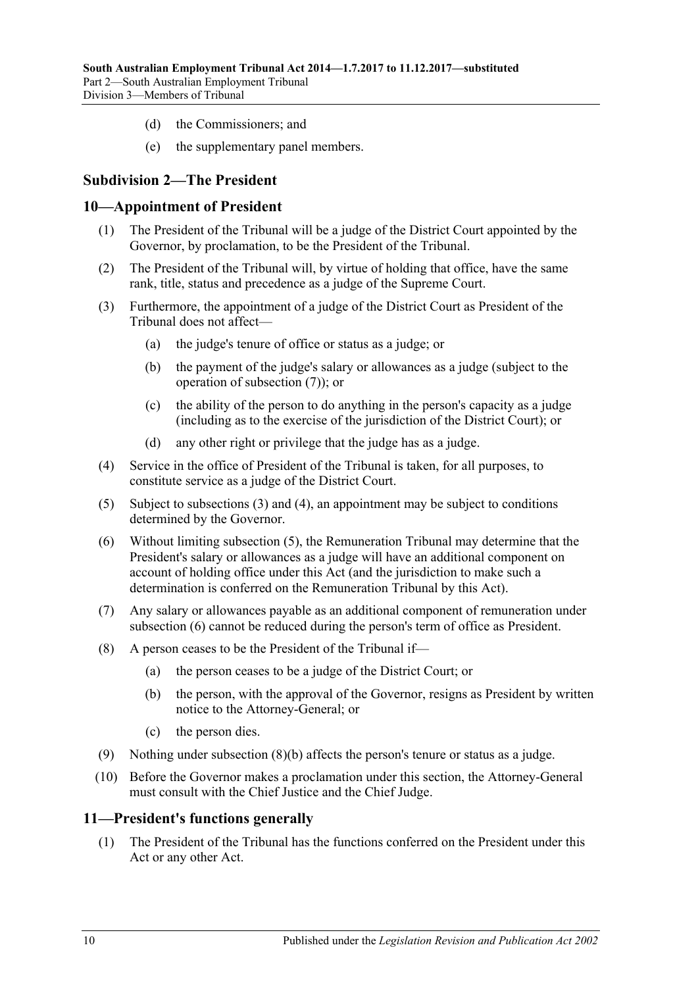- (d) the Commissioners; and
- (e) the supplementary panel members.

# <span id="page-9-0"></span>**Subdivision 2—The President**

#### <span id="page-9-1"></span>**10—Appointment of President**

- (1) The President of the Tribunal will be a judge of the District Court appointed by the Governor, by proclamation, to be the President of the Tribunal.
- (2) The President of the Tribunal will, by virtue of holding that office, have the same rank, title, status and precedence as a judge of the Supreme Court.
- <span id="page-9-4"></span>(3) Furthermore, the appointment of a judge of the District Court as President of the Tribunal does not affect—
	- (a) the judge's tenure of office or status as a judge; or
	- (b) the payment of the judge's salary or allowances as a judge (subject to the operation of [subsection](#page-9-3) (7)); or
	- (c) the ability of the person to do anything in the person's capacity as a judge (including as to the exercise of the jurisdiction of the District Court); or
	- (d) any other right or privilege that the judge has as a judge.
- <span id="page-9-5"></span>(4) Service in the office of President of the Tribunal is taken, for all purposes, to constitute service as a judge of the District Court.
- <span id="page-9-6"></span>(5) Subject to [subsections](#page-9-4) (3) and [\(4\),](#page-9-5) an appointment may be subject to conditions determined by the Governor.
- <span id="page-9-7"></span>(6) Without limiting [subsection](#page-9-6) (5), the Remuneration Tribunal may determine that the President's salary or allowances as a judge will have an additional component on account of holding office under this Act (and the jurisdiction to make such a determination is conferred on the Remuneration Tribunal by this Act).
- <span id="page-9-3"></span>(7) Any salary or allowances payable as an additional component of remuneration under [subsection](#page-9-7) (6) cannot be reduced during the person's term of office as President.
- <span id="page-9-8"></span>(8) A person ceases to be the President of the Tribunal if—
	- (a) the person ceases to be a judge of the District Court; or
	- (b) the person, with the approval of the Governor, resigns as President by written notice to the Attorney-General; or
	- (c) the person dies.
- (9) Nothing under [subsection](#page-9-8) (8)(b) affects the person's tenure or status as a judge.
- (10) Before the Governor makes a proclamation under this section, the Attorney-General must consult with the Chief Justice and the Chief Judge.

#### <span id="page-9-2"></span>**11—President's functions generally**

(1) The President of the Tribunal has the functions conferred on the President under this Act or any other Act.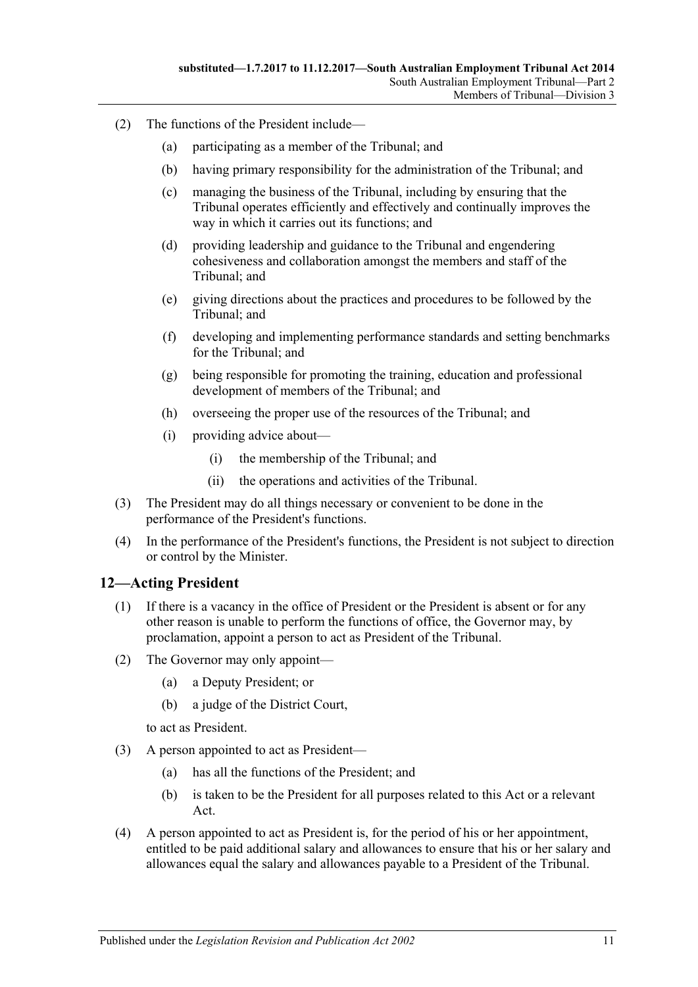- (2) The functions of the President include—
	- (a) participating as a member of the Tribunal; and
	- (b) having primary responsibility for the administration of the Tribunal; and
	- (c) managing the business of the Tribunal, including by ensuring that the Tribunal operates efficiently and effectively and continually improves the way in which it carries out its functions; and
	- (d) providing leadership and guidance to the Tribunal and engendering cohesiveness and collaboration amongst the members and staff of the Tribunal; and
	- (e) giving directions about the practices and procedures to be followed by the Tribunal; and
	- (f) developing and implementing performance standards and setting benchmarks for the Tribunal; and
	- (g) being responsible for promoting the training, education and professional development of members of the Tribunal; and
	- (h) overseeing the proper use of the resources of the Tribunal; and
	- (i) providing advice about—
		- (i) the membership of the Tribunal; and
		- (ii) the operations and activities of the Tribunal.
- (3) The President may do all things necessary or convenient to be done in the performance of the President's functions.
- (4) In the performance of the President's functions, the President is not subject to direction or control by the Minister.

#### <span id="page-10-1"></span><span id="page-10-0"></span>**12—Acting President**

- (1) If there is a vacancy in the office of President or the President is absent or for any other reason is unable to perform the functions of office, the Governor may, by proclamation, appoint a person to act as President of the Tribunal.
- (2) The Governor may only appoint—
	- (a) a Deputy President; or
	- (b) a judge of the District Court,

to act as President.

- (3) A person appointed to act as President—
	- (a) has all the functions of the President; and
	- (b) is taken to be the President for all purposes related to this Act or a relevant Act.
- (4) A person appointed to act as President is, for the period of his or her appointment, entitled to be paid additional salary and allowances to ensure that his or her salary and allowances equal the salary and allowances payable to a President of the Tribunal.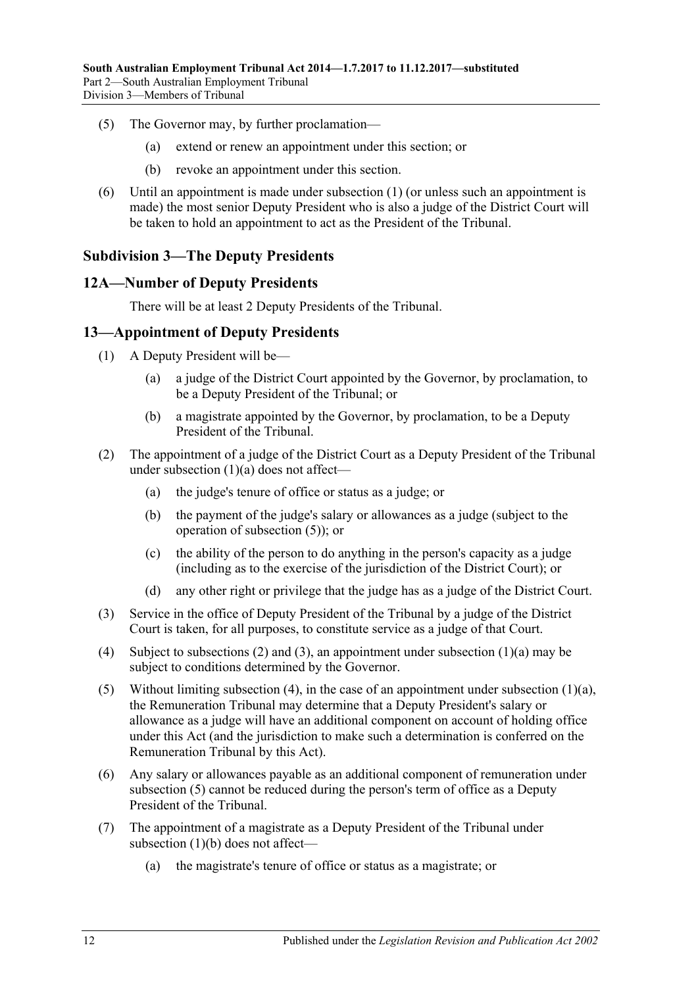- (5) The Governor may, by further proclamation—
	- (a) extend or renew an appointment under this section; or
	- (b) revoke an appointment under this section.
- (6) Until an appointment is made under [subsection](#page-10-1) (1) (or unless such an appointment is made) the most senior Deputy President who is also a judge of the District Court will be taken to hold an appointment to act as the President of the Tribunal.

# <span id="page-11-0"></span>**Subdivision 3—The Deputy Presidents**

#### <span id="page-11-1"></span>**12A—Number of Deputy Presidents**

There will be at least 2 Deputy Presidents of the Tribunal.

#### <span id="page-11-2"></span>**13—Appointment of Deputy Presidents**

- <span id="page-11-3"></span>(1) A Deputy President will be—
	- (a) a judge of the District Court appointed by the Governor, by proclamation, to be a Deputy President of the Tribunal; or
	- (b) a magistrate appointed by the Governor, by proclamation, to be a Deputy President of the Tribunal.
- <span id="page-11-8"></span><span id="page-11-5"></span>(2) The appointment of a judge of the District Court as a Deputy President of the Tribunal under [subsection](#page-11-3) (1)(a) does not affect—
	- (a) the judge's tenure of office or status as a judge; or
	- (b) the payment of the judge's salary or allowances as a judge (subject to the operation of [subsection](#page-11-4) (5)); or
	- (c) the ability of the person to do anything in the person's capacity as a judge (including as to the exercise of the jurisdiction of the District Court); or
	- (d) any other right or privilege that the judge has as a judge of the District Court.
- <span id="page-11-6"></span>(3) Service in the office of Deputy President of the Tribunal by a judge of the District Court is taken, for all purposes, to constitute service as a judge of that Court.
- <span id="page-11-7"></span>(4) Subject to [subsections \(2\)](#page-11-5) and [\(3\),](#page-11-6) an appointment under [subsection](#page-11-3) (1)(a) may be subject to conditions determined by the Governor.
- <span id="page-11-4"></span>(5) Without limiting [subsection](#page-11-3) (4), in the case of an appointment under subsection  $(1)(a)$ , the Remuneration Tribunal may determine that a Deputy President's salary or allowance as a judge will have an additional component on account of holding office under this Act (and the jurisdiction to make such a determination is conferred on the Remuneration Tribunal by this Act).
- (6) Any salary or allowances payable as an additional component of remuneration under [subsection](#page-11-4) (5) cannot be reduced during the person's term of office as a Deputy President of the Tribunal.
- <span id="page-11-9"></span>(7) The appointment of a magistrate as a Deputy President of the Tribunal under [subsection](#page-11-8) (1)(b) does not affect—
	- (a) the magistrate's tenure of office or status as a magistrate; or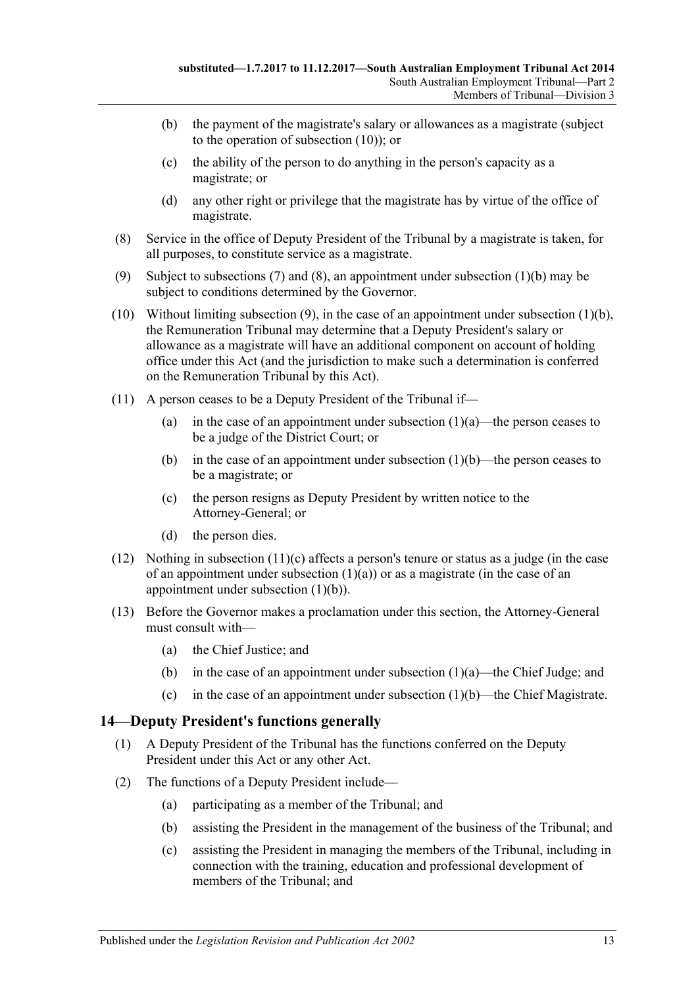- (b) the payment of the magistrate's salary or allowances as a magistrate (subject to the operation of [subsection](#page-12-1) (10)); or
- (c) the ability of the person to do anything in the person's capacity as a magistrate; or
- (d) any other right or privilege that the magistrate has by virtue of the office of magistrate.
- <span id="page-12-2"></span>(8) Service in the office of Deputy President of the Tribunal by a magistrate is taken, for all purposes, to constitute service as a magistrate.
- <span id="page-12-3"></span>(9) Subject to [subsections](#page-11-9) (7) and [\(8\),](#page-12-2) an appointment under [subsection](#page-11-8) (1)(b) may be subject to conditions determined by the Governor.
- <span id="page-12-1"></span>(10) Without limiting [subsection](#page-11-8)  $(9)$ , in the case of an appointment under subsection  $(1)(b)$ , the Remuneration Tribunal may determine that a Deputy President's salary or allowance as a magistrate will have an additional component on account of holding office under this Act (and the jurisdiction to make such a determination is conferred on the Remuneration Tribunal by this Act).
- (11) A person ceases to be a Deputy President of the Tribunal if
	- (a) in the case of an appointment under [subsection](#page-11-3)  $(1)(a)$ —the person ceases to be a judge of the District Court; or
	- (b) in the case of an appointment under [subsection](#page-11-8)  $(1)(b)$ —the person ceases to be a magistrate; or
	- (c) the person resigns as Deputy President by written notice to the Attorney-General; or
	- (d) the person dies.
- <span id="page-12-4"></span>(12) Nothing in [subsection](#page-12-4)  $(11)(c)$  affects a person's tenure or status as a judge (in the case of an appointment under [subsection](#page-11-3)  $(1)(a)$  or as a magistrate (in the case of an appointment under [subsection](#page-11-8) (1)(b)).
- (13) Before the Governor makes a proclamation under this section, the Attorney-General must consult with—
	- (a) the Chief Justice; and
	- (b) in the case of an appointment under [subsection](#page-11-3)  $(1)(a)$ —the Chief Judge; and
	- (c) in the case of an appointment under [subsection](#page-11-8)  $(1)(b)$ —the Chief Magistrate.

# <span id="page-12-0"></span>**14—Deputy President's functions generally**

- (1) A Deputy President of the Tribunal has the functions conferred on the Deputy President under this Act or any other Act.
- (2) The functions of a Deputy President include—
	- (a) participating as a member of the Tribunal; and
	- (b) assisting the President in the management of the business of the Tribunal; and
	- (c) assisting the President in managing the members of the Tribunal, including in connection with the training, education and professional development of members of the Tribunal; and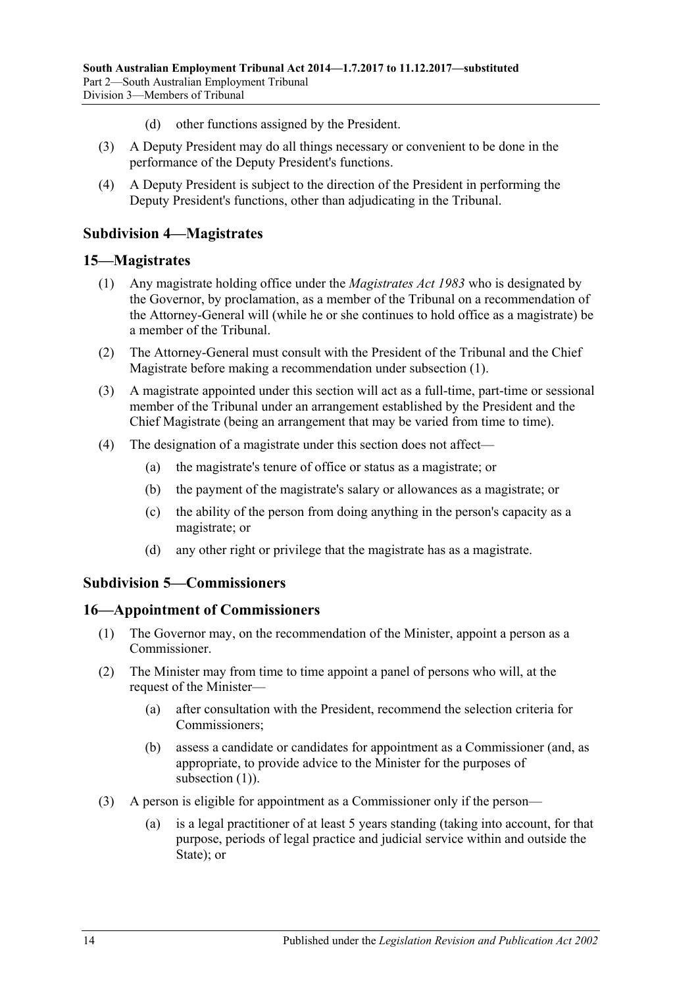- (d) other functions assigned by the President.
- (3) A Deputy President may do all things necessary or convenient to be done in the performance of the Deputy President's functions.
- (4) A Deputy President is subject to the direction of the President in performing the Deputy President's functions, other than adjudicating in the Tribunal.

### <span id="page-13-0"></span>**Subdivision 4—Magistrates**

#### <span id="page-13-4"></span><span id="page-13-1"></span>**15—Magistrates**

- (1) Any magistrate holding office under the *[Magistrates Act](http://www.legislation.sa.gov.au/index.aspx?action=legref&type=act&legtitle=Magistrates%20Act%201983) 1983* who is designated by the Governor, by proclamation, as a member of the Tribunal on a recommendation of the Attorney-General will (while he or she continues to hold office as a magistrate) be a member of the Tribunal.
- (2) The Attorney-General must consult with the President of the Tribunal and the Chief Magistrate before making a recommendation under [subsection](#page-13-4) (1).
- (3) A magistrate appointed under this section will act as a full-time, part-time or sessional member of the Tribunal under an arrangement established by the President and the Chief Magistrate (being an arrangement that may be varied from time to time).
- (4) The designation of a magistrate under this section does not affect—
	- (a) the magistrate's tenure of office or status as a magistrate; or
	- (b) the payment of the magistrate's salary or allowances as a magistrate; or
	- (c) the ability of the person from doing anything in the person's capacity as a magistrate; or
	- (d) any other right or privilege that the magistrate has as a magistrate.

#### <span id="page-13-2"></span>**Subdivision 5—Commissioners**

#### <span id="page-13-5"></span><span id="page-13-3"></span>**16—Appointment of Commissioners**

- (1) The Governor may, on the recommendation of the Minister, appoint a person as a Commissioner.
- <span id="page-13-8"></span><span id="page-13-6"></span>(2) The Minister may from time to time appoint a panel of persons who will, at the request of the Minister—
	- (a) after consultation with the President, recommend the selection criteria for Commissioners;
	- (b) assess a candidate or candidates for appointment as a Commissioner (and, as appropriate, to provide advice to the Minister for the purposes of [subsection](#page-13-5) (1)).
- <span id="page-13-7"></span>(3) A person is eligible for appointment as a Commissioner only if the person—
	- (a) is a legal practitioner of at least 5 years standing (taking into account, for that purpose, periods of legal practice and judicial service within and outside the State): or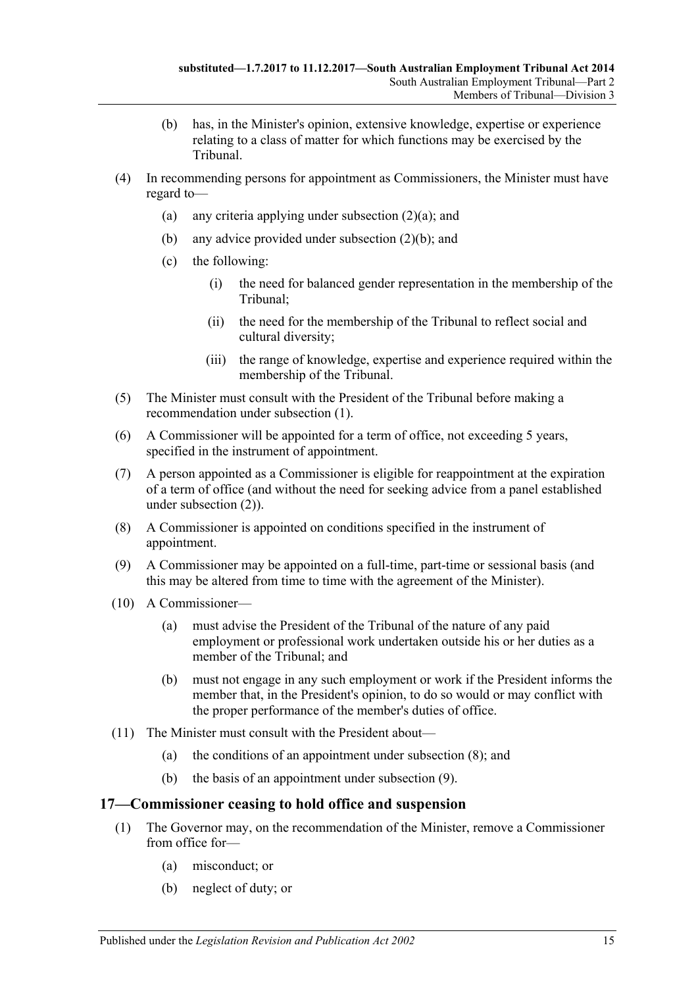- (b) has, in the Minister's opinion, extensive knowledge, expertise or experience relating to a class of matter for which functions may be exercised by the Tribunal.
- (4) In recommending persons for appointment as Commissioners, the Minister must have regard to
	- (a) any criteria applying under [subsection](#page-13-6)  $(2)(a)$ ; and
	- (b) any advice provided under [subsection](#page-13-7) (2)(b); and
	- (c) the following:
		- (i) the need for balanced gender representation in the membership of the Tribunal;
		- (ii) the need for the membership of the Tribunal to reflect social and cultural diversity;
		- (iii) the range of knowledge, expertise and experience required within the membership of the Tribunal.
- (5) The Minister must consult with the President of the Tribunal before making a recommendation under [subsection](#page-13-5) (1).
- (6) A Commissioner will be appointed for a term of office, not exceeding 5 years, specified in the instrument of appointment.
- (7) A person appointed as a Commissioner is eligible for reappointment at the expiration of a term of office (and without the need for seeking advice from a panel established under [subsection](#page-13-8) (2)).
- <span id="page-14-1"></span>(8) A Commissioner is appointed on conditions specified in the instrument of appointment.
- <span id="page-14-2"></span>(9) A Commissioner may be appointed on a full-time, part-time or sessional basis (and this may be altered from time to time with the agreement of the Minister).
- (10) A Commissioner—
	- (a) must advise the President of the Tribunal of the nature of any paid employment or professional work undertaken outside his or her duties as a member of the Tribunal; and
	- (b) must not engage in any such employment or work if the President informs the member that, in the President's opinion, to do so would or may conflict with the proper performance of the member's duties of office.
- (11) The Minister must consult with the President about—
	- (a) the conditions of an appointment under [subsection](#page-14-1) (8); and
	- (b) the basis of an appointment under [subsection](#page-14-2) (9).

#### <span id="page-14-3"></span><span id="page-14-0"></span>**17—Commissioner ceasing to hold office and suspension**

- (1) The Governor may, on the recommendation of the Minister, remove a Commissioner from office for—
	- (a) misconduct; or
	- (b) neglect of duty; or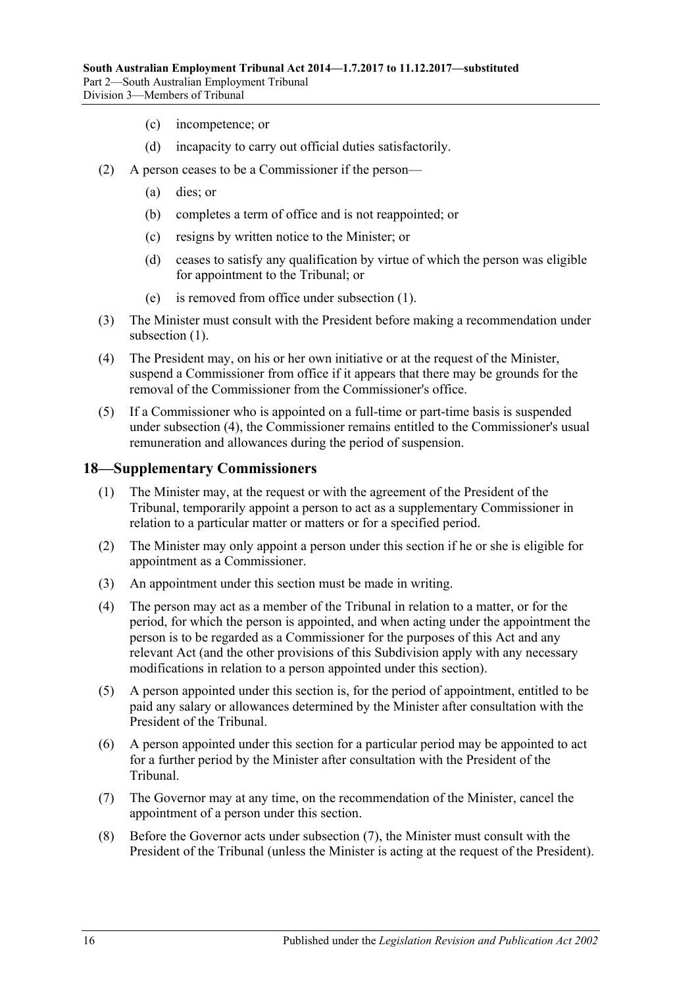- (c) incompetence; or
- (d) incapacity to carry out official duties satisfactorily.
- (2) A person ceases to be a Commissioner if the person—
	- (a) dies; or
	- (b) completes a term of office and is not reappointed; or
	- (c) resigns by written notice to the Minister; or
	- (d) ceases to satisfy any qualification by virtue of which the person was eligible for appointment to the Tribunal; or
	- (e) is removed from office under [subsection](#page-14-3) (1).
- (3) The Minister must consult with the President before making a recommendation under [subsection](#page-14-3)  $(1)$ .
- <span id="page-15-1"></span>(4) The President may, on his or her own initiative or at the request of the Minister, suspend a Commissioner from office if it appears that there may be grounds for the removal of the Commissioner from the Commissioner's office.
- (5) If a Commissioner who is appointed on a full-time or part-time basis is suspended under [subsection](#page-15-1) (4), the Commissioner remains entitled to the Commissioner's usual remuneration and allowances during the period of suspension.

#### <span id="page-15-0"></span>**18—Supplementary Commissioners**

- (1) The Minister may, at the request or with the agreement of the President of the Tribunal, temporarily appoint a person to act as a supplementary Commissioner in relation to a particular matter or matters or for a specified period.
- (2) The Minister may only appoint a person under this section if he or she is eligible for appointment as a Commissioner.
- (3) An appointment under this section must be made in writing.
- (4) The person may act as a member of the Tribunal in relation to a matter, or for the period, for which the person is appointed, and when acting under the appointment the person is to be regarded as a Commissioner for the purposes of this Act and any relevant Act (and the other provisions of this Subdivision apply with any necessary modifications in relation to a person appointed under this section).
- (5) A person appointed under this section is, for the period of appointment, entitled to be paid any salary or allowances determined by the Minister after consultation with the President of the Tribunal.
- (6) A person appointed under this section for a particular period may be appointed to act for a further period by the Minister after consultation with the President of the Tribunal.
- <span id="page-15-2"></span>(7) The Governor may at any time, on the recommendation of the Minister, cancel the appointment of a person under this section.
- (8) Before the Governor acts under [subsection](#page-15-2) (7), the Minister must consult with the President of the Tribunal (unless the Minister is acting at the request of the President).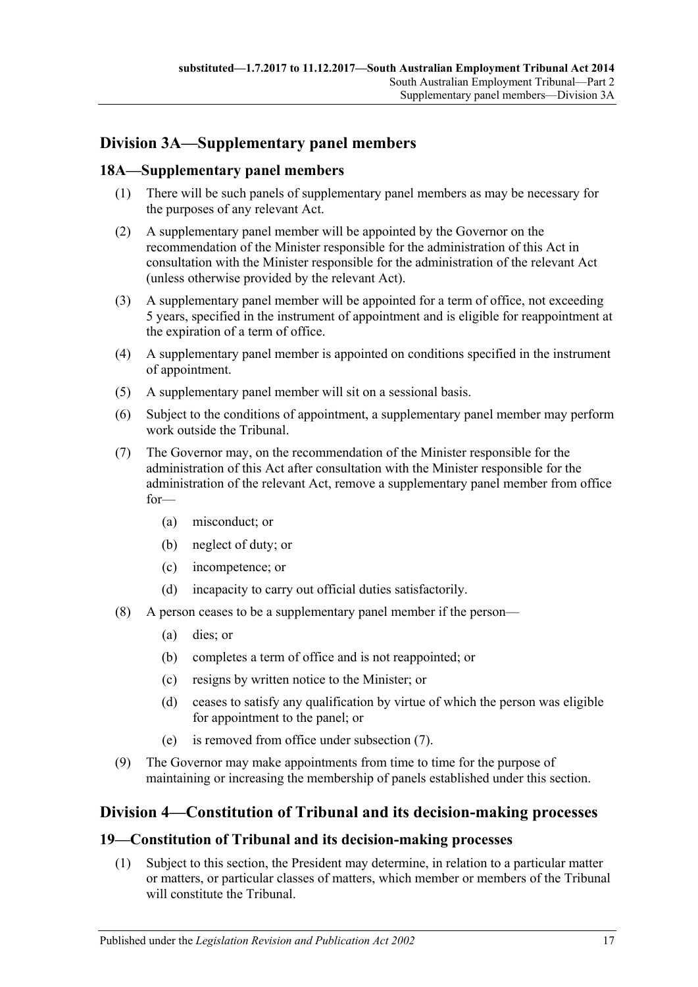# <span id="page-16-0"></span>**Division 3A—Supplementary panel members**

# <span id="page-16-1"></span>**18A—Supplementary panel members**

- (1) There will be such panels of supplementary panel members as may be necessary for the purposes of any relevant Act.
- (2) A supplementary panel member will be appointed by the Governor on the recommendation of the Minister responsible for the administration of this Act in consultation with the Minister responsible for the administration of the relevant Act (unless otherwise provided by the relevant Act).
- (3) A supplementary panel member will be appointed for a term of office, not exceeding 5 years, specified in the instrument of appointment and is eligible for reappointment at the expiration of a term of office.
- (4) A supplementary panel member is appointed on conditions specified in the instrument of appointment.
- (5) A supplementary panel member will sit on a sessional basis.
- (6) Subject to the conditions of appointment, a supplementary panel member may perform work outside the Tribunal.
- <span id="page-16-4"></span>(7) The Governor may, on the recommendation of the Minister responsible for the administration of this Act after consultation with the Minister responsible for the administration of the relevant Act, remove a supplementary panel member from office for—
	- (a) misconduct; or
	- (b) neglect of duty; or
	- (c) incompetence; or
	- (d) incapacity to carry out official duties satisfactorily.
- (8) A person ceases to be a supplementary panel member if the person—
	- (a) dies; or
	- (b) completes a term of office and is not reappointed; or
	- (c) resigns by written notice to the Minister; or
	- (d) ceases to satisfy any qualification by virtue of which the person was eligible for appointment to the panel; or
	- (e) is removed from office under [subsection](#page-16-4) (7).
- (9) The Governor may make appointments from time to time for the purpose of maintaining or increasing the membership of panels established under this section.

# <span id="page-16-2"></span>**Division 4—Constitution of Tribunal and its decision-making processes**

# <span id="page-16-3"></span>**19—Constitution of Tribunal and its decision-making processes**

(1) Subject to this section, the President may determine, in relation to a particular matter or matters, or particular classes of matters, which member or members of the Tribunal will constitute the Tribunal.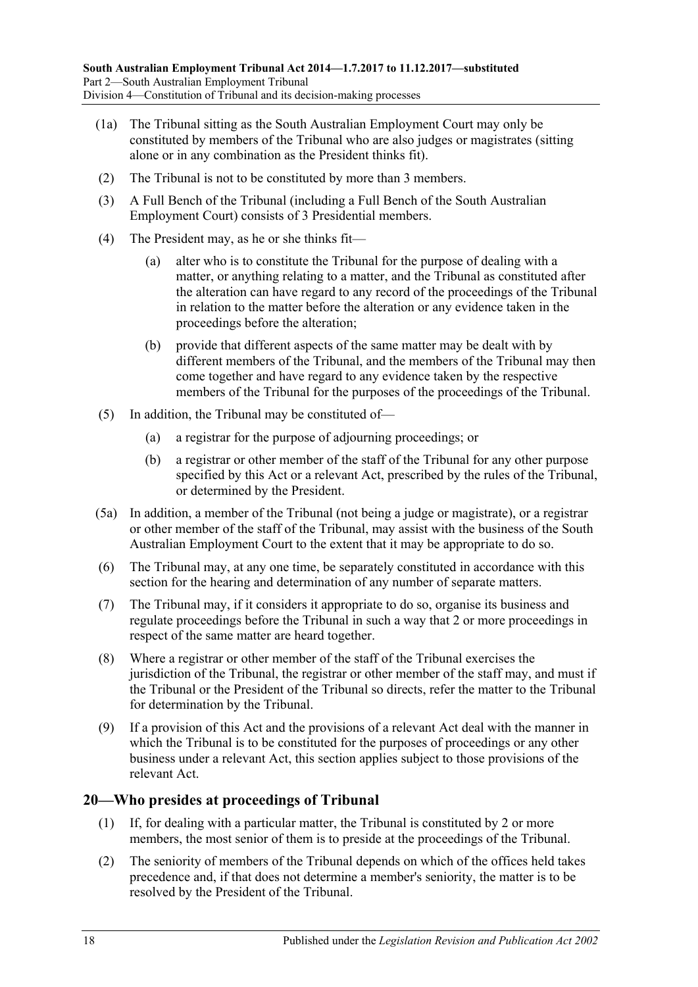- (1a) The Tribunal sitting as the South Australian Employment Court may only be constituted by members of the Tribunal who are also judges or magistrates (sitting alone or in any combination as the President thinks fit).
- (2) The Tribunal is not to be constituted by more than 3 members.
- (3) A Full Bench of the Tribunal (including a Full Bench of the South Australian Employment Court) consists of 3 Presidential members.
- (4) The President may, as he or she thinks fit—
	- (a) alter who is to constitute the Tribunal for the purpose of dealing with a matter, or anything relating to a matter, and the Tribunal as constituted after the alteration can have regard to any record of the proceedings of the Tribunal in relation to the matter before the alteration or any evidence taken in the proceedings before the alteration;
	- (b) provide that different aspects of the same matter may be dealt with by different members of the Tribunal, and the members of the Tribunal may then come together and have regard to any evidence taken by the respective members of the Tribunal for the purposes of the proceedings of the Tribunal.
- (5) In addition, the Tribunal may be constituted of—
	- (a) a registrar for the purpose of adjourning proceedings; or
	- (b) a registrar or other member of the staff of the Tribunal for any other purpose specified by this Act or a relevant Act, prescribed by the rules of the Tribunal, or determined by the President.
- (5a) In addition, a member of the Tribunal (not being a judge or magistrate), or a registrar or other member of the staff of the Tribunal, may assist with the business of the South Australian Employment Court to the extent that it may be appropriate to do so.
- (6) The Tribunal may, at any one time, be separately constituted in accordance with this section for the hearing and determination of any number of separate matters.
- (7) The Tribunal may, if it considers it appropriate to do so, organise its business and regulate proceedings before the Tribunal in such a way that 2 or more proceedings in respect of the same matter are heard together.
- (8) Where a registrar or other member of the staff of the Tribunal exercises the jurisdiction of the Tribunal, the registrar or other member of the staff may, and must if the Tribunal or the President of the Tribunal so directs, refer the matter to the Tribunal for determination by the Tribunal.
- (9) If a provision of this Act and the provisions of a relevant Act deal with the manner in which the Tribunal is to be constituted for the purposes of proceedings or any other business under a relevant Act, this section applies subject to those provisions of the relevant Act.

# <span id="page-17-0"></span>**20—Who presides at proceedings of Tribunal**

- (1) If, for dealing with a particular matter, the Tribunal is constituted by 2 or more members, the most senior of them is to preside at the proceedings of the Tribunal.
- (2) The seniority of members of the Tribunal depends on which of the offices held takes precedence and, if that does not determine a member's seniority, the matter is to be resolved by the President of the Tribunal.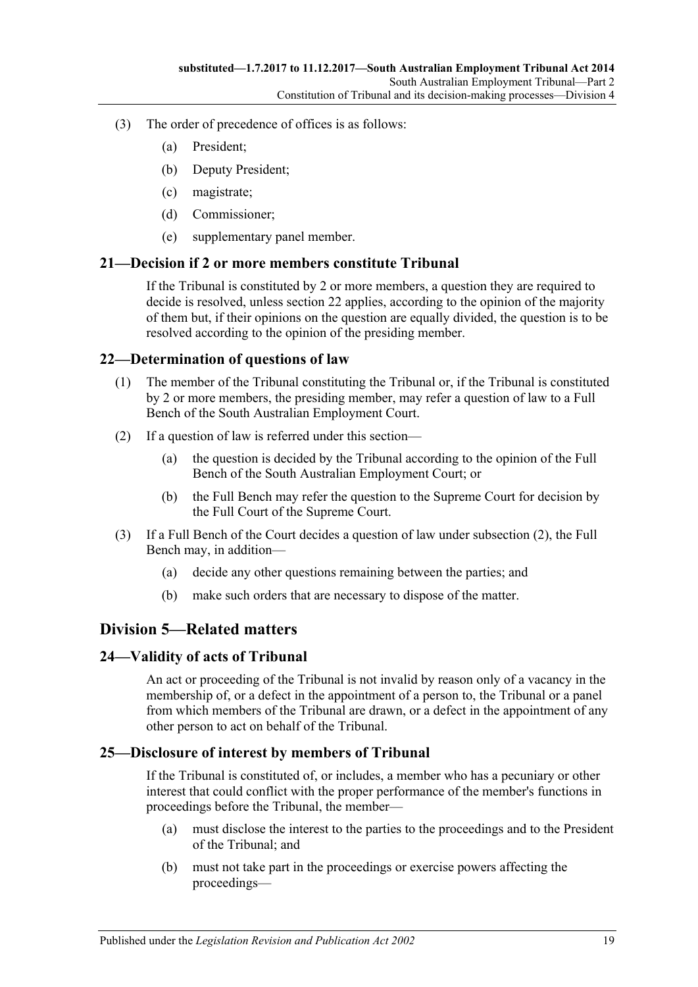- (3) The order of precedence of offices is as follows:
	- (a) President;
	- (b) Deputy President;
	- (c) magistrate;
	- (d) Commissioner;
	- (e) supplementary panel member.

#### <span id="page-18-0"></span>**21—Decision if 2 or more members constitute Tribunal**

If the Tribunal is constituted by 2 or more members, a question they are required to decide is resolved, unless [section](#page-18-1) 22 applies, according to the opinion of the majority of them but, if their opinions on the question are equally divided, the question is to be resolved according to the opinion of the presiding member.

#### <span id="page-18-1"></span>**22—Determination of questions of law**

- (1) The member of the Tribunal constituting the Tribunal or, if the Tribunal is constituted by 2 or more members, the presiding member, may refer a question of law to a Full Bench of the South Australian Employment Court.
- <span id="page-18-5"></span>(2) If a question of law is referred under this section—
	- (a) the question is decided by the Tribunal according to the opinion of the Full Bench of the South Australian Employment Court; or
	- (b) the Full Bench may refer the question to the Supreme Court for decision by the Full Court of the Supreme Court.
- (3) If a Full Bench of the Court decides a question of law under [subsection](#page-18-5) (2), the Full Bench may, in addition—
	- (a) decide any other questions remaining between the parties; and
	- (b) make such orders that are necessary to dispose of the matter.

# <span id="page-18-2"></span>**Division 5—Related matters**

#### <span id="page-18-3"></span>**24—Validity of acts of Tribunal**

An act or proceeding of the Tribunal is not invalid by reason only of a vacancy in the membership of, or a defect in the appointment of a person to, the Tribunal or a panel from which members of the Tribunal are drawn, or a defect in the appointment of any other person to act on behalf of the Tribunal.

# <span id="page-18-4"></span>**25—Disclosure of interest by members of Tribunal**

If the Tribunal is constituted of, or includes, a member who has a pecuniary or other interest that could conflict with the proper performance of the member's functions in proceedings before the Tribunal, the member—

- (a) must disclose the interest to the parties to the proceedings and to the President of the Tribunal; and
- (b) must not take part in the proceedings or exercise powers affecting the proceedings—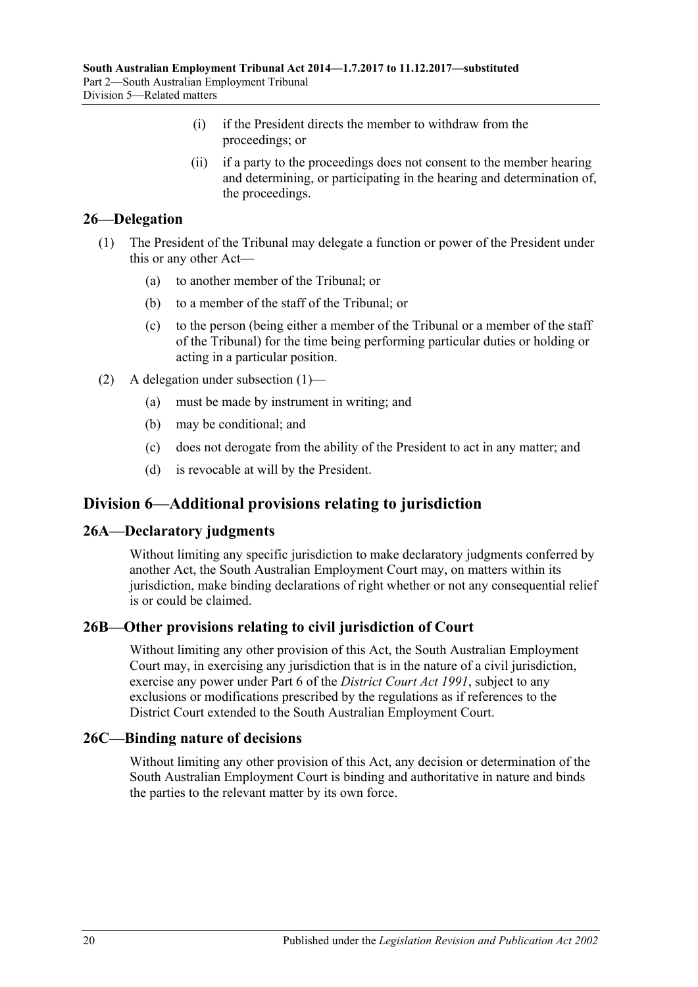- (i) if the President directs the member to withdraw from the proceedings; or
- (ii) if a party to the proceedings does not consent to the member hearing and determining, or participating in the hearing and determination of, the proceedings.

# <span id="page-19-5"></span><span id="page-19-0"></span>**26—Delegation**

- (1) The President of the Tribunal may delegate a function or power of the President under this or any other Act—
	- (a) to another member of the Tribunal; or
	- (b) to a member of the staff of the Tribunal; or
	- (c) to the person (being either a member of the Tribunal or a member of the staff of the Tribunal) for the time being performing particular duties or holding or acting in a particular position.
- (2) A delegation under [subsection](#page-19-5) (1)—
	- (a) must be made by instrument in writing; and
	- (b) may be conditional; and
	- (c) does not derogate from the ability of the President to act in any matter; and
	- (d) is revocable at will by the President.

# <span id="page-19-1"></span>**Division 6—Additional provisions relating to jurisdiction**

# <span id="page-19-2"></span>**26A—Declaratory judgments**

Without limiting any specific jurisdiction to make declaratory judgments conferred by another Act, the South Australian Employment Court may, on matters within its jurisdiction, make binding declarations of right whether or not any consequential relief is or could be claimed.

# <span id="page-19-3"></span>**26B—Other provisions relating to civil jurisdiction of Court**

Without limiting any other provision of this Act, the South Australian Employment Court may, in exercising any jurisdiction that is in the nature of a civil jurisdiction, exercise any power under Part 6 of the *[District Court Act](http://www.legislation.sa.gov.au/index.aspx?action=legref&type=act&legtitle=District%20Court%20Act%201991) 1991*, subject to any exclusions or modifications prescribed by the regulations as if references to the District Court extended to the South Australian Employment Court.

# <span id="page-19-4"></span>**26C—Binding nature of decisions**

Without limiting any other provision of this Act, any decision or determination of the South Australian Employment Court is binding and authoritative in nature and binds the parties to the relevant matter by its own force.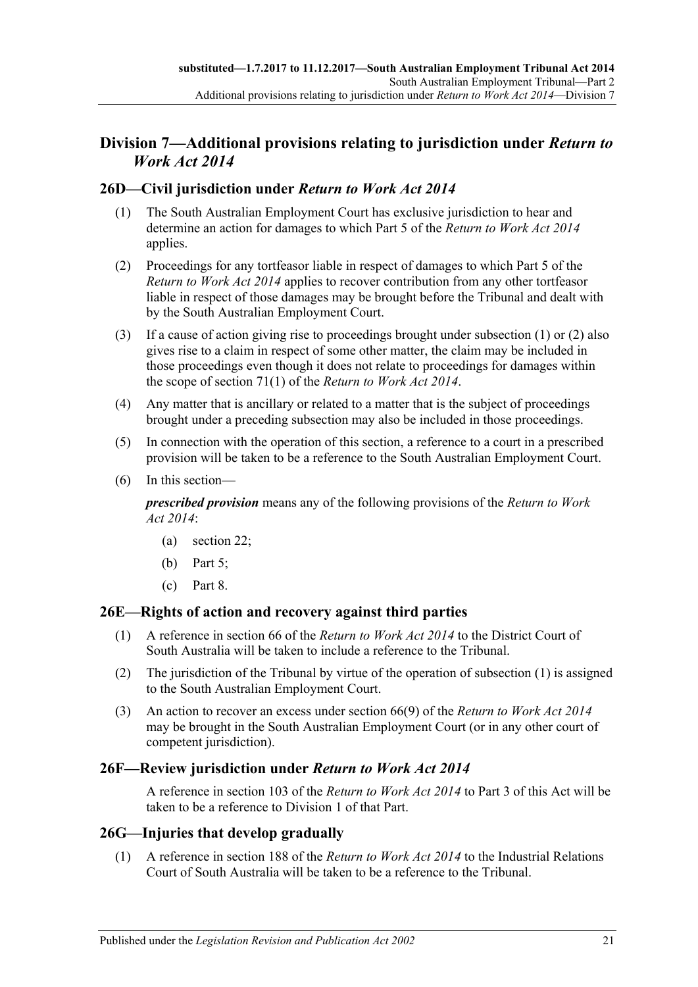# <span id="page-20-0"></span>**Division 7—Additional provisions relating to jurisdiction under** *Return to Work Act 2014*

# <span id="page-20-5"></span><span id="page-20-1"></span>**26D—Civil jurisdiction under** *Return to Work Act 2014*

- (1) The South Australian Employment Court has exclusive jurisdiction to hear and determine an action for damages to which Part 5 of the *[Return to Work Act](http://www.legislation.sa.gov.au/index.aspx?action=legref&type=act&legtitle=Return%20to%20Work%20Act%202014) 2014* applies.
- <span id="page-20-6"></span>(2) Proceedings for any tortfeasor liable in respect of damages to which Part 5 of the *[Return to Work Act](http://www.legislation.sa.gov.au/index.aspx?action=legref&type=act&legtitle=Return%20to%20Work%20Act%202014) 2014* applies to recover contribution from any other tortfeasor liable in respect of those damages may be brought before the Tribunal and dealt with by the South Australian Employment Court.
- (3) If a cause of action giving rise to proceedings brought under [subsection](#page-20-5) (1) or [\(2\)](#page-20-6) also gives rise to a claim in respect of some other matter, the claim may be included in those proceedings even though it does not relate to proceedings for damages within the scope of section 71(1) of the *[Return to Work Act](http://www.legislation.sa.gov.au/index.aspx?action=legref&type=act&legtitle=Return%20to%20Work%20Act%202014) 2014*.
- (4) Any matter that is ancillary or related to a matter that is the subject of proceedings brought under a preceding subsection may also be included in those proceedings.
- (5) In connection with the operation of this section, a reference to a court in a prescribed provision will be taken to be a reference to the South Australian Employment Court.
- (6) In this section—

*prescribed provision* means any of the following provisions of the *[Return to Work](http://www.legislation.sa.gov.au/index.aspx?action=legref&type=act&legtitle=Return%20to%20Work%20Act%202014)  Act [2014](http://www.legislation.sa.gov.au/index.aspx?action=legref&type=act&legtitle=Return%20to%20Work%20Act%202014)*:

- (a) section 22;
- (b) Part 5;
- (c) Part 8.

# <span id="page-20-7"></span><span id="page-20-2"></span>**26E—Rights of action and recovery against third parties**

- (1) A reference in section 66 of the *[Return to Work Act](http://www.legislation.sa.gov.au/index.aspx?action=legref&type=act&legtitle=Return%20to%20Work%20Act%202014) 2014* to the District Court of South Australia will be taken to include a reference to the Tribunal.
- (2) The jurisdiction of the Tribunal by virtue of the operation of [subsection](#page-20-7) (1) is assigned to the South Australian Employment Court.
- (3) An action to recover an excess under section 66(9) of the *[Return to Work Act](http://www.legislation.sa.gov.au/index.aspx?action=legref&type=act&legtitle=Return%20to%20Work%20Act%202014) 2014* may be brought in the South Australian Employment Court (or in any other court of competent jurisdiction).

# <span id="page-20-3"></span>**26F—Review jurisdiction under** *Return to Work Act 2014*

A reference in section 103 of the *[Return to Work Act](http://www.legislation.sa.gov.au/index.aspx?action=legref&type=act&legtitle=Return%20to%20Work%20Act%202014) 2014* to [Part](#page-22-0) 3 of this Act will be taken to be a reference to [Division 1](#page-22-1) of that Part.

# <span id="page-20-8"></span><span id="page-20-4"></span>**26G—Injuries that develop gradually**

(1) A reference in section 188 of the *[Return to Work Act](http://www.legislation.sa.gov.au/index.aspx?action=legref&type=act&legtitle=Return%20to%20Work%20Act%202014) 2014* to the Industrial Relations Court of South Australia will be taken to be a reference to the Tribunal.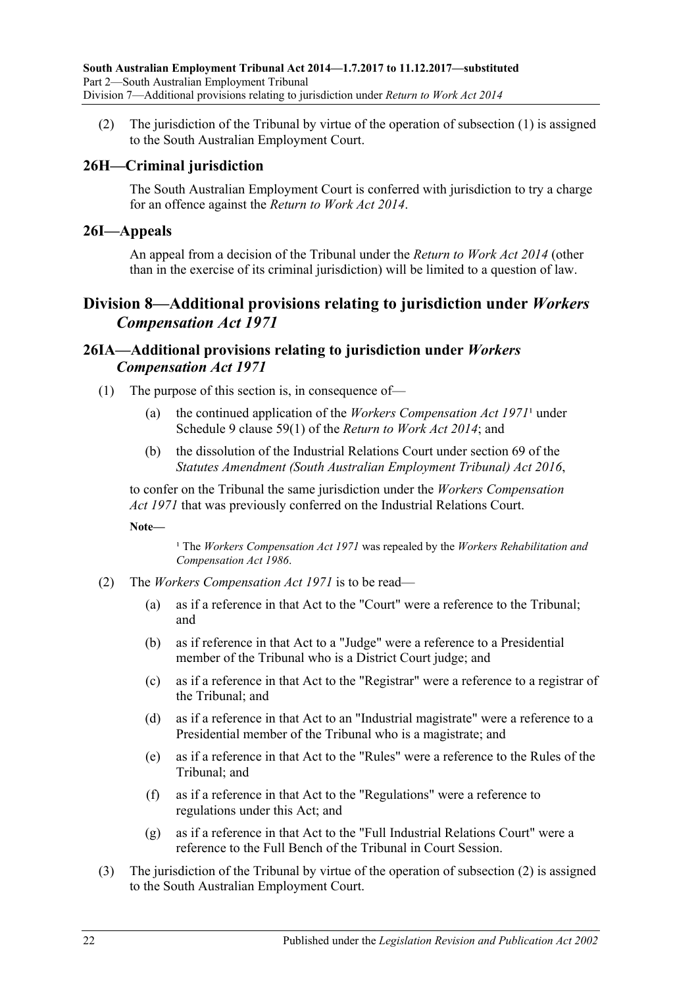(2) The jurisdiction of the Tribunal by virtue of the operation of [subsection](#page-20-8) (1) is assigned to the South Australian Employment Court.

# <span id="page-21-0"></span>**26H—Criminal jurisdiction**

The South Australian Employment Court is conferred with jurisdiction to try a charge for an offence against the *[Return to Work Act](http://www.legislation.sa.gov.au/index.aspx?action=legref&type=act&legtitle=Return%20to%20Work%20Act%202014) 2014*.

### <span id="page-21-1"></span>**26I—Appeals**

An appeal from a decision of the Tribunal under the *[Return to Work Act](http://www.legislation.sa.gov.au/index.aspx?action=legref&type=act&legtitle=Return%20to%20Work%20Act%202014) 2014* (other than in the exercise of its criminal jurisdiction) will be limited to a question of law.

# <span id="page-21-2"></span>**Division 8—Additional provisions relating to jurisdiction under** *Workers Compensation Act 1971*

# <span id="page-21-3"></span>**26IA—Additional provisions relating to jurisdiction under** *Workers Compensation Act 1971*

- (1) The purpose of this section is, in consequence of—
	- (a) the continued application of the *[Workers Compensation Act](http://www.legislation.sa.gov.au/index.aspx?action=legref&type=act&legtitle=Workers%20Compensation%20Act%201971)*  $1971<sup>1</sup>$  under Schedule 9 clause 59(1) of the *[Return to Work Act](http://www.legislation.sa.gov.au/index.aspx?action=legref&type=act&legtitle=Return%20to%20Work%20Act%202014) 2014*; and
	- (b) the dissolution of the Industrial Relations Court under section 69 of the *[Statutes Amendment \(South Australian Employment Tribunal\) Act](http://www.legislation.sa.gov.au/index.aspx?action=legref&type=act&legtitle=Statutes%20Amendment%20(South%20Australian%20Employment%20Tribunal)%20Act%202016) 2016*,

to confer on the Tribunal the same jurisdiction under the *[Workers Compensation](http://www.legislation.sa.gov.au/index.aspx?action=legref&type=act&legtitle=Workers%20Compensation%20Act%201971)  Act [1971](http://www.legislation.sa.gov.au/index.aspx?action=legref&type=act&legtitle=Workers%20Compensation%20Act%201971)* that was previously conferred on the Industrial Relations Court.

**Note—**

<sup>1</sup> The *[Workers Compensation Act](http://www.legislation.sa.gov.au/index.aspx?action=legref&type=act&legtitle=Workers%20Compensation%20Act%201971) 1971* was repealed by the *Workers Rehabilitation and [Compensation Act](http://www.legislation.sa.gov.au/index.aspx?action=legref&type=act&legtitle=Workers%20Rehabilitation%20and%20Compensation%20Act%201986) 1986*.

- <span id="page-21-4"></span>(2) The *[Workers Compensation Act](http://www.legislation.sa.gov.au/index.aspx?action=legref&type=act&legtitle=Workers%20Compensation%20Act%201971) 1971* is to be read—
	- (a) as if a reference in that Act to the "Court" were a reference to the Tribunal; and
	- (b) as if reference in that Act to a "Judge" were a reference to a Presidential member of the Tribunal who is a District Court judge; and
	- (c) as if a reference in that Act to the "Registrar" were a reference to a registrar of the Tribunal; and
	- (d) as if a reference in that Act to an "Industrial magistrate" were a reference to a Presidential member of the Tribunal who is a magistrate; and
	- (e) as if a reference in that Act to the "Rules" were a reference to the Rules of the Tribunal; and
	- (f) as if a reference in that Act to the "Regulations" were a reference to regulations under this Act; and
	- (g) as if a reference in that Act to the "Full Industrial Relations Court" were a reference to the Full Bench of the Tribunal in Court Session.
- (3) The jurisdiction of the Tribunal by virtue of the operation of [subsection](#page-21-4) (2) is assigned to the South Australian Employment Court.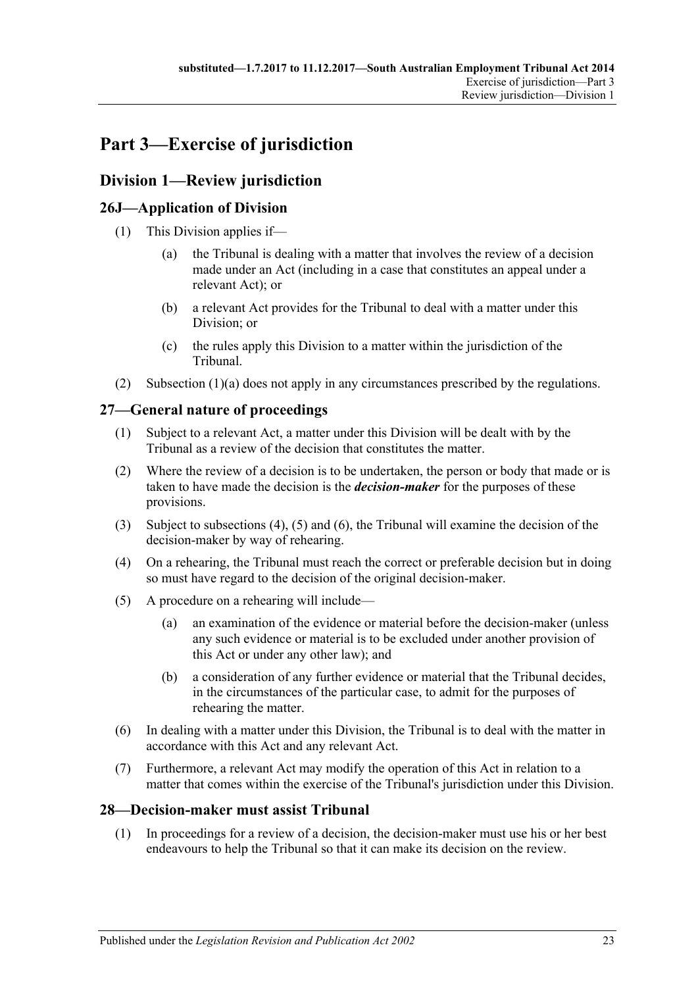# <span id="page-22-0"></span>**Part 3—Exercise of jurisdiction**

# <span id="page-22-1"></span>**Division 1—Review jurisdiction**

# <span id="page-22-2"></span>**26J—Application of Division**

- <span id="page-22-6"></span>(1) This Division applies if—
	- (a) the Tribunal is dealing with a matter that involves the review of a decision made under an Act (including in a case that constitutes an appeal under a relevant Act); or
	- (b) a relevant Act provides for the Tribunal to deal with a matter under this Division; or
	- (c) the rules apply this Division to a matter within the jurisdiction of the Tribunal.
- (2) [Subsection](#page-22-6) (1)(a) does not apply in any circumstances prescribed by the regulations.

# <span id="page-22-3"></span>**27—General nature of proceedings**

- (1) Subject to a relevant Act, a matter under this Division will be dealt with by the Tribunal as a review of the decision that constitutes the matter.
- <span id="page-22-5"></span>(2) Where the review of a decision is to be undertaken, the person or body that made or is taken to have made the decision is the *decision-maker* for the purposes of these provisions.
- (3) Subject to [subsections \(4\),](#page-22-7) [\(5\)](#page-22-8) and [\(6\),](#page-22-9) the Tribunal will examine the decision of the decision-maker by way of rehearing.
- <span id="page-22-7"></span>(4) On a rehearing, the Tribunal must reach the correct or preferable decision but in doing so must have regard to the decision of the original decision-maker.
- <span id="page-22-8"></span>(5) A procedure on a rehearing will include—
	- (a) an examination of the evidence or material before the decision-maker (unless any such evidence or material is to be excluded under another provision of this Act or under any other law); and
	- (b) a consideration of any further evidence or material that the Tribunal decides, in the circumstances of the particular case, to admit for the purposes of rehearing the matter.
- <span id="page-22-9"></span>(6) In dealing with a matter under this Division, the Tribunal is to deal with the matter in accordance with this Act and any relevant Act.
- (7) Furthermore, a relevant Act may modify the operation of this Act in relation to a matter that comes within the exercise of the Tribunal's jurisdiction under this Division.

# <span id="page-22-10"></span><span id="page-22-4"></span>**28—Decision-maker must assist Tribunal**

(1) In proceedings for a review of a decision, the decision-maker must use his or her best endeavours to help the Tribunal so that it can make its decision on the review.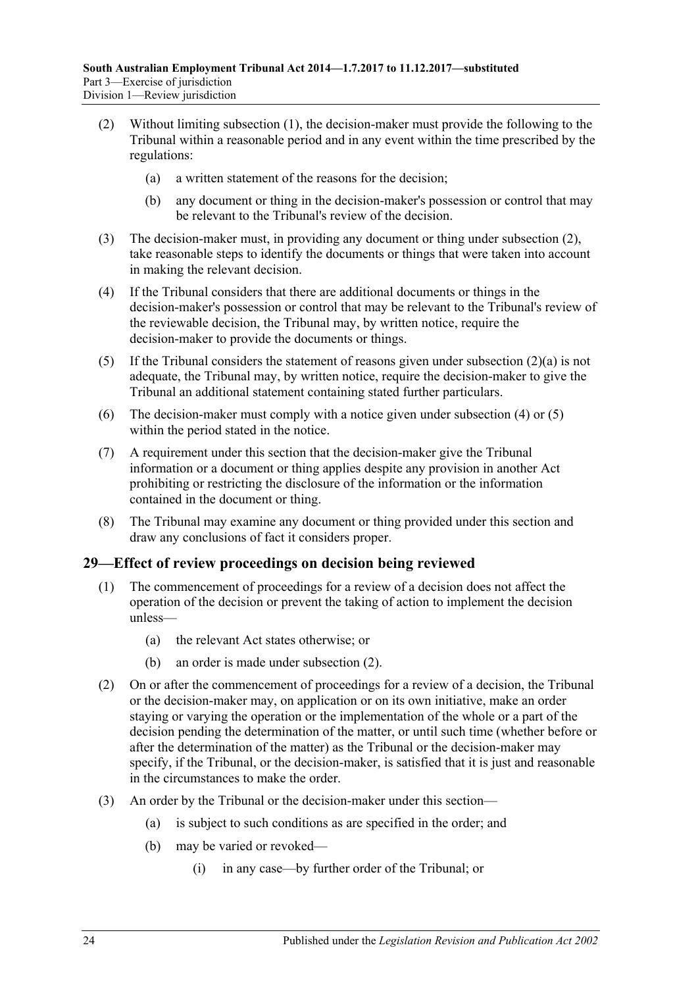- <span id="page-23-2"></span><span id="page-23-1"></span>(2) Without limiting [subsection](#page-22-10) (1), the decision-maker must provide the following to the Tribunal within a reasonable period and in any event within the time prescribed by the regulations:
	- (a) a written statement of the reasons for the decision;
	- (b) any document or thing in the decision-maker's possession or control that may be relevant to the Tribunal's review of the decision.
- (3) The decision-maker must, in providing any document or thing under [subsection](#page-23-1) (2), take reasonable steps to identify the documents or things that were taken into account in making the relevant decision.
- <span id="page-23-3"></span>(4) If the Tribunal considers that there are additional documents or things in the decision-maker's possession or control that may be relevant to the Tribunal's review of the reviewable decision, the Tribunal may, by written notice, require the decision-maker to provide the documents or things.
- <span id="page-23-4"></span>(5) If the Tribunal considers the statement of reasons given under [subsection](#page-23-2) (2)(a) is not adequate, the Tribunal may, by written notice, require the decision-maker to give the Tribunal an additional statement containing stated further particulars.
- (6) The decision-maker must comply with a notice given under [subsection](#page-23-3) (4) or [\(5\)](#page-23-4) within the period stated in the notice.
- (7) A requirement under this section that the decision-maker give the Tribunal information or a document or thing applies despite any provision in another Act prohibiting or restricting the disclosure of the information or the information contained in the document or thing.
- (8) The Tribunal may examine any document or thing provided under this section and draw any conclusions of fact it considers proper.

# <span id="page-23-0"></span>**29—Effect of review proceedings on decision being reviewed**

- (1) The commencement of proceedings for a review of a decision does not affect the operation of the decision or prevent the taking of action to implement the decision unless—
	- (a) the relevant Act states otherwise; or
	- (b) an order is made under [subsection](#page-23-5) (2).
- <span id="page-23-5"></span>(2) On or after the commencement of proceedings for a review of a decision, the Tribunal or the decision-maker may, on application or on its own initiative, make an order staying or varying the operation or the implementation of the whole or a part of the decision pending the determination of the matter, or until such time (whether before or after the determination of the matter) as the Tribunal or the decision-maker may specify, if the Tribunal, or the decision-maker, is satisfied that it is just and reasonable in the circumstances to make the order.
- (3) An order by the Tribunal or the decision-maker under this section—
	- (a) is subject to such conditions as are specified in the order; and
	- (b) may be varied or revoked—
		- (i) in any case—by further order of the Tribunal; or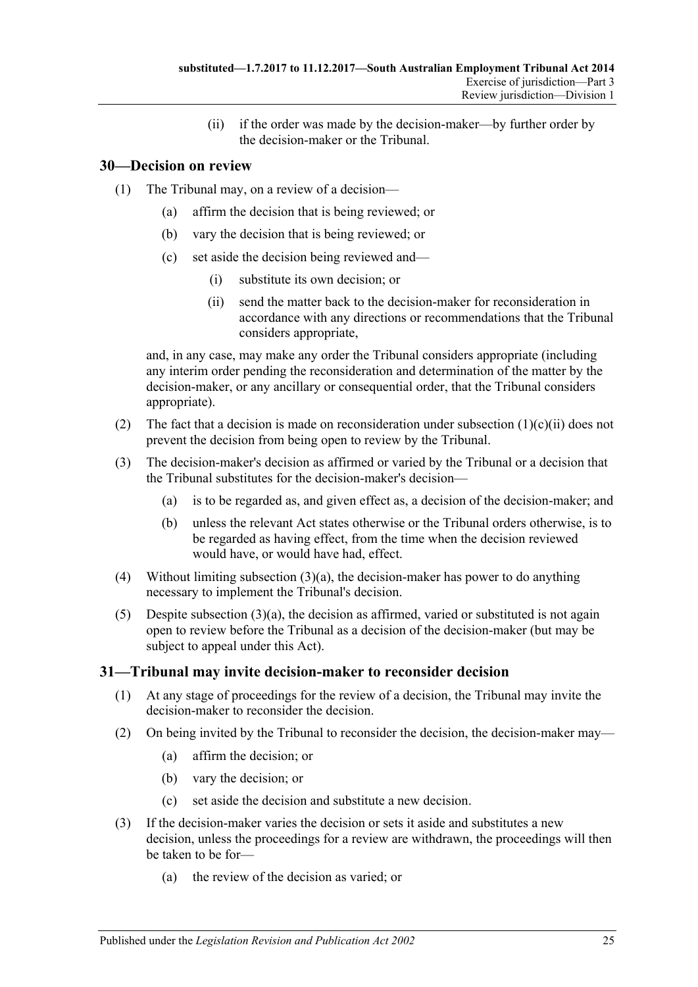(ii) if the order was made by the decision-maker—by further order by the decision-maker or the Tribunal.

# <span id="page-24-0"></span>**30—Decision on review**

- (1) The Tribunal may, on a review of a decision—
	- (a) affirm the decision that is being reviewed; or
	- (b) vary the decision that is being reviewed; or
	- (c) set aside the decision being reviewed and—
		- (i) substitute its own decision; or
		- (ii) send the matter back to the decision-maker for reconsideration in accordance with any directions or recommendations that the Tribunal considers appropriate,

<span id="page-24-2"></span>and, in any case, may make any order the Tribunal considers appropriate (including any interim order pending the reconsideration and determination of the matter by the decision-maker, or any ancillary or consequential order, that the Tribunal considers appropriate).

- (2) The fact that a decision is made on reconsideration under [subsection](#page-24-2)  $(1)(c)(ii)$  does not prevent the decision from being open to review by the Tribunal.
- <span id="page-24-3"></span>(3) The decision-maker's decision as affirmed or varied by the Tribunal or a decision that the Tribunal substitutes for the decision-maker's decision—
	- (a) is to be regarded as, and given effect as, a decision of the decision-maker; and
	- (b) unless the relevant Act states otherwise or the Tribunal orders otherwise, is to be regarded as having effect, from the time when the decision reviewed would have, or would have had, effect.
- (4) Without limiting [subsection](#page-24-3)  $(3)(a)$ , the decision-maker has power to do anything necessary to implement the Tribunal's decision.
- (5) Despite [subsection](#page-24-3)  $(3)(a)$ , the decision as affirmed, varied or substituted is not again open to review before the Tribunal as a decision of the decision-maker (but may be subject to appeal under this Act).

# <span id="page-24-1"></span>**31—Tribunal may invite decision-maker to reconsider decision**

- (1) At any stage of proceedings for the review of a decision, the Tribunal may invite the decision-maker to reconsider the decision.
- (2) On being invited by the Tribunal to reconsider the decision, the decision-maker may—
	- (a) affirm the decision; or
	- (b) vary the decision; or
	- (c) set aside the decision and substitute a new decision.
- (3) If the decision-maker varies the decision or sets it aside and substitutes a new decision, unless the proceedings for a review are withdrawn, the proceedings will then be taken to be for—
	- (a) the review of the decision as varied; or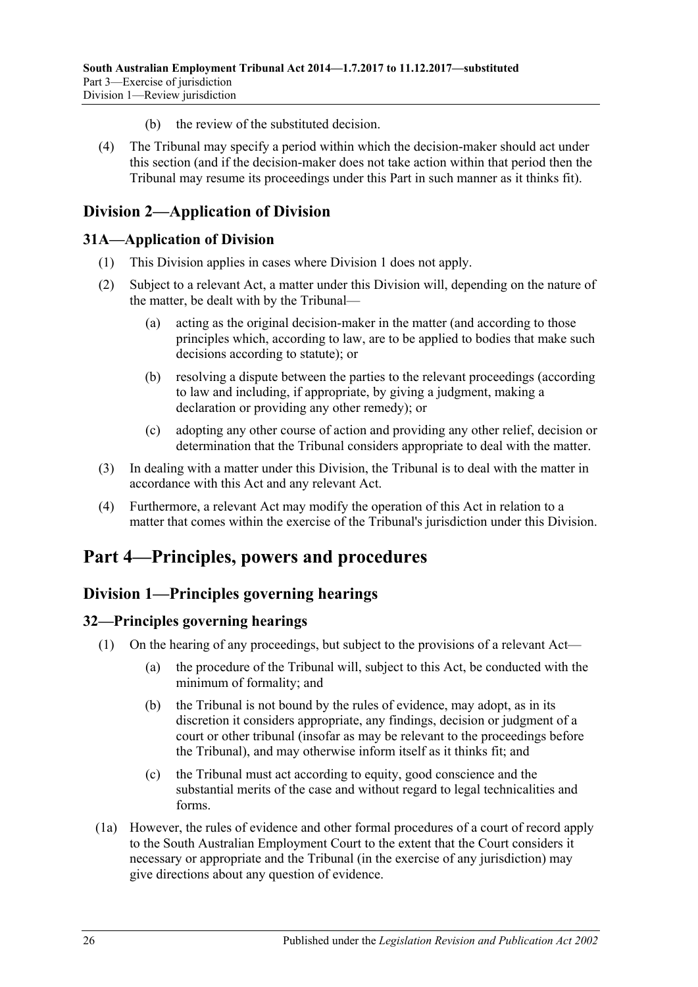- (b) the review of the substituted decision.
- (4) The Tribunal may specify a period within which the decision-maker should act under this section (and if the decision-maker does not take action within that period then the Tribunal may resume its proceedings under this Part in such manner as it thinks fit).

# <span id="page-25-0"></span>**Division 2—Application of Division**

# <span id="page-25-1"></span>**31A—Application of Division**

- (1) This Division applies in cases where [Division 1](#page-22-1) does not apply.
- (2) Subject to a relevant Act, a matter under this Division will, depending on the nature of the matter, be dealt with by the Tribunal—
	- (a) acting as the original decision-maker in the matter (and according to those principles which, according to law, are to be applied to bodies that make such decisions according to statute); or
	- (b) resolving a dispute between the parties to the relevant proceedings (according to law and including, if appropriate, by giving a judgment, making a declaration or providing any other remedy); or
	- (c) adopting any other course of action and providing any other relief, decision or determination that the Tribunal considers appropriate to deal with the matter.
- (3) In dealing with a matter under this Division, the Tribunal is to deal with the matter in accordance with this Act and any relevant Act.
- (4) Furthermore, a relevant Act may modify the operation of this Act in relation to a matter that comes within the exercise of the Tribunal's jurisdiction under this Division.

# <span id="page-25-2"></span>**Part 4—Principles, powers and procedures**

# <span id="page-25-3"></span>**Division 1—Principles governing hearings**

# <span id="page-25-4"></span>**32—Principles governing hearings**

- (1) On the hearing of any proceedings, but subject to the provisions of a relevant Act—
	- (a) the procedure of the Tribunal will, subject to this Act, be conducted with the minimum of formality; and
	- (b) the Tribunal is not bound by the rules of evidence, may adopt, as in its discretion it considers appropriate, any findings, decision or judgment of a court or other tribunal (insofar as may be relevant to the proceedings before the Tribunal), and may otherwise inform itself as it thinks fit; and
	- (c) the Tribunal must act according to equity, good conscience and the substantial merits of the case and without regard to legal technicalities and forms.
- (1a) However, the rules of evidence and other formal procedures of a court of record apply to the South Australian Employment Court to the extent that the Court considers it necessary or appropriate and the Tribunal (in the exercise of any jurisdiction) may give directions about any question of evidence.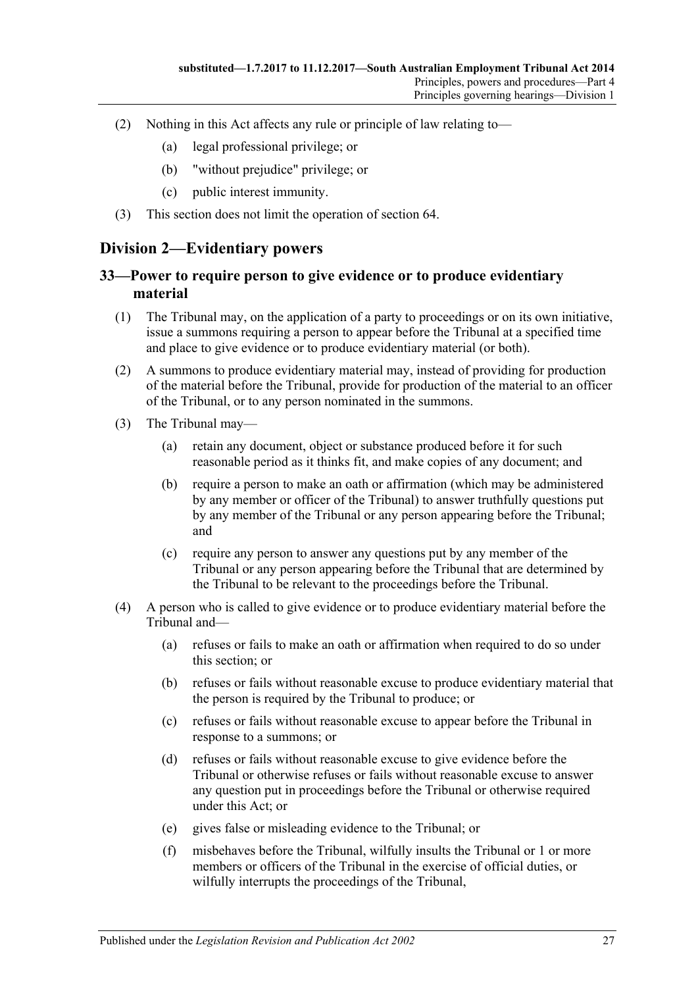- (2) Nothing in this Act affects any rule or principle of law relating to—
	- (a) legal professional privilege; or
	- (b) "without prejudice" privilege; or
	- (c) public interest immunity.
- (3) This section does not limit the operation of [section](#page-39-1) 64.

# <span id="page-26-0"></span>**Division 2—Evidentiary powers**

# <span id="page-26-1"></span>**33—Power to require person to give evidence or to produce evidentiary material**

- (1) The Tribunal may, on the application of a party to proceedings or on its own initiative, issue a summons requiring a person to appear before the Tribunal at a specified time and place to give evidence or to produce evidentiary material (or both).
- (2) A summons to produce evidentiary material may, instead of providing for production of the material before the Tribunal, provide for production of the material to an officer of the Tribunal, or to any person nominated in the summons.
- (3) The Tribunal may—
	- (a) retain any document, object or substance produced before it for such reasonable period as it thinks fit, and make copies of any document; and
	- (b) require a person to make an oath or affirmation (which may be administered by any member or officer of the Tribunal) to answer truthfully questions put by any member of the Tribunal or any person appearing before the Tribunal; and
	- (c) require any person to answer any questions put by any member of the Tribunal or any person appearing before the Tribunal that are determined by the Tribunal to be relevant to the proceedings before the Tribunal.
- (4) A person who is called to give evidence or to produce evidentiary material before the Tribunal and—
	- (a) refuses or fails to make an oath or affirmation when required to do so under this section; or
	- (b) refuses or fails without reasonable excuse to produce evidentiary material that the person is required by the Tribunal to produce; or
	- (c) refuses or fails without reasonable excuse to appear before the Tribunal in response to a summons; or
	- (d) refuses or fails without reasonable excuse to give evidence before the Tribunal or otherwise refuses or fails without reasonable excuse to answer any question put in proceedings before the Tribunal or otherwise required under this Act; or
	- (e) gives false or misleading evidence to the Tribunal; or
	- (f) misbehaves before the Tribunal, wilfully insults the Tribunal or 1 or more members or officers of the Tribunal in the exercise of official duties, or wilfully interrupts the proceedings of the Tribunal,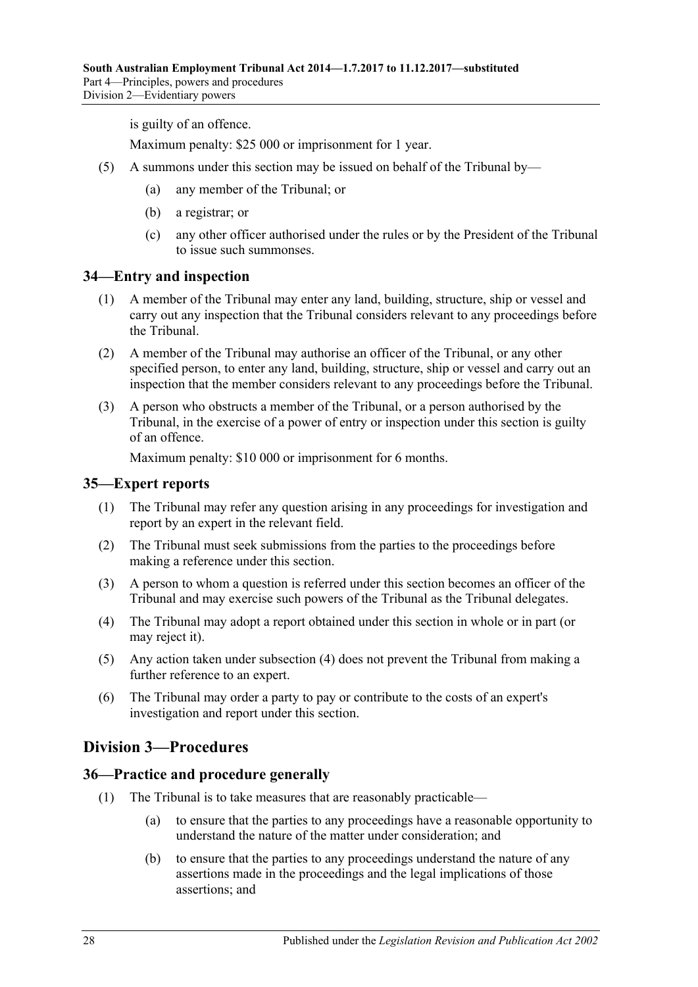is guilty of an offence.

Maximum penalty: \$25 000 or imprisonment for 1 year.

- (5) A summons under this section may be issued on behalf of the Tribunal by—
	- (a) any member of the Tribunal; or
	- (b) a registrar; or
	- (c) any other officer authorised under the rules or by the President of the Tribunal to issue such summonses.

#### <span id="page-27-0"></span>**34—Entry and inspection**

- (1) A member of the Tribunal may enter any land, building, structure, ship or vessel and carry out any inspection that the Tribunal considers relevant to any proceedings before the Tribunal.
- (2) A member of the Tribunal may authorise an officer of the Tribunal, or any other specified person, to enter any land, building, structure, ship or vessel and carry out an inspection that the member considers relevant to any proceedings before the Tribunal.
- (3) A person who obstructs a member of the Tribunal, or a person authorised by the Tribunal, in the exercise of a power of entry or inspection under this section is guilty of an offence.

Maximum penalty: \$10 000 or imprisonment for 6 months.

#### <span id="page-27-1"></span>**35—Expert reports**

- (1) The Tribunal may refer any question arising in any proceedings for investigation and report by an expert in the relevant field.
- (2) The Tribunal must seek submissions from the parties to the proceedings before making a reference under this section.
- (3) A person to whom a question is referred under this section becomes an officer of the Tribunal and may exercise such powers of the Tribunal as the Tribunal delegates.
- <span id="page-27-4"></span>(4) The Tribunal may adopt a report obtained under this section in whole or in part (or may reject it).
- (5) Any action taken under [subsection](#page-27-4) (4) does not prevent the Tribunal from making a further reference to an expert.
- (6) The Tribunal may order a party to pay or contribute to the costs of an expert's investigation and report under this section.

# <span id="page-27-2"></span>**Division 3—Procedures**

#### <span id="page-27-3"></span>**36—Practice and procedure generally**

- (1) The Tribunal is to take measures that are reasonably practicable—
	- (a) to ensure that the parties to any proceedings have a reasonable opportunity to understand the nature of the matter under consideration; and
	- (b) to ensure that the parties to any proceedings understand the nature of any assertions made in the proceedings and the legal implications of those assertions; and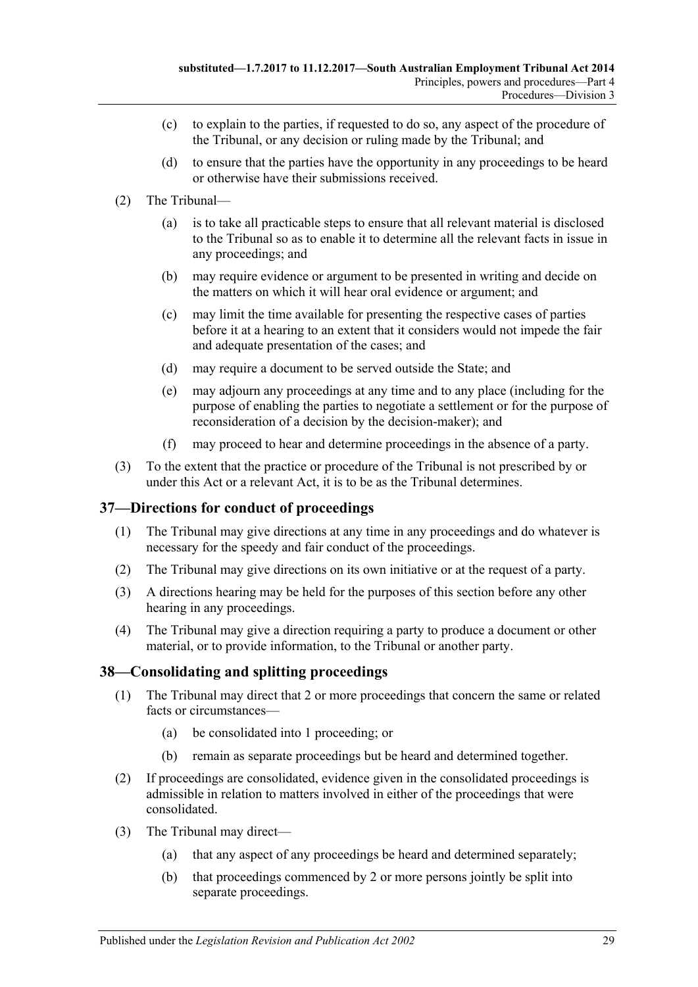- (c) to explain to the parties, if requested to do so, any aspect of the procedure of the Tribunal, or any decision or ruling made by the Tribunal; and
- (d) to ensure that the parties have the opportunity in any proceedings to be heard or otherwise have their submissions received.
- (2) The Tribunal—
	- (a) is to take all practicable steps to ensure that all relevant material is disclosed to the Tribunal so as to enable it to determine all the relevant facts in issue in any proceedings; and
	- (b) may require evidence or argument to be presented in writing and decide on the matters on which it will hear oral evidence or argument; and
	- (c) may limit the time available for presenting the respective cases of parties before it at a hearing to an extent that it considers would not impede the fair and adequate presentation of the cases; and
	- (d) may require a document to be served outside the State; and
	- (e) may adjourn any proceedings at any time and to any place (including for the purpose of enabling the parties to negotiate a settlement or for the purpose of reconsideration of a decision by the decision-maker); and
	- (f) may proceed to hear and determine proceedings in the absence of a party.
- (3) To the extent that the practice or procedure of the Tribunal is not prescribed by or under this Act or a relevant Act, it is to be as the Tribunal determines.

# <span id="page-28-0"></span>**37—Directions for conduct of proceedings**

- (1) The Tribunal may give directions at any time in any proceedings and do whatever is necessary for the speedy and fair conduct of the proceedings.
- (2) The Tribunal may give directions on its own initiative or at the request of a party.
- (3) A directions hearing may be held for the purposes of this section before any other hearing in any proceedings.
- (4) The Tribunal may give a direction requiring a party to produce a document or other material, or to provide information, to the Tribunal or another party.

# <span id="page-28-1"></span>**38—Consolidating and splitting proceedings**

- (1) The Tribunal may direct that 2 or more proceedings that concern the same or related facts or circumstances—
	- (a) be consolidated into 1 proceeding; or
	- (b) remain as separate proceedings but be heard and determined together.
- (2) If proceedings are consolidated, evidence given in the consolidated proceedings is admissible in relation to matters involved in either of the proceedings that were consolidated.
- (3) The Tribunal may direct—
	- (a) that any aspect of any proceedings be heard and determined separately;
	- (b) that proceedings commenced by 2 or more persons jointly be split into separate proceedings.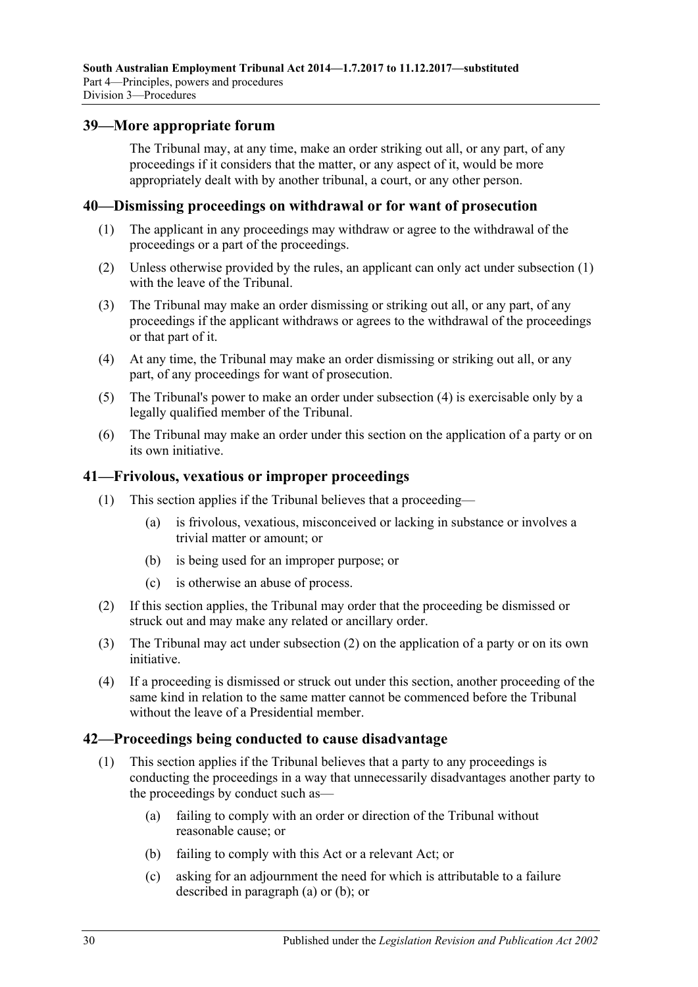### <span id="page-29-0"></span>**39—More appropriate forum**

The Tribunal may, at any time, make an order striking out all, or any part, of any proceedings if it considers that the matter, or any aspect of it, would be more appropriately dealt with by another tribunal, a court, or any other person.

#### <span id="page-29-4"></span><span id="page-29-1"></span>**40—Dismissing proceedings on withdrawal or for want of prosecution**

- (1) The applicant in any proceedings may withdraw or agree to the withdrawal of the proceedings or a part of the proceedings.
- (2) Unless otherwise provided by the rules, an applicant can only act under [subsection](#page-29-4) (1) with the leave of the Tribunal.
- (3) The Tribunal may make an order dismissing or striking out all, or any part, of any proceedings if the applicant withdraws or agrees to the withdrawal of the proceedings or that part of it.
- <span id="page-29-5"></span>(4) At any time, the Tribunal may make an order dismissing or striking out all, or any part, of any proceedings for want of prosecution.
- (5) The Tribunal's power to make an order under [subsection](#page-29-5) (4) is exercisable only by a legally qualified member of the Tribunal.
- (6) The Tribunal may make an order under this section on the application of a party or on its own initiative.

#### <span id="page-29-2"></span>**41—Frivolous, vexatious or improper proceedings**

- (1) This section applies if the Tribunal believes that a proceeding—
	- (a) is frivolous, vexatious, misconceived or lacking in substance or involves a trivial matter or amount; or
	- (b) is being used for an improper purpose; or
	- (c) is otherwise an abuse of process.
- <span id="page-29-6"></span>(2) If this section applies, the Tribunal may order that the proceeding be dismissed or struck out and may make any related or ancillary order.
- (3) The Tribunal may act under [subsection](#page-29-6) (2) on the application of a party or on its own initiative.
- (4) If a proceeding is dismissed or struck out under this section, another proceeding of the same kind in relation to the same matter cannot be commenced before the Tribunal without the leave of a Presidential member.

#### <span id="page-29-3"></span>**42—Proceedings being conducted to cause disadvantage**

- <span id="page-29-8"></span><span id="page-29-7"></span>(1) This section applies if the Tribunal believes that a party to any proceedings is conducting the proceedings in a way that unnecessarily disadvantages another party to the proceedings by conduct such as—
	- (a) failing to comply with an order or direction of the Tribunal without reasonable cause; or
	- (b) failing to comply with this Act or a relevant Act; or
	- (c) asking for an adjournment the need for which is attributable to a failure described in [paragraph](#page-29-7) (a) or [\(b\);](#page-29-8) or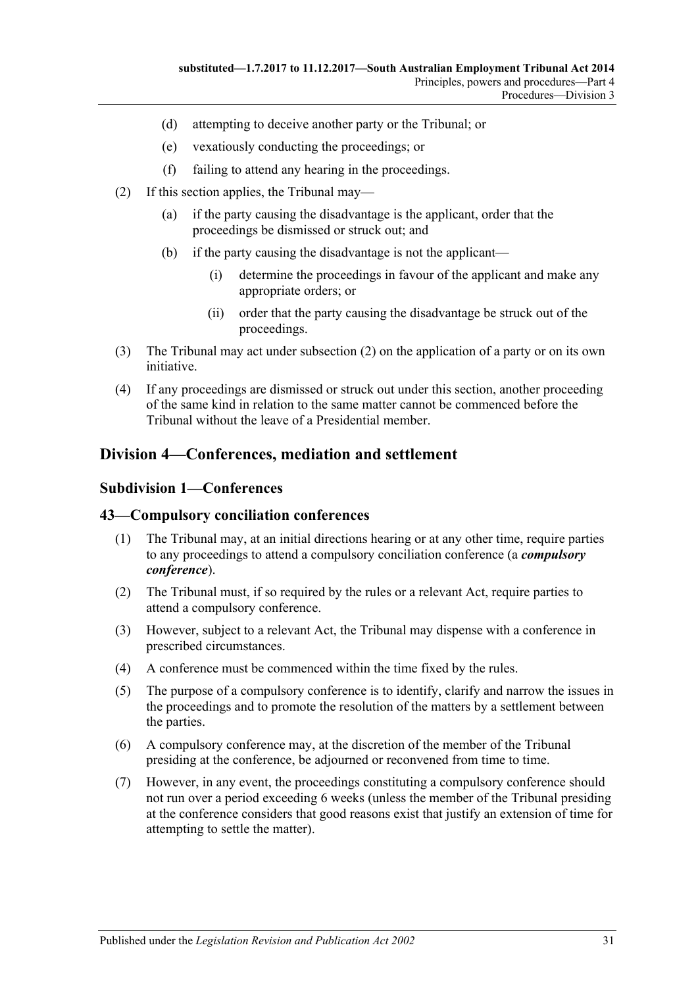- (d) attempting to deceive another party or the Tribunal; or
- (e) vexatiously conducting the proceedings; or
- (f) failing to attend any hearing in the proceedings.
- <span id="page-30-3"></span>(2) If this section applies, the Tribunal may—
	- (a) if the party causing the disadvantage is the applicant, order that the proceedings be dismissed or struck out; and
	- (b) if the party causing the disadvantage is not the applicant—
		- (i) determine the proceedings in favour of the applicant and make any appropriate orders; or
		- (ii) order that the party causing the disadvantage be struck out of the proceedings.
- (3) The Tribunal may act under [subsection](#page-30-3) (2) on the application of a party or on its own initiative.
- (4) If any proceedings are dismissed or struck out under this section, another proceeding of the same kind in relation to the same matter cannot be commenced before the Tribunal without the leave of a Presidential member.

# <span id="page-30-1"></span><span id="page-30-0"></span>**Division 4—Conferences, mediation and settlement**

#### **Subdivision 1—Conferences**

#### <span id="page-30-2"></span>**43—Compulsory conciliation conferences**

- (1) The Tribunal may, at an initial directions hearing or at any other time, require parties to any proceedings to attend a compulsory conciliation conference (a *compulsory conference*).
- (2) The Tribunal must, if so required by the rules or a relevant Act, require parties to attend a compulsory conference.
- (3) However, subject to a relevant Act, the Tribunal may dispense with a conference in prescribed circumstances.
- (4) A conference must be commenced within the time fixed by the rules.
- (5) The purpose of a compulsory conference is to identify, clarify and narrow the issues in the proceedings and to promote the resolution of the matters by a settlement between the parties.
- (6) A compulsory conference may, at the discretion of the member of the Tribunal presiding at the conference, be adjourned or reconvened from time to time.
- (7) However, in any event, the proceedings constituting a compulsory conference should not run over a period exceeding 6 weeks (unless the member of the Tribunal presiding at the conference considers that good reasons exist that justify an extension of time for attempting to settle the matter).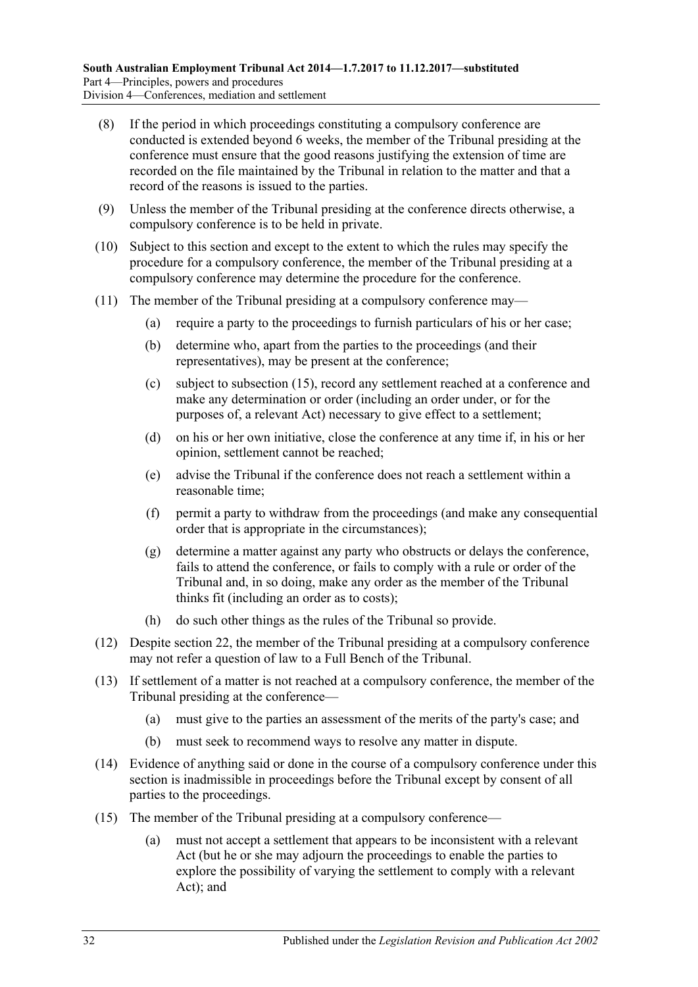- (8) If the period in which proceedings constituting a compulsory conference are conducted is extended beyond 6 weeks, the member of the Tribunal presiding at the conference must ensure that the good reasons justifying the extension of time are recorded on the file maintained by the Tribunal in relation to the matter and that a record of the reasons is issued to the parties.
- (9) Unless the member of the Tribunal presiding at the conference directs otherwise, a compulsory conference is to be held in private.
- (10) Subject to this section and except to the extent to which the rules may specify the procedure for a compulsory conference, the member of the Tribunal presiding at a compulsory conference may determine the procedure for the conference.
- (11) The member of the Tribunal presiding at a compulsory conference may—
	- (a) require a party to the proceedings to furnish particulars of his or her case;
	- (b) determine who, apart from the parties to the proceedings (and their representatives), may be present at the conference;
	- (c) subject to [subsection](#page-31-0) (15), record any settlement reached at a conference and make any determination or order (including an order under, or for the purposes of, a relevant Act) necessary to give effect to a settlement;
	- (d) on his or her own initiative, close the conference at any time if, in his or her opinion, settlement cannot be reached;
	- (e) advise the Tribunal if the conference does not reach a settlement within a reasonable time;
	- (f) permit a party to withdraw from the proceedings (and make any consequential order that is appropriate in the circumstances);
	- (g) determine a matter against any party who obstructs or delays the conference, fails to attend the conference, or fails to comply with a rule or order of the Tribunal and, in so doing, make any order as the member of the Tribunal thinks fit (including an order as to costs);
	- (h) do such other things as the rules of the Tribunal so provide.
- (12) Despite [section](#page-18-1) 22, the member of the Tribunal presiding at a compulsory conference may not refer a question of law to a Full Bench of the Tribunal.
- (13) If settlement of a matter is not reached at a compulsory conference, the member of the Tribunal presiding at the conference—
	- (a) must give to the parties an assessment of the merits of the party's case; and
	- (b) must seek to recommend ways to resolve any matter in dispute.
- (14) Evidence of anything said or done in the course of a compulsory conference under this section is inadmissible in proceedings before the Tribunal except by consent of all parties to the proceedings.
- <span id="page-31-0"></span>(15) The member of the Tribunal presiding at a compulsory conference—
	- (a) must not accept a settlement that appears to be inconsistent with a relevant Act (but he or she may adjourn the proceedings to enable the parties to explore the possibility of varying the settlement to comply with a relevant Act); and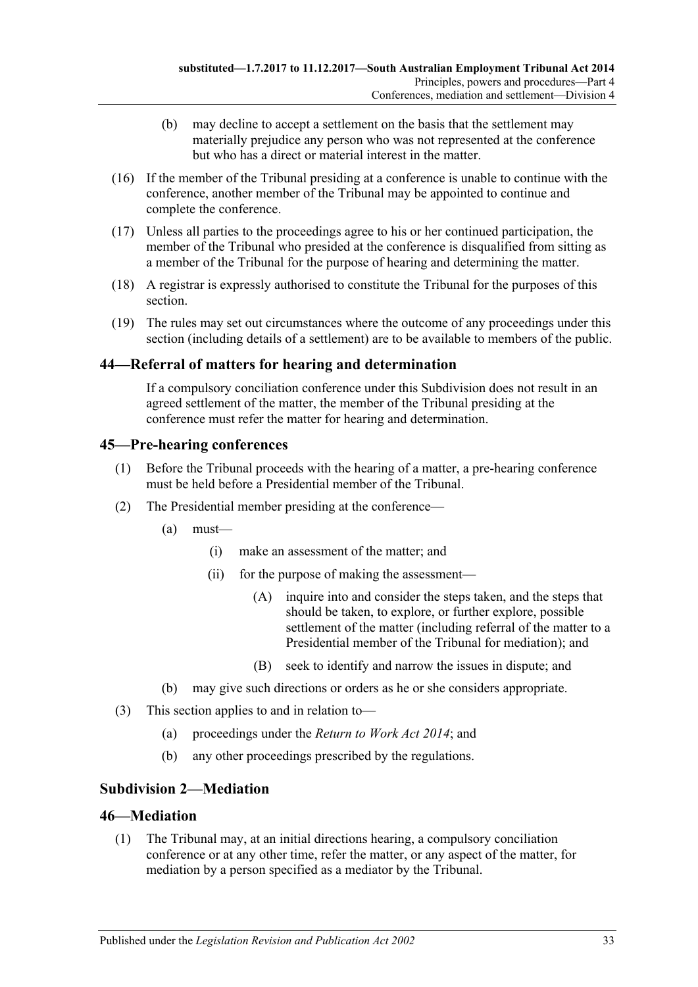- (b) may decline to accept a settlement on the basis that the settlement may materially prejudice any person who was not represented at the conference but who has a direct or material interest in the matter.
- (16) If the member of the Tribunal presiding at a conference is unable to continue with the conference, another member of the Tribunal may be appointed to continue and complete the conference.
- (17) Unless all parties to the proceedings agree to his or her continued participation, the member of the Tribunal who presided at the conference is disqualified from sitting as a member of the Tribunal for the purpose of hearing and determining the matter.
- (18) A registrar is expressly authorised to constitute the Tribunal for the purposes of this section.
- (19) The rules may set out circumstances where the outcome of any proceedings under this section (including details of a settlement) are to be available to members of the public.

# <span id="page-32-0"></span>**44—Referral of matters for hearing and determination**

If a compulsory conciliation conference under this Subdivision does not result in an agreed settlement of the matter, the member of the Tribunal presiding at the conference must refer the matter for hearing and determination.

# <span id="page-32-1"></span>**45—Pre-hearing conferences**

- (1) Before the Tribunal proceeds with the hearing of a matter, a pre-hearing conference must be held before a Presidential member of the Tribunal.
- (2) The Presidential member presiding at the conference—
	- (a) must—
		- (i) make an assessment of the matter; and
		- (ii) for the purpose of making the assessment—
			- (A) inquire into and consider the steps taken, and the steps that should be taken, to explore, or further explore, possible settlement of the matter (including referral of the matter to a Presidential member of the Tribunal for mediation); and
			- (B) seek to identify and narrow the issues in dispute; and
	- (b) may give such directions or orders as he or she considers appropriate.
- (3) This section applies to and in relation to—
	- (a) proceedings under the *[Return to Work Act](http://www.legislation.sa.gov.au/index.aspx?action=legref&type=act&legtitle=Return%20to%20Work%20Act%202014) 2014*; and
	- (b) any other proceedings prescribed by the regulations.

# <span id="page-32-2"></span>**Subdivision 2—Mediation**

# <span id="page-32-3"></span>**46—Mediation**

(1) The Tribunal may, at an initial directions hearing, a compulsory conciliation conference or at any other time, refer the matter, or any aspect of the matter, for mediation by a person specified as a mediator by the Tribunal.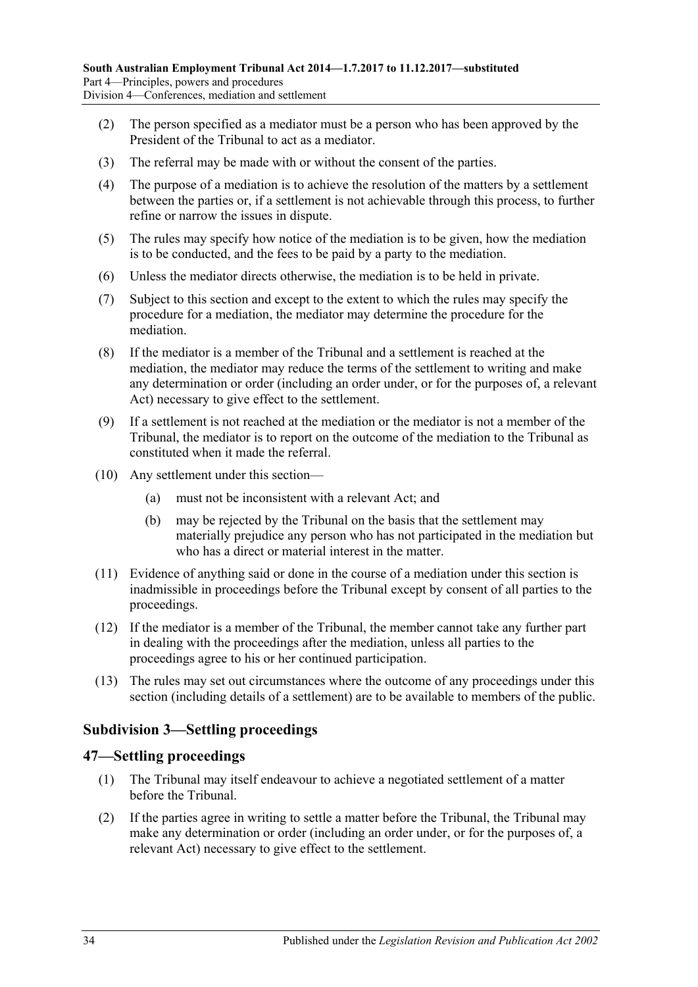- (2) The person specified as a mediator must be a person who has been approved by the President of the Tribunal to act as a mediator.
- (3) The referral may be made with or without the consent of the parties.
- (4) The purpose of a mediation is to achieve the resolution of the matters by a settlement between the parties or, if a settlement is not achievable through this process, to further refine or narrow the issues in dispute.
- (5) The rules may specify how notice of the mediation is to be given, how the mediation is to be conducted, and the fees to be paid by a party to the mediation.
- (6) Unless the mediator directs otherwise, the mediation is to be held in private.
- (7) Subject to this section and except to the extent to which the rules may specify the procedure for a mediation, the mediator may determine the procedure for the mediation.
- (8) If the mediator is a member of the Tribunal and a settlement is reached at the mediation, the mediator may reduce the terms of the settlement to writing and make any determination or order (including an order under, or for the purposes of, a relevant Act) necessary to give effect to the settlement.
- (9) If a settlement is not reached at the mediation or the mediator is not a member of the Tribunal, the mediator is to report on the outcome of the mediation to the Tribunal as constituted when it made the referral.
- (10) Any settlement under this section—
	- (a) must not be inconsistent with a relevant Act; and
	- (b) may be rejected by the Tribunal on the basis that the settlement may materially prejudice any person who has not participated in the mediation but who has a direct or material interest in the matter.
- (11) Evidence of anything said or done in the course of a mediation under this section is inadmissible in proceedings before the Tribunal except by consent of all parties to the proceedings.
- (12) If the mediator is a member of the Tribunal, the member cannot take any further part in dealing with the proceedings after the mediation, unless all parties to the proceedings agree to his or her continued participation.
- (13) The rules may set out circumstances where the outcome of any proceedings under this section (including details of a settlement) are to be available to members of the public.

# <span id="page-33-0"></span>**Subdivision 3—Settling proceedings**

#### <span id="page-33-1"></span>**47—Settling proceedings**

- (1) The Tribunal may itself endeavour to achieve a negotiated settlement of a matter before the Tribunal.
- <span id="page-33-2"></span>(2) If the parties agree in writing to settle a matter before the Tribunal, the Tribunal may make any determination or order (including an order under, or for the purposes of, a relevant Act) necessary to give effect to the settlement.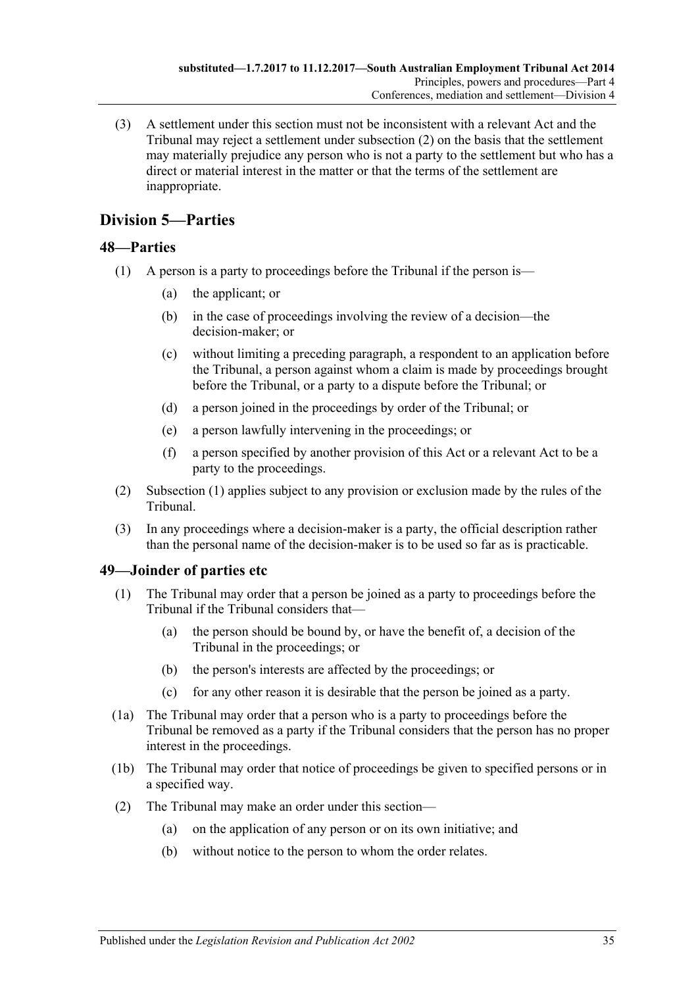(3) A settlement under this section must not be inconsistent with a relevant Act and the Tribunal may reject a settlement under [subsection](#page-33-2) (2) on the basis that the settlement may materially prejudice any person who is not a party to the settlement but who has a direct or material interest in the matter or that the terms of the settlement are inappropriate.

# <span id="page-34-0"></span>**Division 5—Parties**

# <span id="page-34-3"></span><span id="page-34-1"></span>**48—Parties**

- (1) A person is a party to proceedings before the Tribunal if the person is—
	- (a) the applicant; or
	- (b) in the case of proceedings involving the review of a decision—the decision-maker; or
	- (c) without limiting a preceding paragraph, a respondent to an application before the Tribunal, a person against whom a claim is made by proceedings brought before the Tribunal, or a party to a dispute before the Tribunal; or
	- (d) a person joined in the proceedings by order of the Tribunal; or
	- (e) a person lawfully intervening in the proceedings; or
	- (f) a person specified by another provision of this Act or a relevant Act to be a party to the proceedings.
- (2) [Subsection](#page-34-3) (1) applies subject to any provision or exclusion made by the rules of the Tribunal.
- (3) In any proceedings where a decision-maker is a party, the official description rather than the personal name of the decision-maker is to be used so far as is practicable.

# <span id="page-34-2"></span>**49—Joinder of parties etc**

- (1) The Tribunal may order that a person be joined as a party to proceedings before the Tribunal if the Tribunal considers that—
	- (a) the person should be bound by, or have the benefit of, a decision of the Tribunal in the proceedings; or
	- (b) the person's interests are affected by the proceedings; or
	- (c) for any other reason it is desirable that the person be joined as a party.
- (1a) The Tribunal may order that a person who is a party to proceedings before the Tribunal be removed as a party if the Tribunal considers that the person has no proper interest in the proceedings.
- (1b) The Tribunal may order that notice of proceedings be given to specified persons or in a specified way.
- (2) The Tribunal may make an order under this section—
	- (a) on the application of any person or on its own initiative; and
	- (b) without notice to the person to whom the order relates.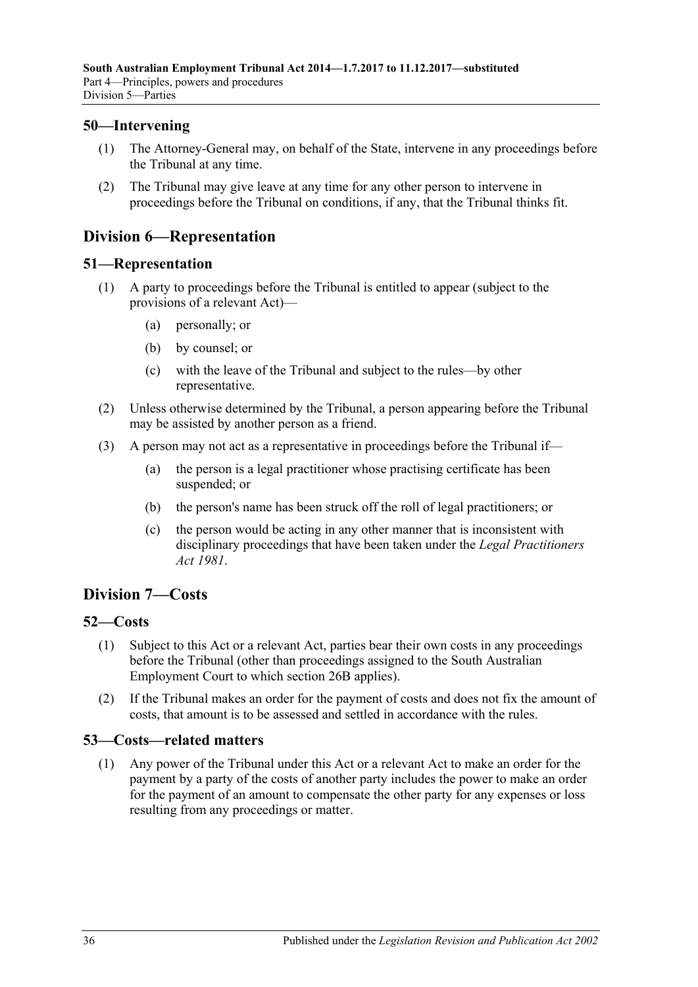# <span id="page-35-0"></span>**50—Intervening**

- (1) The Attorney-General may, on behalf of the State, intervene in any proceedings before the Tribunal at any time.
- (2) The Tribunal may give leave at any time for any other person to intervene in proceedings before the Tribunal on conditions, if any, that the Tribunal thinks fit.

# <span id="page-35-1"></span>**Division 6—Representation**

#### <span id="page-35-2"></span>**51—Representation**

- (1) A party to proceedings before the Tribunal is entitled to appear (subject to the provisions of a relevant Act)—
	- (a) personally; or
	- (b) by counsel; or
	- (c) with the leave of the Tribunal and subject to the rules—by other representative.
- (2) Unless otherwise determined by the Tribunal, a person appearing before the Tribunal may be assisted by another person as a friend.
- (3) A person may not act as a representative in proceedings before the Tribunal if—
	- (a) the person is a legal practitioner whose practising certificate has been suspended; or
	- (b) the person's name has been struck off the roll of legal practitioners; or
	- (c) the person would be acting in any other manner that is inconsistent with disciplinary proceedings that have been taken under the *[Legal Practitioners](http://www.legislation.sa.gov.au/index.aspx?action=legref&type=act&legtitle=Legal%20Practitioners%20Act%201981)  Act [1981](http://www.legislation.sa.gov.au/index.aspx?action=legref&type=act&legtitle=Legal%20Practitioners%20Act%201981)*.

# <span id="page-35-3"></span>**Division 7—Costs**

# <span id="page-35-4"></span>**52—Costs**

- (1) Subject to this Act or a relevant Act, parties bear their own costs in any proceedings before the Tribunal (other than proceedings assigned to the South Australian Employment Court to which [section](#page-19-3) 26B applies).
- (2) If the Tribunal makes an order for the payment of costs and does not fix the amount of costs, that amount is to be assessed and settled in accordance with the rules.

# <span id="page-35-5"></span>**53—Costs—related matters**

(1) Any power of the Tribunal under this Act or a relevant Act to make an order for the payment by a party of the costs of another party includes the power to make an order for the payment of an amount to compensate the other party for any expenses or loss resulting from any proceedings or matter.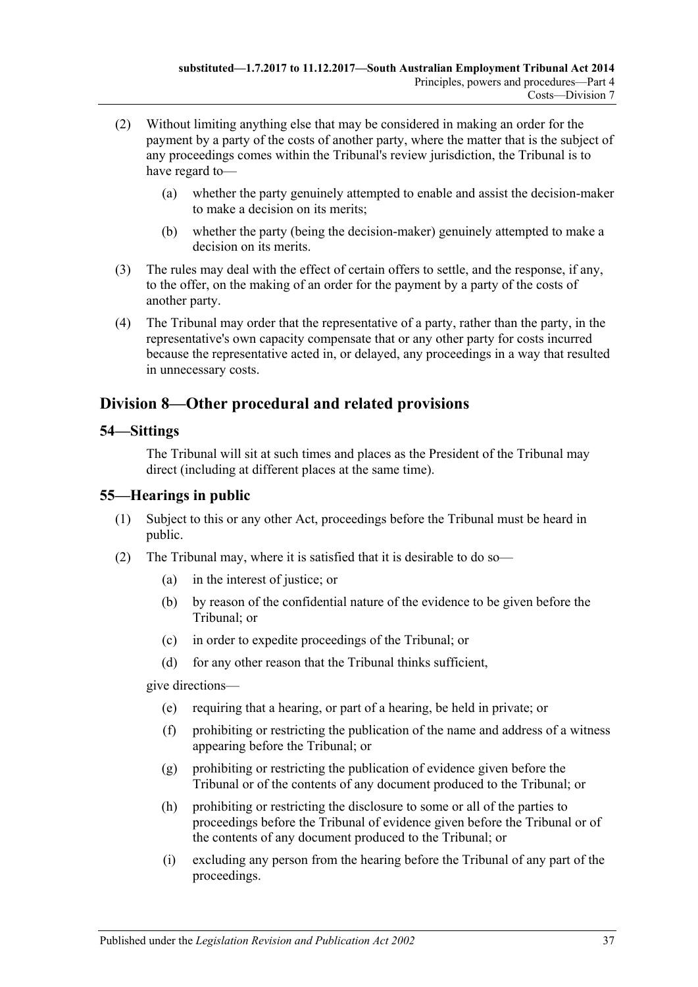- (2) Without limiting anything else that may be considered in making an order for the payment by a party of the costs of another party, where the matter that is the subject of any proceedings comes within the Tribunal's review jurisdiction, the Tribunal is to have regard to—
	- (a) whether the party genuinely attempted to enable and assist the decision-maker to make a decision on its merits;
	- (b) whether the party (being the decision-maker) genuinely attempted to make a decision on its merits.
- (3) The rules may deal with the effect of certain offers to settle, and the response, if any, to the offer, on the making of an order for the payment by a party of the costs of another party.
- (4) The Tribunal may order that the representative of a party, rather than the party, in the representative's own capacity compensate that or any other party for costs incurred because the representative acted in, or delayed, any proceedings in a way that resulted in unnecessary costs.

# <span id="page-36-0"></span>**Division 8—Other procedural and related provisions**

#### <span id="page-36-1"></span>**54—Sittings**

The Tribunal will sit at such times and places as the President of the Tribunal may direct (including at different places at the same time).

# <span id="page-36-2"></span>**55—Hearings in public**

- (1) Subject to this or any other Act, proceedings before the Tribunal must be heard in public.
- <span id="page-36-3"></span>(2) The Tribunal may, where it is satisfied that it is desirable to do so—
	- (a) in the interest of justice; or
	- (b) by reason of the confidential nature of the evidence to be given before the Tribunal; or
	- (c) in order to expedite proceedings of the Tribunal; or
	- (d) for any other reason that the Tribunal thinks sufficient,

give directions—

- (e) requiring that a hearing, or part of a hearing, be held in private; or
- (f) prohibiting or restricting the publication of the name and address of a witness appearing before the Tribunal; or
- (g) prohibiting or restricting the publication of evidence given before the Tribunal or of the contents of any document produced to the Tribunal; or
- (h) prohibiting or restricting the disclosure to some or all of the parties to proceedings before the Tribunal of evidence given before the Tribunal or of the contents of any document produced to the Tribunal; or
- (i) excluding any person from the hearing before the Tribunal of any part of the proceedings.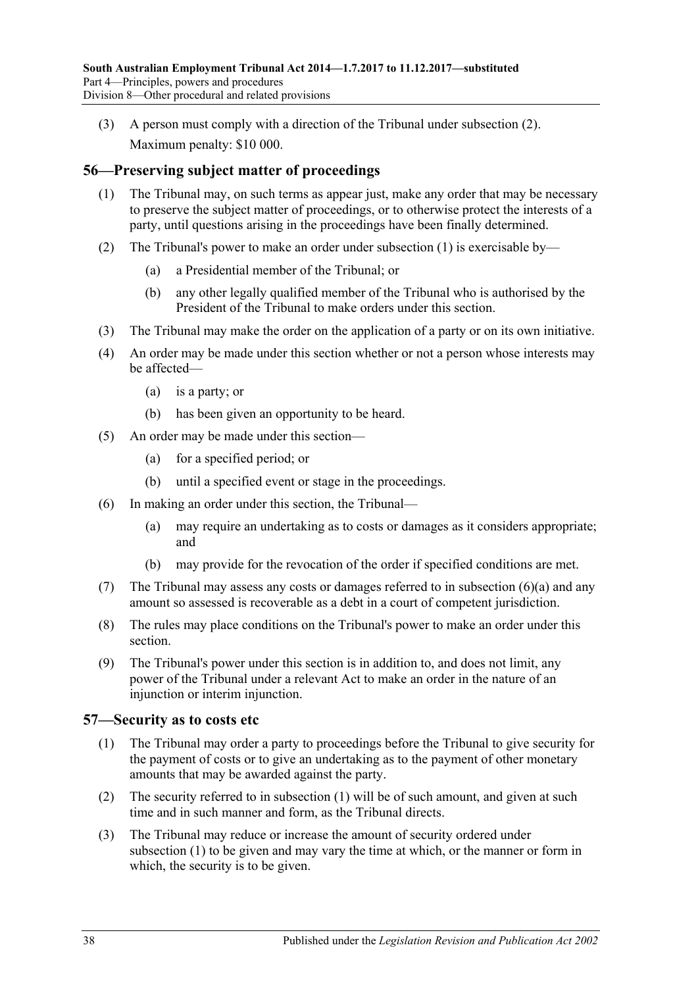(3) A person must comply with a direction of the Tribunal under [subsection](#page-36-3) (2). Maximum penalty: \$10 000.

# <span id="page-37-2"></span><span id="page-37-0"></span>**56—Preserving subject matter of proceedings**

- (1) The Tribunal may, on such terms as appear just, make any order that may be necessary to preserve the subject matter of proceedings, or to otherwise protect the interests of a party, until questions arising in the proceedings have been finally determined.
- (2) The Tribunal's power to make an order under [subsection](#page-37-2) (1) is exercisable by—
	- (a) a Presidential member of the Tribunal; or
	- (b) any other legally qualified member of the Tribunal who is authorised by the President of the Tribunal to make orders under this section.
- (3) The Tribunal may make the order on the application of a party or on its own initiative.
- (4) An order may be made under this section whether or not a person whose interests may be affected—
	- (a) is a party; or
	- (b) has been given an opportunity to be heard.
- (5) An order may be made under this section—
	- (a) for a specified period; or
	- (b) until a specified event or stage in the proceedings.
- <span id="page-37-3"></span>(6) In making an order under this section, the Tribunal—
	- (a) may require an undertaking as to costs or damages as it considers appropriate; and
	- (b) may provide for the revocation of the order if specified conditions are met.
- (7) The Tribunal may assess any costs or damages referred to in [subsection](#page-37-3) (6)(a) and any amount so assessed is recoverable as a debt in a court of competent jurisdiction.
- (8) The rules may place conditions on the Tribunal's power to make an order under this section.
- (9) The Tribunal's power under this section is in addition to, and does not limit, any power of the Tribunal under a relevant Act to make an order in the nature of an injunction or interim injunction.

# <span id="page-37-4"></span><span id="page-37-1"></span>**57—Security as to costs etc**

- (1) The Tribunal may order a party to proceedings before the Tribunal to give security for the payment of costs or to give an undertaking as to the payment of other monetary amounts that may be awarded against the party.
- (2) The security referred to in [subsection](#page-37-4) (1) will be of such amount, and given at such time and in such manner and form, as the Tribunal directs.
- (3) The Tribunal may reduce or increase the amount of security ordered under [subsection](#page-37-4) (1) to be given and may vary the time at which, or the manner or form in which, the security is to be given.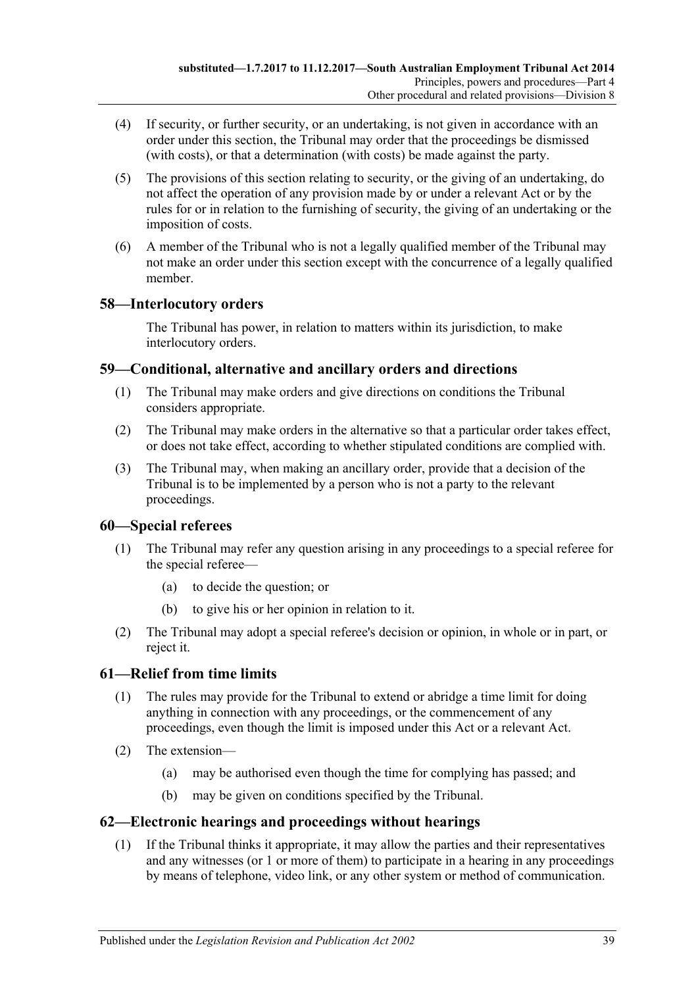- (4) If security, or further security, or an undertaking, is not given in accordance with an order under this section, the Tribunal may order that the proceedings be dismissed (with costs), or that a determination (with costs) be made against the party.
- (5) The provisions of this section relating to security, or the giving of an undertaking, do not affect the operation of any provision made by or under a relevant Act or by the rules for or in relation to the furnishing of security, the giving of an undertaking or the imposition of costs.
- (6) A member of the Tribunal who is not a legally qualified member of the Tribunal may not make an order under this section except with the concurrence of a legally qualified member.

# <span id="page-38-0"></span>**58—Interlocutory orders**

The Tribunal has power, in relation to matters within its jurisdiction, to make interlocutory orders.

# <span id="page-38-1"></span>**59—Conditional, alternative and ancillary orders and directions**

- (1) The Tribunal may make orders and give directions on conditions the Tribunal considers appropriate.
- (2) The Tribunal may make orders in the alternative so that a particular order takes effect, or does not take effect, according to whether stipulated conditions are complied with.
- (3) The Tribunal may, when making an ancillary order, provide that a decision of the Tribunal is to be implemented by a person who is not a party to the relevant proceedings.

# <span id="page-38-2"></span>**60—Special referees**

- (1) The Tribunal may refer any question arising in any proceedings to a special referee for the special referee—
	- (a) to decide the question; or
	- (b) to give his or her opinion in relation to it.
- (2) The Tribunal may adopt a special referee's decision or opinion, in whole or in part, or reject it.

# <span id="page-38-3"></span>**61—Relief from time limits**

- (1) The rules may provide for the Tribunal to extend or abridge a time limit for doing anything in connection with any proceedings, or the commencement of any proceedings, even though the limit is imposed under this Act or a relevant Act.
- (2) The extension—
	- (a) may be authorised even though the time for complying has passed; and
	- (b) may be given on conditions specified by the Tribunal.

# <span id="page-38-4"></span>**62—Electronic hearings and proceedings without hearings**

(1) If the Tribunal thinks it appropriate, it may allow the parties and their representatives and any witnesses (or 1 or more of them) to participate in a hearing in any proceedings by means of telephone, video link, or any other system or method of communication.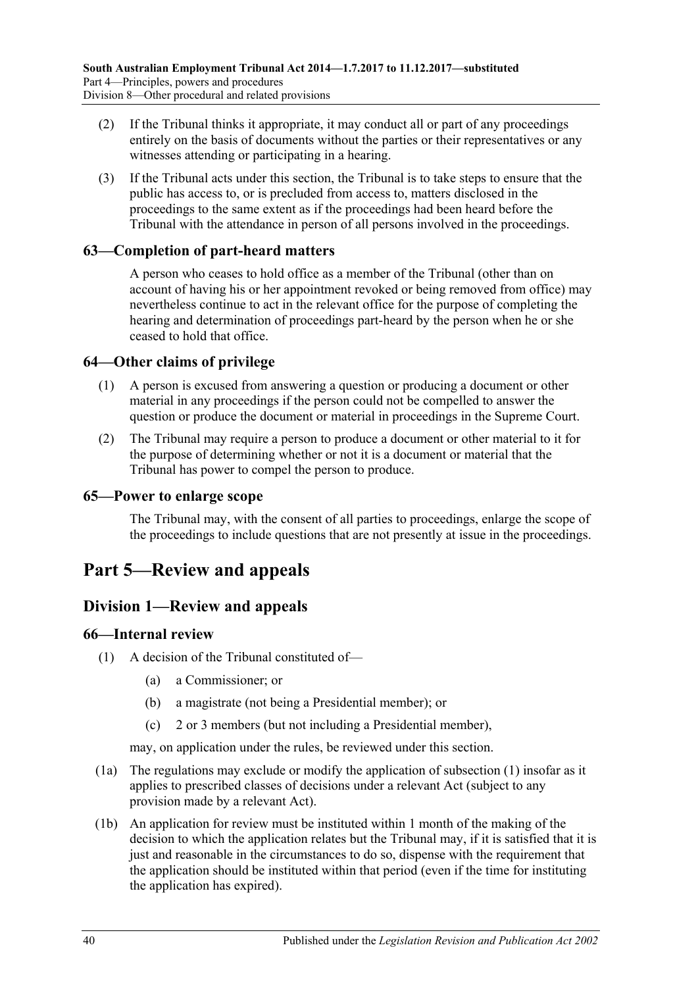- (2) If the Tribunal thinks it appropriate, it may conduct all or part of any proceedings entirely on the basis of documents without the parties or their representatives or any witnesses attending or participating in a hearing.
- (3) If the Tribunal acts under this section, the Tribunal is to take steps to ensure that the public has access to, or is precluded from access to, matters disclosed in the proceedings to the same extent as if the proceedings had been heard before the Tribunal with the attendance in person of all persons involved in the proceedings.

# <span id="page-39-0"></span>**63—Completion of part-heard matters**

A person who ceases to hold office as a member of the Tribunal (other than on account of having his or her appointment revoked or being removed from office) may nevertheless continue to act in the relevant office for the purpose of completing the hearing and determination of proceedings part-heard by the person when he or she ceased to hold that office.

# <span id="page-39-1"></span>**64—Other claims of privilege**

- (1) A person is excused from answering a question or producing a document or other material in any proceedings if the person could not be compelled to answer the question or produce the document or material in proceedings in the Supreme Court.
- (2) The Tribunal may require a person to produce a document or other material to it for the purpose of determining whether or not it is a document or material that the Tribunal has power to compel the person to produce.

# <span id="page-39-2"></span>**65—Power to enlarge scope**

The Tribunal may, with the consent of all parties to proceedings, enlarge the scope of the proceedings to include questions that are not presently at issue in the proceedings.

# <span id="page-39-3"></span>**Part 5—Review and appeals**

# <span id="page-39-4"></span>**Division 1—Review and appeals**

# <span id="page-39-6"></span><span id="page-39-5"></span>**66—Internal review**

- (1) A decision of the Tribunal constituted of—
	- (a) a Commissioner; or
	- (b) a magistrate (not being a Presidential member); or
	- (c) 2 or 3 members (but not including a Presidential member),

may, on application under the rules, be reviewed under this section.

- (1a) The regulations may exclude or modify the application of [subsection](#page-39-6) (1) insofar as it applies to prescribed classes of decisions under a relevant Act (subject to any provision made by a relevant Act).
- (1b) An application for review must be instituted within 1 month of the making of the decision to which the application relates but the Tribunal may, if it is satisfied that it is just and reasonable in the circumstances to do so, dispense with the requirement that the application should be instituted within that period (even if the time for instituting the application has expired).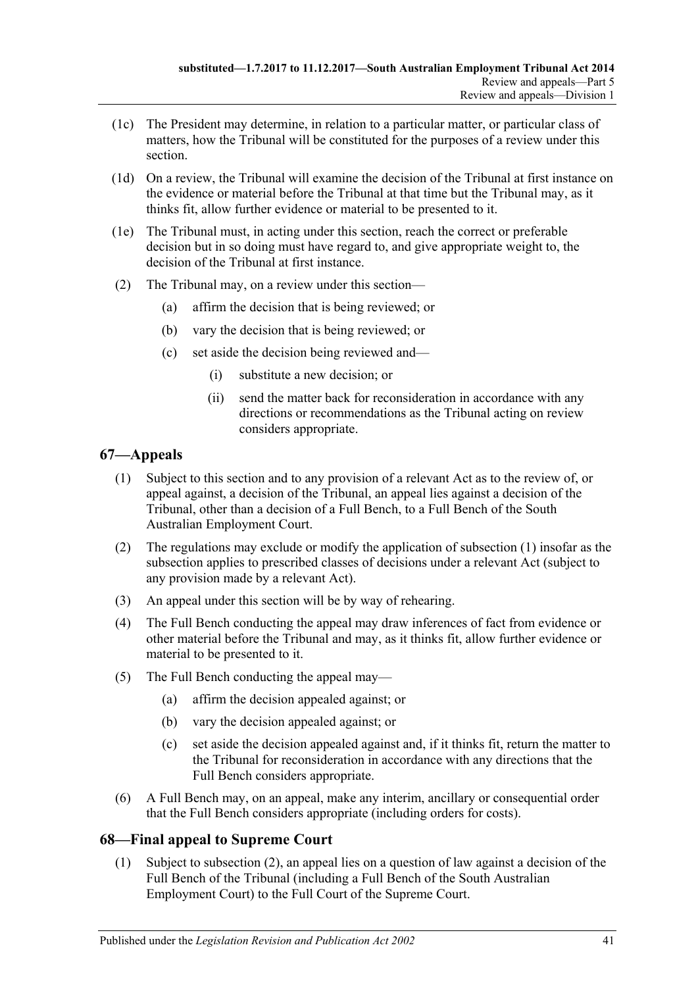- (1c) The President may determine, in relation to a particular matter, or particular class of matters, how the Tribunal will be constituted for the purposes of a review under this section.
- (1d) On a review, the Tribunal will examine the decision of the Tribunal at first instance on the evidence or material before the Tribunal at that time but the Tribunal may, as it thinks fit, allow further evidence or material to be presented to it.
- (1e) The Tribunal must, in acting under this section, reach the correct or preferable decision but in so doing must have regard to, and give appropriate weight to, the decision of the Tribunal at first instance.
- (2) The Tribunal may, on a review under this section—
	- (a) affirm the decision that is being reviewed; or
	- (b) vary the decision that is being reviewed; or
	- (c) set aside the decision being reviewed and—
		- (i) substitute a new decision; or
		- (ii) send the matter back for reconsideration in accordance with any directions or recommendations as the Tribunal acting on review considers appropriate.

# <span id="page-40-2"></span><span id="page-40-0"></span>**67—Appeals**

- (1) Subject to this section and to any provision of a relevant Act as to the review of, or appeal against, a decision of the Tribunal, an appeal lies against a decision of the Tribunal, other than a decision of a Full Bench, to a Full Bench of the South Australian Employment Court.
- (2) The regulations may exclude or modify the application of [subsection](#page-40-2) (1) insofar as the subsection applies to prescribed classes of decisions under a relevant Act (subject to any provision made by a relevant Act).
- (3) An appeal under this section will be by way of rehearing.
- (4) The Full Bench conducting the appeal may draw inferences of fact from evidence or other material before the Tribunal and may, as it thinks fit, allow further evidence or material to be presented to it.
- (5) The Full Bench conducting the appeal may—
	- (a) affirm the decision appealed against; or
	- (b) vary the decision appealed against; or
	- (c) set aside the decision appealed against and, if it thinks fit, return the matter to the Tribunal for reconsideration in accordance with any directions that the Full Bench considers appropriate.
- (6) A Full Bench may, on an appeal, make any interim, ancillary or consequential order that the Full Bench considers appropriate (including orders for costs).

# <span id="page-40-1"></span>**68—Final appeal to Supreme Court**

(1) Subject to [subsection](#page-41-6) (2), an appeal lies on a question of law against a decision of the Full Bench of the Tribunal (including a Full Bench of the South Australian Employment Court) to the Full Court of the Supreme Court.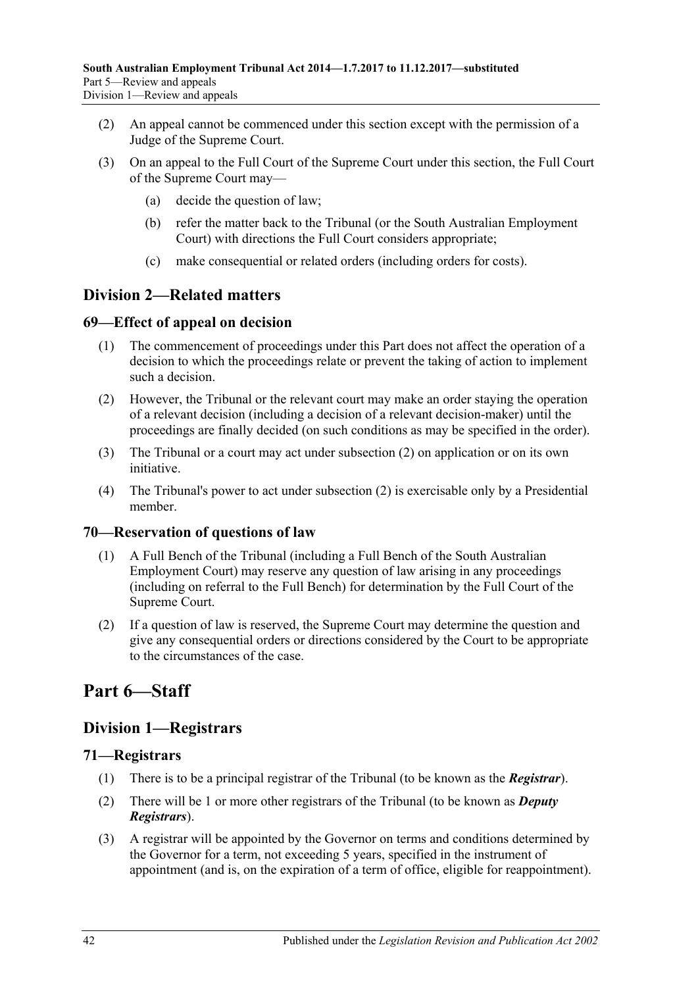- <span id="page-41-6"></span>(2) An appeal cannot be commenced under this section except with the permission of a Judge of the Supreme Court.
- (3) On an appeal to the Full Court of the Supreme Court under this section, the Full Court of the Supreme Court may—
	- (a) decide the question of law;
	- (b) refer the matter back to the Tribunal (or the South Australian Employment Court) with directions the Full Court considers appropriate;
	- (c) make consequential or related orders (including orders for costs).

# <span id="page-41-0"></span>**Division 2—Related matters**

# <span id="page-41-1"></span>**69—Effect of appeal on decision**

- (1) The commencement of proceedings under this Part does not affect the operation of a decision to which the proceedings relate or prevent the taking of action to implement such a decision.
- <span id="page-41-7"></span>(2) However, the Tribunal or the relevant court may make an order staying the operation of a relevant decision (including a decision of a relevant decision-maker) until the proceedings are finally decided (on such conditions as may be specified in the order).
- (3) The Tribunal or a court may act under [subsection](#page-41-7) (2) on application or on its own initiative.
- (4) The Tribunal's power to act under [subsection](#page-41-7) (2) is exercisable only by a Presidential member.

# <span id="page-41-2"></span>**70—Reservation of questions of law**

- (1) A Full Bench of the Tribunal (including a Full Bench of the South Australian Employment Court) may reserve any question of law arising in any proceedings (including on referral to the Full Bench) for determination by the Full Court of the Supreme Court.
- (2) If a question of law is reserved, the Supreme Court may determine the question and give any consequential orders or directions considered by the Court to be appropriate to the circumstances of the case.

# <span id="page-41-3"></span>**Part 6—Staff**

# <span id="page-41-4"></span>**Division 1—Registrars**

# <span id="page-41-5"></span>**71—Registrars**

- (1) There is to be a principal registrar of the Tribunal (to be known as the *Registrar*).
- (2) There will be 1 or more other registrars of the Tribunal (to be known as *Deputy Registrars*).
- (3) A registrar will be appointed by the Governor on terms and conditions determined by the Governor for a term, not exceeding 5 years, specified in the instrument of appointment (and is, on the expiration of a term of office, eligible for reappointment).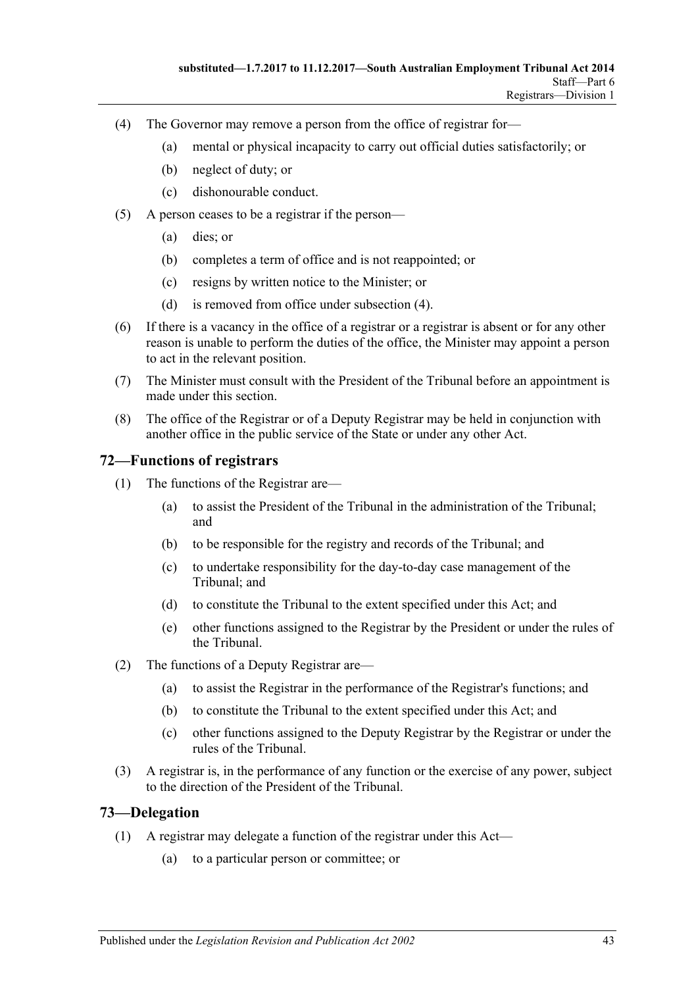- <span id="page-42-2"></span>(4) The Governor may remove a person from the office of registrar for—
	- (a) mental or physical incapacity to carry out official duties satisfactorily; or
	- (b) neglect of duty; or
	- (c) dishonourable conduct.
- (5) A person ceases to be a registrar if the person—
	- (a) dies; or
	- (b) completes a term of office and is not reappointed; or
	- (c) resigns by written notice to the Minister; or
	- (d) is removed from office under [subsection](#page-42-2) (4).
- (6) If there is a vacancy in the office of a registrar or a registrar is absent or for any other reason is unable to perform the duties of the office, the Minister may appoint a person to act in the relevant position.
- (7) The Minister must consult with the President of the Tribunal before an appointment is made under this section.
- (8) The office of the Registrar or of a Deputy Registrar may be held in conjunction with another office in the public service of the State or under any other Act.

# <span id="page-42-0"></span>**72—Functions of registrars**

- (1) The functions of the Registrar are—
	- (a) to assist the President of the Tribunal in the administration of the Tribunal; and
	- (b) to be responsible for the registry and records of the Tribunal; and
	- (c) to undertake responsibility for the day-to-day case management of the Tribunal; and
	- (d) to constitute the Tribunal to the extent specified under this Act; and
	- (e) other functions assigned to the Registrar by the President or under the rules of the Tribunal.
- (2) The functions of a Deputy Registrar are—
	- (a) to assist the Registrar in the performance of the Registrar's functions; and
	- (b) to constitute the Tribunal to the extent specified under this Act; and
	- (c) other functions assigned to the Deputy Registrar by the Registrar or under the rules of the Tribunal.
- (3) A registrar is, in the performance of any function or the exercise of any power, subject to the direction of the President of the Tribunal.

#### <span id="page-42-3"></span><span id="page-42-1"></span>**73—Delegation**

- (1) A registrar may delegate a function of the registrar under this Act—
	- (a) to a particular person or committee; or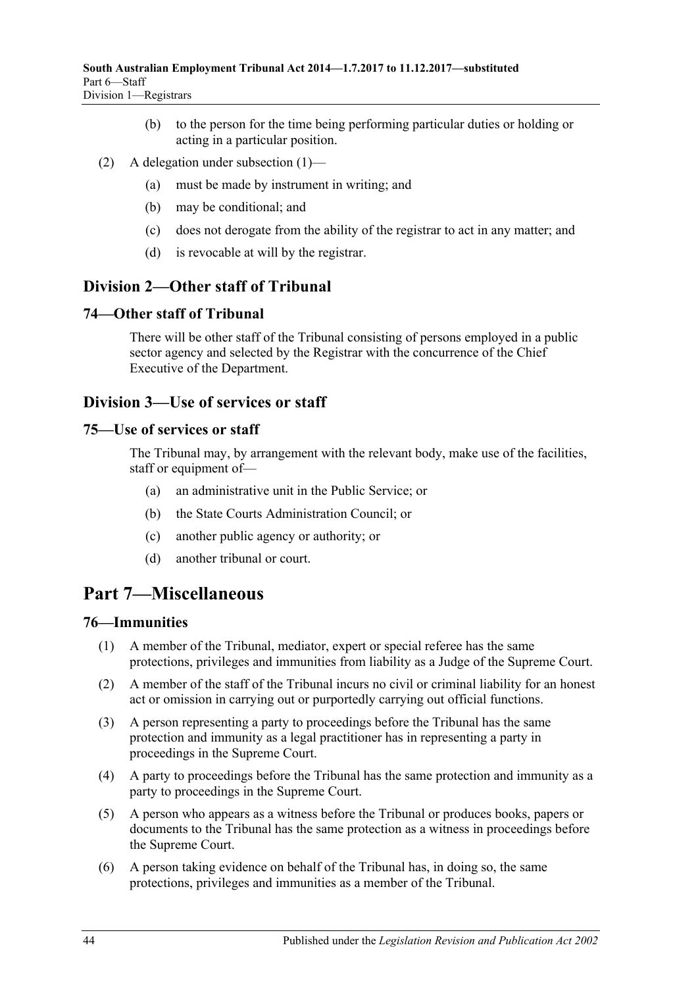- (b) to the person for the time being performing particular duties or holding or acting in a particular position.
- (2) A delegation under [subsection](#page-42-3) (1)—
	- (a) must be made by instrument in writing; and
	- (b) may be conditional; and
	- (c) does not derogate from the ability of the registrar to act in any matter; and
	- (d) is revocable at will by the registrar.

# <span id="page-43-0"></span>**Division 2—Other staff of Tribunal**

# <span id="page-43-1"></span>**74—Other staff of Tribunal**

There will be other staff of the Tribunal consisting of persons employed in a public sector agency and selected by the Registrar with the concurrence of the Chief Executive of the Department.

# <span id="page-43-2"></span>**Division 3—Use of services or staff**

#### <span id="page-43-3"></span>**75—Use of services or staff**

The Tribunal may, by arrangement with the relevant body, make use of the facilities, staff or equipment of—

- (a) an administrative unit in the Public Service; or
- (b) the State Courts Administration Council; or
- (c) another public agency or authority; or
- (d) another tribunal or court.

# <span id="page-43-4"></span>**Part 7—Miscellaneous**

# <span id="page-43-5"></span>**76—Immunities**

- (1) A member of the Tribunal, mediator, expert or special referee has the same protections, privileges and immunities from liability as a Judge of the Supreme Court.
- (2) A member of the staff of the Tribunal incurs no civil or criminal liability for an honest act or omission in carrying out or purportedly carrying out official functions.
- (3) A person representing a party to proceedings before the Tribunal has the same protection and immunity as a legal practitioner has in representing a party in proceedings in the Supreme Court.
- (4) A party to proceedings before the Tribunal has the same protection and immunity as a party to proceedings in the Supreme Court.
- (5) A person who appears as a witness before the Tribunal or produces books, papers or documents to the Tribunal has the same protection as a witness in proceedings before the Supreme Court.
- (6) A person taking evidence on behalf of the Tribunal has, in doing so, the same protections, privileges and immunities as a member of the Tribunal.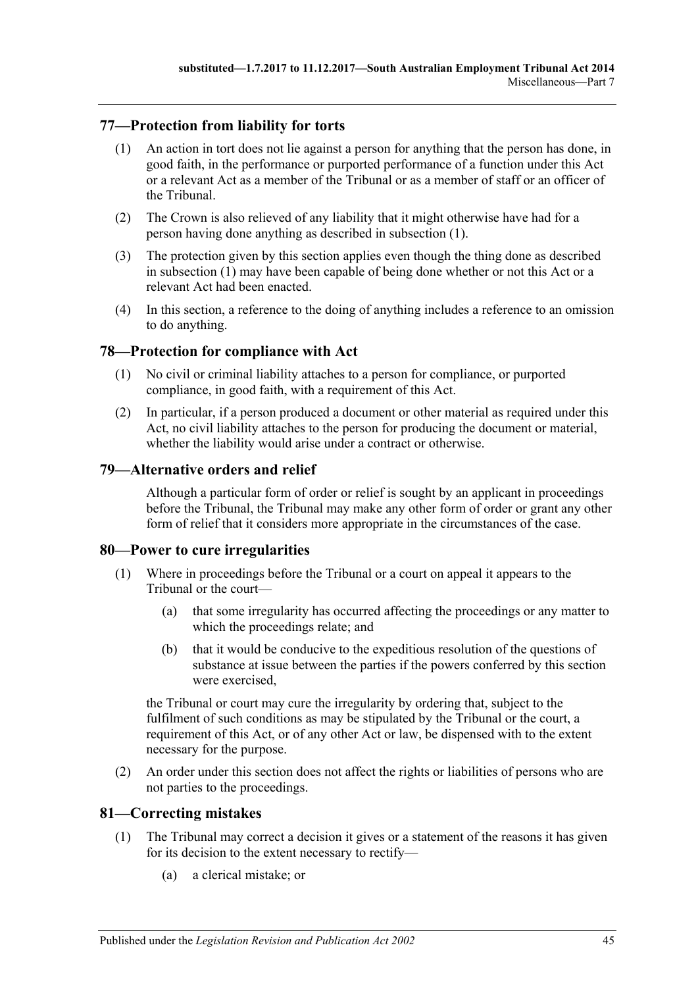# <span id="page-44-5"></span><span id="page-44-0"></span>**77—Protection from liability for torts**

- (1) An action in tort does not lie against a person for anything that the person has done, in good faith, in the performance or purported performance of a function under this Act or a relevant Act as a member of the Tribunal or as a member of staff or an officer of the Tribunal.
- (2) The Crown is also relieved of any liability that it might otherwise have had for a person having done anything as described in [subsection](#page-44-5) (1).
- (3) The protection given by this section applies even though the thing done as described in [subsection](#page-44-5) (1) may have been capable of being done whether or not this Act or a relevant Act had been enacted.
- (4) In this section, a reference to the doing of anything includes a reference to an omission to do anything.

# <span id="page-44-1"></span>**78—Protection for compliance with Act**

- (1) No civil or criminal liability attaches to a person for compliance, or purported compliance, in good faith, with a requirement of this Act.
- (2) In particular, if a person produced a document or other material as required under this Act, no civil liability attaches to the person for producing the document or material, whether the liability would arise under a contract or otherwise.

### <span id="page-44-2"></span>**79—Alternative orders and relief**

Although a particular form of order or relief is sought by an applicant in proceedings before the Tribunal, the Tribunal may make any other form of order or grant any other form of relief that it considers more appropriate in the circumstances of the case.

# <span id="page-44-3"></span>**80—Power to cure irregularities**

- (1) Where in proceedings before the Tribunal or a court on appeal it appears to the Tribunal or the court—
	- (a) that some irregularity has occurred affecting the proceedings or any matter to which the proceedings relate; and
	- (b) that it would be conducive to the expeditious resolution of the questions of substance at issue between the parties if the powers conferred by this section were exercised,

the Tribunal or court may cure the irregularity by ordering that, subject to the fulfilment of such conditions as may be stipulated by the Tribunal or the court, a requirement of this Act, or of any other Act or law, be dispensed with to the extent necessary for the purpose.

(2) An order under this section does not affect the rights or liabilities of persons who are not parties to the proceedings.

# <span id="page-44-4"></span>**81—Correcting mistakes**

- (1) The Tribunal may correct a decision it gives or a statement of the reasons it has given for its decision to the extent necessary to rectify—
	- (a) a clerical mistake; or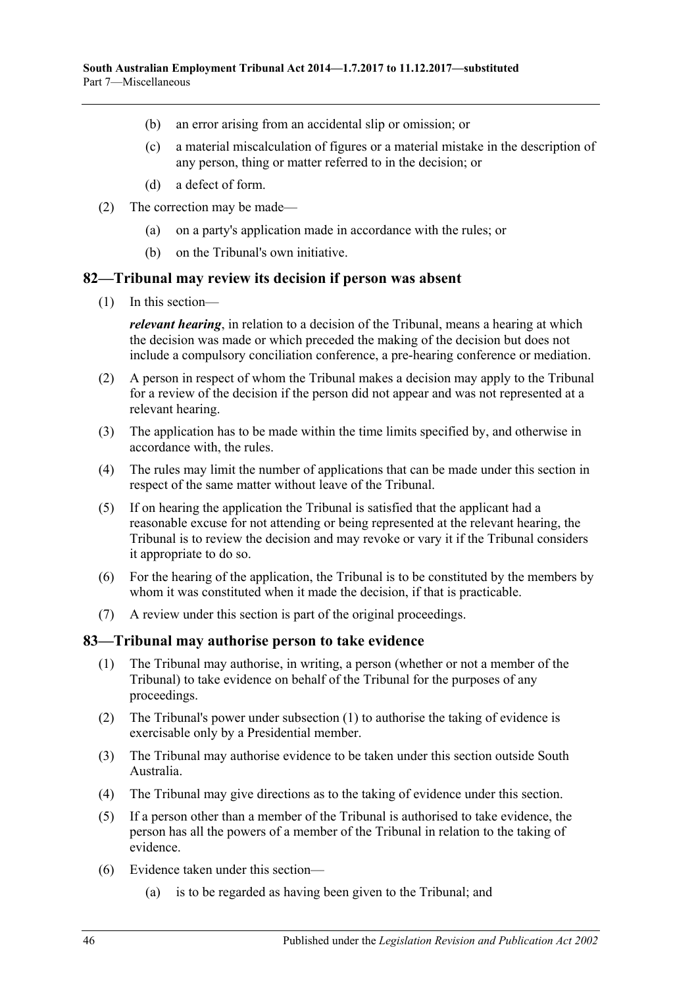- (b) an error arising from an accidental slip or omission; or
- (c) a material miscalculation of figures or a material mistake in the description of any person, thing or matter referred to in the decision; or
- (d) a defect of form.
- (2) The correction may be made—
	- (a) on a party's application made in accordance with the rules; or
	- (b) on the Tribunal's own initiative.

#### <span id="page-45-0"></span>**82—Tribunal may review its decision if person was absent**

(1) In this section—

*relevant hearing*, in relation to a decision of the Tribunal, means a hearing at which the decision was made or which preceded the making of the decision but does not include a compulsory conciliation conference, a pre-hearing conference or mediation.

- (2) A person in respect of whom the Tribunal makes a decision may apply to the Tribunal for a review of the decision if the person did not appear and was not represented at a relevant hearing.
- (3) The application has to be made within the time limits specified by, and otherwise in accordance with, the rules.
- (4) The rules may limit the number of applications that can be made under this section in respect of the same matter without leave of the Tribunal.
- (5) If on hearing the application the Tribunal is satisfied that the applicant had a reasonable excuse for not attending or being represented at the relevant hearing, the Tribunal is to review the decision and may revoke or vary it if the Tribunal considers it appropriate to do so.
- (6) For the hearing of the application, the Tribunal is to be constituted by the members by whom it was constituted when it made the decision, if that is practicable.
- (7) A review under this section is part of the original proceedings.

#### <span id="page-45-2"></span><span id="page-45-1"></span>**83—Tribunal may authorise person to take evidence**

- (1) The Tribunal may authorise, in writing, a person (whether or not a member of the Tribunal) to take evidence on behalf of the Tribunal for the purposes of any proceedings.
- (2) The Tribunal's power under [subsection](#page-45-2) (1) to authorise the taking of evidence is exercisable only by a Presidential member.
- (3) The Tribunal may authorise evidence to be taken under this section outside South Australia.
- (4) The Tribunal may give directions as to the taking of evidence under this section.
- (5) If a person other than a member of the Tribunal is authorised to take evidence, the person has all the powers of a member of the Tribunal in relation to the taking of evidence.
- (6) Evidence taken under this section—
	- (a) is to be regarded as having been given to the Tribunal; and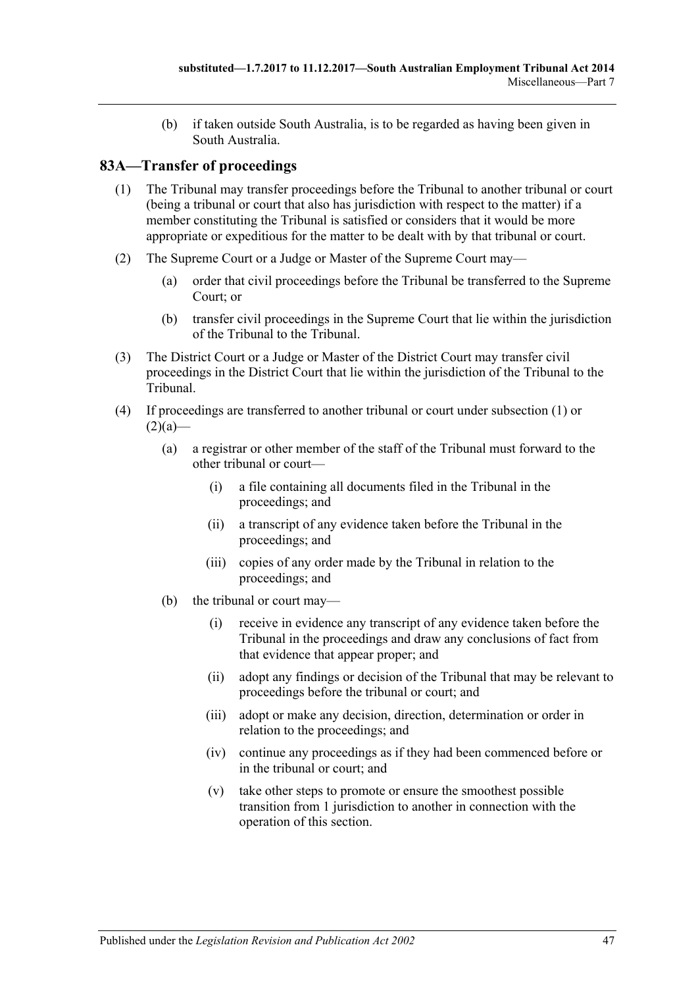(b) if taken outside South Australia, is to be regarded as having been given in South Australia.

# <span id="page-46-1"></span><span id="page-46-0"></span>**83A—Transfer of proceedings**

- (1) The Tribunal may transfer proceedings before the Tribunal to another tribunal or court (being a tribunal or court that also has jurisdiction with respect to the matter) if a member constituting the Tribunal is satisfied or considers that it would be more appropriate or expeditious for the matter to be dealt with by that tribunal or court.
- <span id="page-46-2"></span>(2) The Supreme Court or a Judge or Master of the Supreme Court may—
	- (a) order that civil proceedings before the Tribunal be transferred to the Supreme Court; or
	- (b) transfer civil proceedings in the Supreme Court that lie within the jurisdiction of the Tribunal to the Tribunal.
- <span id="page-46-4"></span><span id="page-46-3"></span>(3) The District Court or a Judge or Master of the District Court may transfer civil proceedings in the District Court that lie within the jurisdiction of the Tribunal to the Tribunal.
- (4) If proceedings are transferred to another tribunal or court under [subsection](#page-46-1) (1) or  $(2)(a)$ —
	- (a) a registrar or other member of the staff of the Tribunal must forward to the other tribunal or court—
		- (i) a file containing all documents filed in the Tribunal in the proceedings; and
		- (ii) a transcript of any evidence taken before the Tribunal in the proceedings; and
		- (iii) copies of any order made by the Tribunal in relation to the proceedings; and
	- (b) the tribunal or court may—
		- (i) receive in evidence any transcript of any evidence taken before the Tribunal in the proceedings and draw any conclusions of fact from that evidence that appear proper; and
		- (ii) adopt any findings or decision of the Tribunal that may be relevant to proceedings before the tribunal or court; and
		- (iii) adopt or make any decision, direction, determination or order in relation to the proceedings; and
		- (iv) continue any proceedings as if they had been commenced before or in the tribunal or court; and
		- (v) take other steps to promote or ensure the smoothest possible transition from 1 jurisdiction to another in connection with the operation of this section.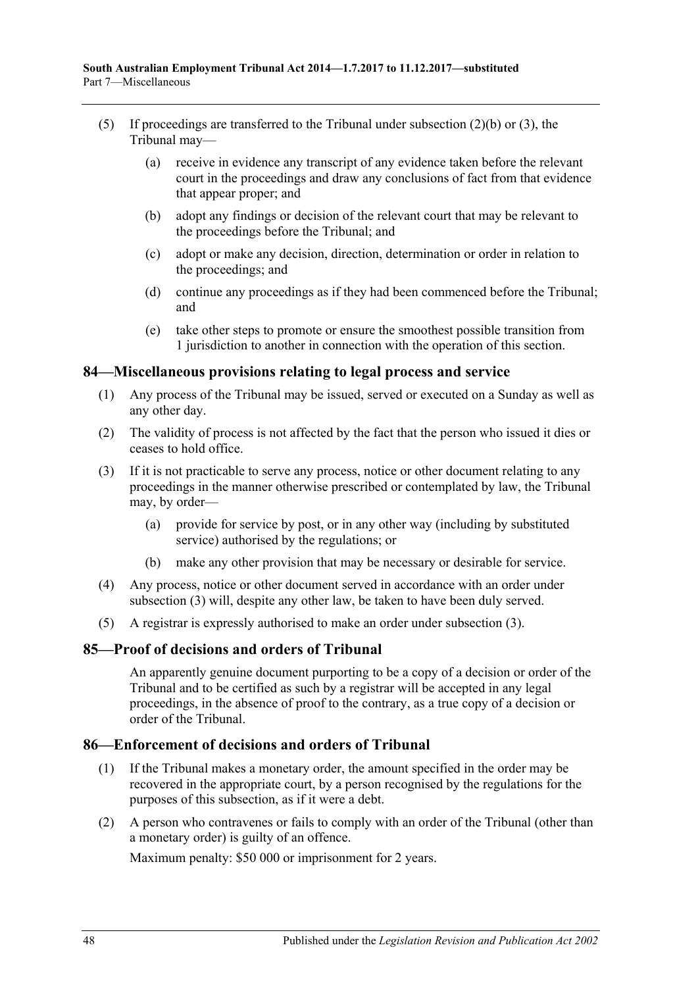- (5) If proceedings are transferred to the Tribunal under [subsection](#page-46-3) (2)(b) or [\(3\),](#page-46-4) the Tribunal may—
	- (a) receive in evidence any transcript of any evidence taken before the relevant court in the proceedings and draw any conclusions of fact from that evidence that appear proper; and
	- (b) adopt any findings or decision of the relevant court that may be relevant to the proceedings before the Tribunal; and
	- (c) adopt or make any decision, direction, determination or order in relation to the proceedings; and
	- (d) continue any proceedings as if they had been commenced before the Tribunal; and
	- (e) take other steps to promote or ensure the smoothest possible transition from 1 jurisdiction to another in connection with the operation of this section.

# <span id="page-47-0"></span>**84—Miscellaneous provisions relating to legal process and service**

- (1) Any process of the Tribunal may be issued, served or executed on a Sunday as well as any other day.
- (2) The validity of process is not affected by the fact that the person who issued it dies or ceases to hold office.
- <span id="page-47-3"></span>(3) If it is not practicable to serve any process, notice or other document relating to any proceedings in the manner otherwise prescribed or contemplated by law, the Tribunal may, by order—
	- (a) provide for service by post, or in any other way (including by substituted service) authorised by the regulations; or
	- (b) make any other provision that may be necessary or desirable for service.
- (4) Any process, notice or other document served in accordance with an order under [subsection](#page-47-3) (3) will, despite any other law, be taken to have been duly served.
- (5) A registrar is expressly authorised to make an order under [subsection](#page-47-3) (3).

# <span id="page-47-1"></span>**85—Proof of decisions and orders of Tribunal**

An apparently genuine document purporting to be a copy of a decision or order of the Tribunal and to be certified as such by a registrar will be accepted in any legal proceedings, in the absence of proof to the contrary, as a true copy of a decision or order of the Tribunal.

# <span id="page-47-2"></span>**86—Enforcement of decisions and orders of Tribunal**

- (1) If the Tribunal makes a monetary order, the amount specified in the order may be recovered in the appropriate court, by a person recognised by the regulations for the purposes of this subsection, as if it were a debt.
- (2) A person who contravenes or fails to comply with an order of the Tribunal (other than a monetary order) is guilty of an offence.

Maximum penalty: \$50 000 or imprisonment for 2 years.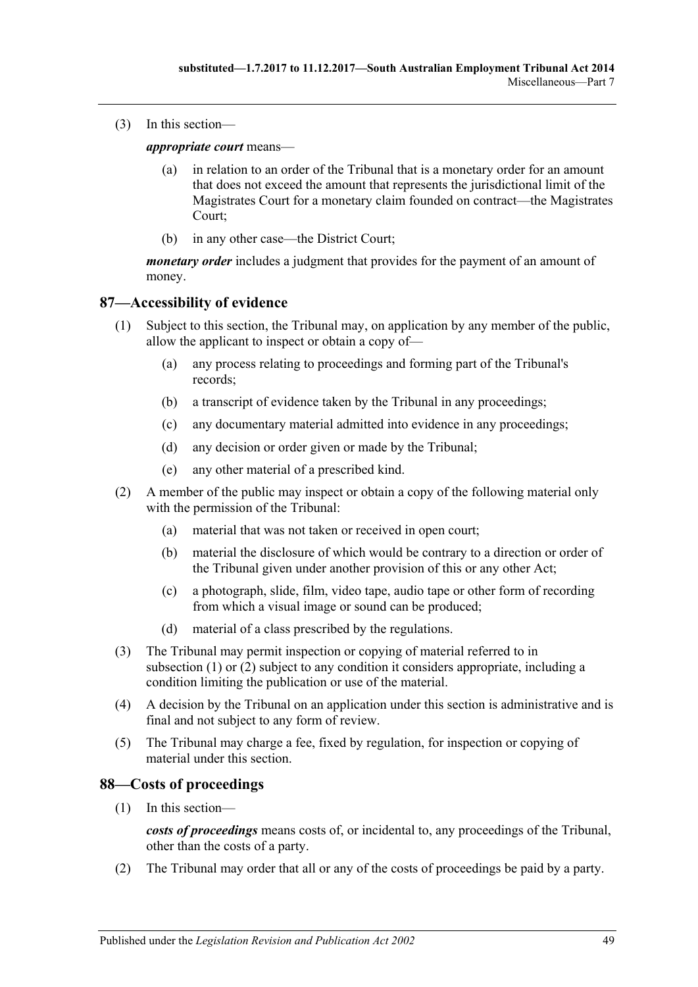(3) In this section—

*appropriate court* means—

- (a) in relation to an order of the Tribunal that is a monetary order for an amount that does not exceed the amount that represents the jurisdictional limit of the Magistrates Court for a monetary claim founded on contract—the Magistrates Court;
- (b) in any other case—the District Court;

*monetary order* includes a judgment that provides for the payment of an amount of money.

# <span id="page-48-2"></span><span id="page-48-0"></span>**87—Accessibility of evidence**

- (1) Subject to this section, the Tribunal may, on application by any member of the public, allow the applicant to inspect or obtain a copy of—
	- (a) any process relating to proceedings and forming part of the Tribunal's records;
	- (b) a transcript of evidence taken by the Tribunal in any proceedings;
	- (c) any documentary material admitted into evidence in any proceedings;
	- (d) any decision or order given or made by the Tribunal;
	- (e) any other material of a prescribed kind.
- <span id="page-48-3"></span>(2) A member of the public may inspect or obtain a copy of the following material only with the permission of the Tribunal:
	- (a) material that was not taken or received in open court;
	- (b) material the disclosure of which would be contrary to a direction or order of the Tribunal given under another provision of this or any other Act;
	- (c) a photograph, slide, film, video tape, audio tape or other form of recording from which a visual image or sound can be produced;
	- (d) material of a class prescribed by the regulations.
- (3) The Tribunal may permit inspection or copying of material referred to in [subsection](#page-48-2) (1) or [\(2\)](#page-48-3) subject to any condition it considers appropriate, including a condition limiting the publication or use of the material.
- (4) A decision by the Tribunal on an application under this section is administrative and is final and not subject to any form of review.
- (5) The Tribunal may charge a fee, fixed by regulation, for inspection or copying of material under this section.

# <span id="page-48-1"></span>**88—Costs of proceedings**

(1) In this section—

*costs of proceedings* means costs of, or incidental to, any proceedings of the Tribunal, other than the costs of a party.

(2) The Tribunal may order that all or any of the costs of proceedings be paid by a party.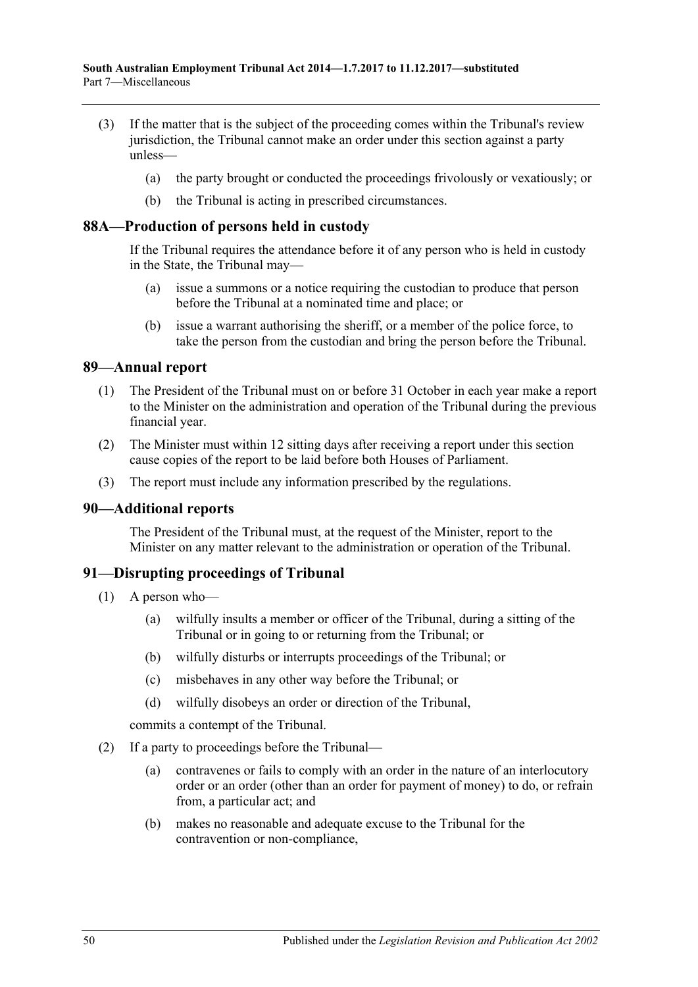- (3) If the matter that is the subject of the proceeding comes within the Tribunal's review jurisdiction, the Tribunal cannot make an order under this section against a party unless—
	- (a) the party brought or conducted the proceedings frivolously or vexatiously; or
	- (b) the Tribunal is acting in prescribed circumstances.

### <span id="page-49-0"></span>**88A—Production of persons held in custody**

If the Tribunal requires the attendance before it of any person who is held in custody in the State, the Tribunal may—

- (a) issue a summons or a notice requiring the custodian to produce that person before the Tribunal at a nominated time and place; or
- (b) issue a warrant authorising the sheriff, or a member of the police force, to take the person from the custodian and bring the person before the Tribunal.

#### <span id="page-49-1"></span>**89—Annual report**

- (1) The President of the Tribunal must on or before 31 October in each year make a report to the Minister on the administration and operation of the Tribunal during the previous financial year.
- (2) The Minister must within 12 sitting days after receiving a report under this section cause copies of the report to be laid before both Houses of Parliament.
- (3) The report must include any information prescribed by the regulations.

# <span id="page-49-2"></span>**90—Additional reports**

The President of the Tribunal must, at the request of the Minister, report to the Minister on any matter relevant to the administration or operation of the Tribunal.

# <span id="page-49-3"></span>**91—Disrupting proceedings of Tribunal**

- (1) A person who—
	- (a) wilfully insults a member or officer of the Tribunal, during a sitting of the Tribunal or in going to or returning from the Tribunal; or
	- (b) wilfully disturbs or interrupts proceedings of the Tribunal; or
	- (c) misbehaves in any other way before the Tribunal; or
	- (d) wilfully disobeys an order or direction of the Tribunal,

commits a contempt of the Tribunal.

- <span id="page-49-4"></span>(2) If a party to proceedings before the Tribunal—
	- (a) contravenes or fails to comply with an order in the nature of an interlocutory order or an order (other than an order for payment of money) to do, or refrain from, a particular act; and
	- (b) makes no reasonable and adequate excuse to the Tribunal for the contravention or non-compliance,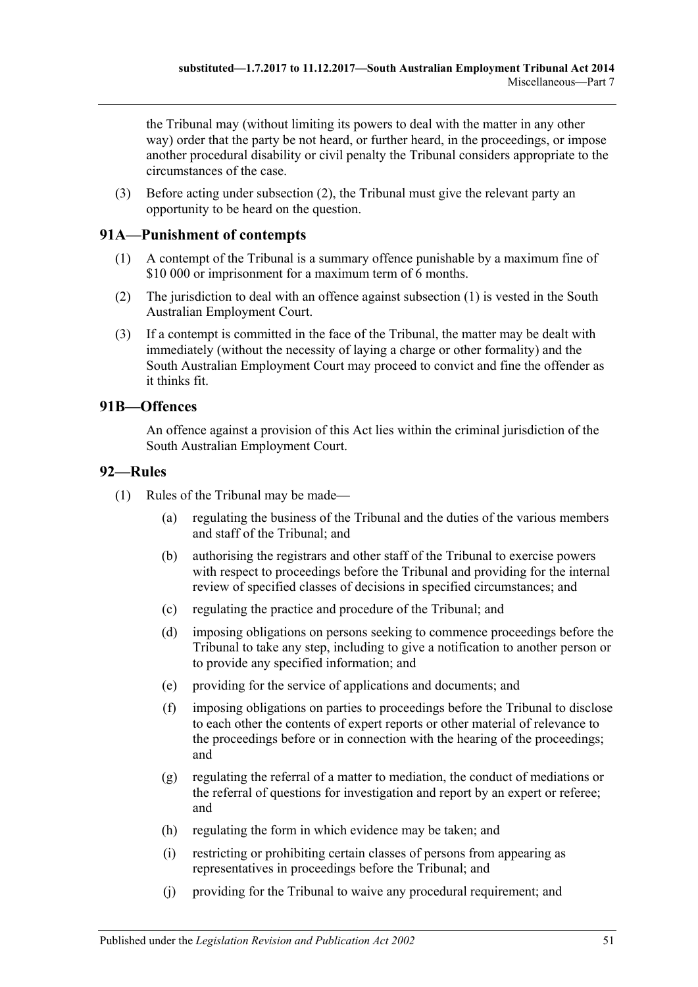the Tribunal may (without limiting its powers to deal with the matter in any other way) order that the party be not heard, or further heard, in the proceedings, or impose another procedural disability or civil penalty the Tribunal considers appropriate to the circumstances of the case.

(3) Before acting under [subsection](#page-49-4) (2), the Tribunal must give the relevant party an opportunity to be heard on the question.

# <span id="page-50-3"></span><span id="page-50-0"></span>**91A—Punishment of contempts**

- (1) A contempt of the Tribunal is a summary offence punishable by a maximum fine of \$10 000 or imprisonment for a maximum term of 6 months.
- (2) The jurisdiction to deal with an offence against [subsection](#page-50-3) (1) is vested in the South Australian Employment Court.
- (3) If a contempt is committed in the face of the Tribunal, the matter may be dealt with immediately (without the necessity of laying a charge or other formality) and the South Australian Employment Court may proceed to convict and fine the offender as it thinks fit.

# <span id="page-50-1"></span>**91B—Offences**

An offence against a provision of this Act lies within the criminal jurisdiction of the South Australian Employment Court.

# <span id="page-50-2"></span>**92—Rules**

- (1) Rules of the Tribunal may be made—
	- (a) regulating the business of the Tribunal and the duties of the various members and staff of the Tribunal; and
	- (b) authorising the registrars and other staff of the Tribunal to exercise powers with respect to proceedings before the Tribunal and providing for the internal review of specified classes of decisions in specified circumstances; and
	- (c) regulating the practice and procedure of the Tribunal; and
	- (d) imposing obligations on persons seeking to commence proceedings before the Tribunal to take any step, including to give a notification to another person or to provide any specified information; and
	- (e) providing for the service of applications and documents; and
	- (f) imposing obligations on parties to proceedings before the Tribunal to disclose to each other the contents of expert reports or other material of relevance to the proceedings before or in connection with the hearing of the proceedings; and
	- (g) regulating the referral of a matter to mediation, the conduct of mediations or the referral of questions for investigation and report by an expert or referee; and
	- (h) regulating the form in which evidence may be taken; and
	- (i) restricting or prohibiting certain classes of persons from appearing as representatives in proceedings before the Tribunal; and
	- (j) providing for the Tribunal to waive any procedural requirement; and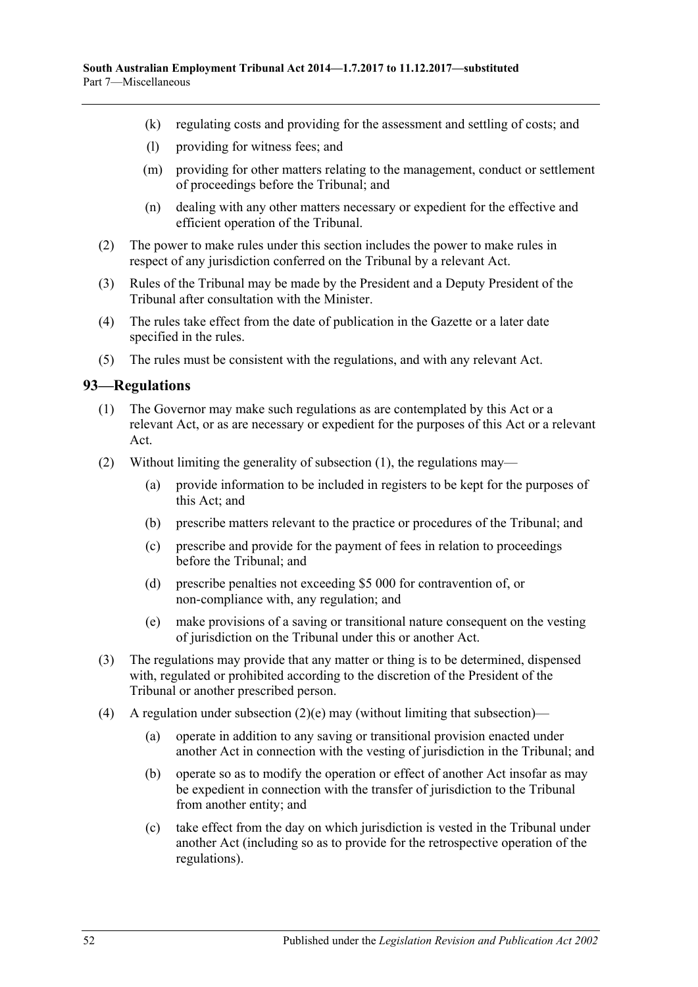- (k) regulating costs and providing for the assessment and settling of costs; and
- (l) providing for witness fees; and
- (m) providing for other matters relating to the management, conduct or settlement of proceedings before the Tribunal; and
- (n) dealing with any other matters necessary or expedient for the effective and efficient operation of the Tribunal.
- (2) The power to make rules under this section includes the power to make rules in respect of any jurisdiction conferred on the Tribunal by a relevant Act.
- (3) Rules of the Tribunal may be made by the President and a Deputy President of the Tribunal after consultation with the Minister.
- (4) The rules take effect from the date of publication in the Gazette or a later date specified in the rules.
- (5) The rules must be consistent with the regulations, and with any relevant Act.

#### <span id="page-51-1"></span><span id="page-51-0"></span>**93—Regulations**

- (1) The Governor may make such regulations as are contemplated by this Act or a relevant Act, or as are necessary or expedient for the purposes of this Act or a relevant Act.
- (2) Without limiting the generality of [subsection](#page-51-1) (1), the regulations may—
	- (a) provide information to be included in registers to be kept for the purposes of this Act; and
	- (b) prescribe matters relevant to the practice or procedures of the Tribunal; and
	- (c) prescribe and provide for the payment of fees in relation to proceedings before the Tribunal; and
	- (d) prescribe penalties not exceeding \$5 000 for contravention of, or non-compliance with, any regulation; and
	- (e) make provisions of a saving or transitional nature consequent on the vesting of jurisdiction on the Tribunal under this or another Act.
- <span id="page-51-2"></span>(3) The regulations may provide that any matter or thing is to be determined, dispensed with, regulated or prohibited according to the discretion of the President of the Tribunal or another prescribed person.
- (4) A regulation under [subsection](#page-51-2)  $(2)(e)$  may (without limiting that subsection)—
	- (a) operate in addition to any saving or transitional provision enacted under another Act in connection with the vesting of jurisdiction in the Tribunal; and
	- (b) operate so as to modify the operation or effect of another Act insofar as may be expedient in connection with the transfer of jurisdiction to the Tribunal from another entity; and
	- (c) take effect from the day on which jurisdiction is vested in the Tribunal under another Act (including so as to provide for the retrospective operation of the regulations).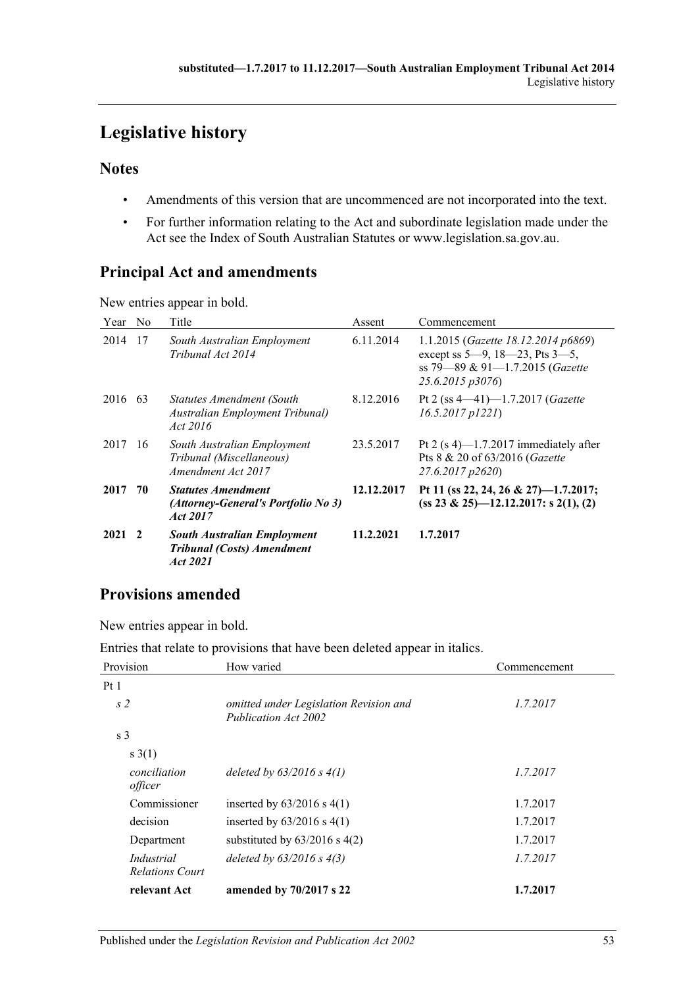# <span id="page-52-0"></span>**Legislative history**

# **Notes**

- Amendments of this version that are uncommenced are not incorporated into the text.
- For further information relating to the Act and subordinate legislation made under the Act see the Index of South Australian Statutes or www.legislation.sa.gov.au.

# **Principal Act and amendments**

New entries appear in bold.

| Year    | N <sub>0</sub> | Title                                                                               | Assent     | Commencement                                                                                                                          |
|---------|----------------|-------------------------------------------------------------------------------------|------------|---------------------------------------------------------------------------------------------------------------------------------------|
| 2014    | 17             | South Australian Employment<br>Tribunal Act 2014                                    | 6.11.2014  | 1.1.2015 (Gazette 18.12.2014 p6869)<br>except ss $5-9$ , $18-23$ , Pts $3-5$ ,<br>ss 79-89 & 91-1.7.2015 (Gazette<br>25.6.2015 p3076) |
| 2016 63 |                | Statutes Amendment (South<br>Australian Employment Tribunal)<br>Act 2016            | 8.12.2016  | Pt 2 (ss $4-41$ )-1.7.2017 ( <i>Gazette</i><br>$16.5.2017$ $p1221$ )                                                                  |
| 2017    | -16            | South Australian Employment<br>Tribunal (Miscellaneous)<br>Amendment Act 2017       | 23.5.2017  | Pt 2 $(s 4)$ —1.7.2017 immediately after<br>Pts 8 & 20 of 63/2016 (Gazette<br>27.6.2017 p2620)                                        |
| 2017    | 70             | <b>Statutes Amendment</b><br>(Attorney-General's Portfolio No 3)<br>Act 2017        | 12.12.2017 | Pt 11 (ss 22, 24, 26 & 27)-1.7.2017;<br>$(ss 23 \& 25)$ - 12.12.2017: s 2(1), (2)                                                     |
| 2021    | $\mathbf{2}$   | <b>South Australian Employment</b><br><b>Tribunal (Costs) Amendment</b><br>Act 2021 | 11.2.2021  | 1.7.2017                                                                                                                              |

# **Provisions amended**

New entries appear in bold.

Entries that relate to provisions that have been deleted appear in italics.

|                                      | 1 T                                                            |              |
|--------------------------------------|----------------------------------------------------------------|--------------|
| Provision                            | How varied                                                     | Commencement |
| Pt1                                  |                                                                |              |
| s <sub>2</sub>                       | omitted under Legislation Revision and<br>Publication Act 2002 | 1.7.2017     |
| s <sub>3</sub>                       |                                                                |              |
| s(1)                                 |                                                                |              |
| conciliation<br>officer              | deleted by $63/2016 s 4(1)$                                    | 1.7.2017     |
| Commissioner                         | inserted by $63/2016$ s $4(1)$                                 | 1.7.2017     |
| decision                             | inserted by $63/2016$ s $4(1)$                                 | 1.7.2017     |
| Department                           | substituted by $63/2016$ s $4(2)$                              | 1.7.2017     |
| Industrial<br><b>Relations Court</b> | deleted by $63/2016$ s $4(3)$                                  | 1.7.2017     |
| relevant Act                         | amended by 70/2017 s 22                                        | 1.7.2017     |
|                                      |                                                                |              |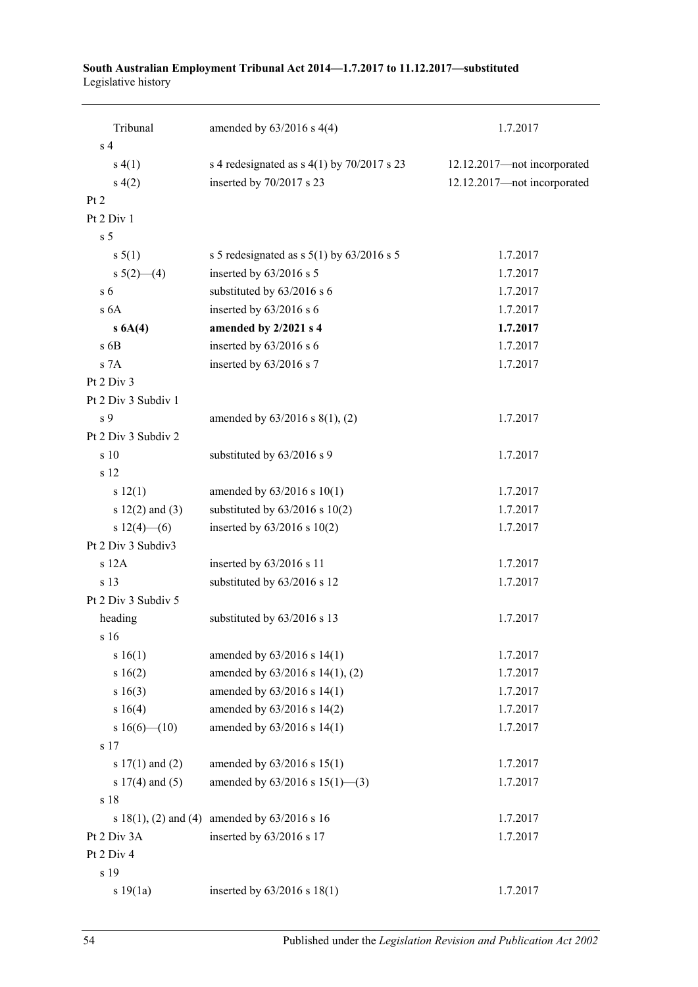#### **South Australian Employment Tribunal Act 2014—1.7.2017 to 11.12.2017—substituted** Legislative history

| Tribunal                | amended by $63/2016$ s 4(4)                   | 1.7.2017                    |
|-------------------------|-----------------------------------------------|-----------------------------|
| s <sub>4</sub>          |                                               |                             |
| s(4(1))                 | s 4 redesignated as $s$ 4(1) by 70/2017 s 23  | 12.12.2017-not incorporated |
| s(4(2)                  | inserted by 70/2017 s 23                      | 12.12.2017-not incorporated |
| Pt 2                    |                                               |                             |
| Pt 2 Div 1              |                                               |                             |
| s <sub>5</sub>          |                                               |                             |
| $s \, 5(1)$             | s 5 redesignated as s $5(1)$ by $63/2016$ s 5 | 1.7.2017                    |
| s $5(2)$ —(4)           | inserted by 63/2016 s 5                       | 1.7.2017                    |
| s <sub>6</sub>          | substituted by 63/2016 s 6                    | 1.7.2017                    |
| s <sub>6A</sub>         | inserted by 63/2016 s 6                       | 1.7.2017                    |
| $s\ 6A(4)$              | amended by 2/2021 s 4                         | 1.7.2017                    |
| $s$ 6B                  | inserted by 63/2016 s 6                       | 1.7.2017                    |
| s 7A                    | inserted by 63/2016 s 7                       | 1.7.2017                    |
| Pt 2 Div 3              |                                               |                             |
| Pt 2 Div 3 Subdiv 1     |                                               |                             |
| s <sub>9</sub>          | amended by $63/2016$ s $8(1)$ , (2)           | 1.7.2017                    |
| Pt 2 Div 3 Subdiv 2     |                                               |                             |
| $\sin 10$               | substituted by 63/2016 s 9                    | 1.7.2017                    |
| s 12                    |                                               |                             |
| s 12(1)                 | amended by $63/2016$ s $10(1)$                | 1.7.2017                    |
| s $12(2)$ and $(3)$     | substituted by $63/2016$ s $10(2)$            | 1.7.2017                    |
| s $12(4)$ - (6)         | inserted by $63/2016$ s $10(2)$               | 1.7.2017                    |
| Pt 2 Div 3 Subdiv3      |                                               |                             |
| s 12A                   | inserted by 63/2016 s 11                      | 1.7.2017                    |
| s 13                    | substituted by 63/2016 s 12                   | 1.7.2017                    |
| Pt 2 Div 3 Subdiv 5     |                                               |                             |
| heading                 | substituted by 63/2016 s 13                   | 1.7.2017                    |
| s <sub>16</sub>         |                                               |                             |
| s 16(1)                 | amended by 63/2016 s 14(1)                    | 1.7.2017                    |
| s 16(2)                 | amended by 63/2016 s 14(1), (2)               | 1.7.2017                    |
| s 16(3)                 | amended by 63/2016 s 14(1)                    | 1.7.2017                    |
| s 16(4)                 | amended by 63/2016 s 14(2)                    | 1.7.2017                    |
| s $16(6)$ (10)          | amended by 63/2016 s 14(1)                    | 1.7.2017                    |
| s 17                    |                                               |                             |
| s $17(1)$ and $(2)$     | amended by 63/2016 s 15(1)                    | 1.7.2017                    |
| s $17(4)$ and $(5)$     | amended by $63/2016$ s $15(1)$ —(3)           | 1.7.2017                    |
| s 18                    |                                               |                             |
| s $18(1)$ , (2) and (4) | amended by 63/2016 s 16                       | 1.7.2017                    |
| Pt 2 Div 3A             | inserted by 63/2016 s 17                      | 1.7.2017                    |
| Pt 2 Div 4              |                                               |                             |
| s 19                    |                                               |                             |
| s 19(1a)                | inserted by 63/2016 s 18(1)                   | 1.7.2017                    |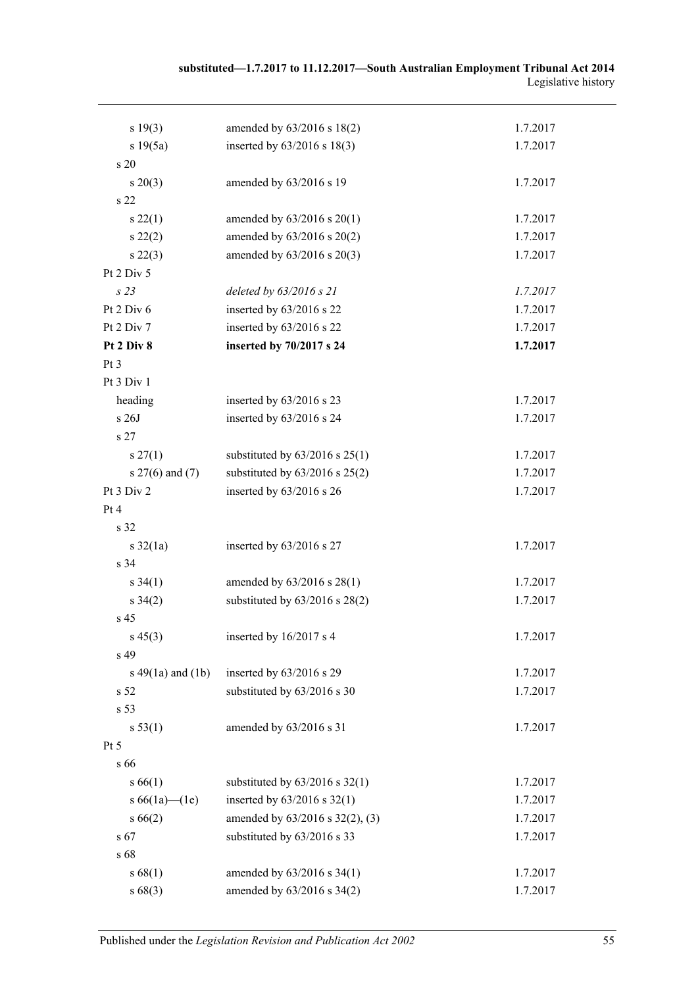| substituted—1.7.2017 to 11.12.2017—South Australian Employment Tribunal Act 2014 |                     |
|----------------------------------------------------------------------------------|---------------------|
|                                                                                  | Legislative history |

| s 19(3)               | amended by 63/2016 s 18(2)         | 1.7.2017 |
|-----------------------|------------------------------------|----------|
| s 19(5a)              | inserted by 63/2016 s 18(3)        | 1.7.2017 |
| s 20                  |                                    |          |
| $s \ 20(3)$           | amended by 63/2016 s 19            | 1.7.2017 |
| s 22                  |                                    |          |
| $s\,22(1)$            | amended by $63/2016$ s $20(1)$     | 1.7.2017 |
| $s\ 22(2)$            | amended by 63/2016 s 20(2)         | 1.7.2017 |
| $s\,22(3)$            | amended by 63/2016 s 20(3)         | 1.7.2017 |
| Pt 2 Div 5            |                                    |          |
| s23                   | deleted by 63/2016 s 21            | 1.7.2017 |
| Pt 2 Div 6            | inserted by 63/2016 s 22           | 1.7.2017 |
| Pt 2 Div 7            | inserted by 63/2016 s 22           | 1.7.2017 |
| Pt 2 Div 8            | inserted by 70/2017 s 24           | 1.7.2017 |
| Pt 3                  |                                    |          |
| Pt 3 Div 1            |                                    |          |
| heading               | inserted by 63/2016 s 23           | 1.7.2017 |
| s 26J                 | inserted by 63/2016 s 24           | 1.7.2017 |
| s <sub>27</sub>       |                                    |          |
| $s \, 27(1)$          | substituted by $63/2016$ s $25(1)$ | 1.7.2017 |
| s 27(6) and (7)       | substituted by $63/2016$ s $25(2)$ | 1.7.2017 |
| Pt 3 Div 2            | inserted by 63/2016 s 26           | 1.7.2017 |
| Pt 4                  |                                    |          |
| s 32                  |                                    |          |
| $s \frac{32}{1a}$     | inserted by 63/2016 s 27           | 1.7.2017 |
| s 34                  |                                    |          |
| $s \, 34(1)$          | amended by 63/2016 s 28(1)         | 1.7.2017 |
| $s \, 34(2)$          | substituted by $63/2016$ s $28(2)$ | 1.7.2017 |
| s 45                  |                                    |          |
| $s\,45(3)$            | inserted by 16/2017 s 4            | 1.7.2017 |
| s 49                  |                                    |          |
| s $49(1a)$ and $(1b)$ | inserted by 63/2016 s 29           | 1.7.2017 |
| s 52                  | substituted by 63/2016 s 30        | 1.7.2017 |
| s 53                  |                                    |          |
| s 53(1)               | amended by 63/2016 s 31            | 1.7.2017 |
| Pt 5                  |                                    |          |
| s 66                  |                                    |          |
| s 66(1)               | substituted by $63/2016$ s $32(1)$ | 1.7.2017 |
| s $66(1a)$ (1e)       | inserted by $63/2016$ s $32(1)$    | 1.7.2017 |
| $s\,66(2)$            | amended by 63/2016 s 32(2), (3)    | 1.7.2017 |
| $s\,67$               | substituted by 63/2016 s 33        | 1.7.2017 |
| s 68                  |                                    |          |
| s 68(1)               | amended by $63/2016$ s $34(1)$     | 1.7.2017 |
| s68(3)                | amended by 63/2016 s 34(2)         | 1.7.2017 |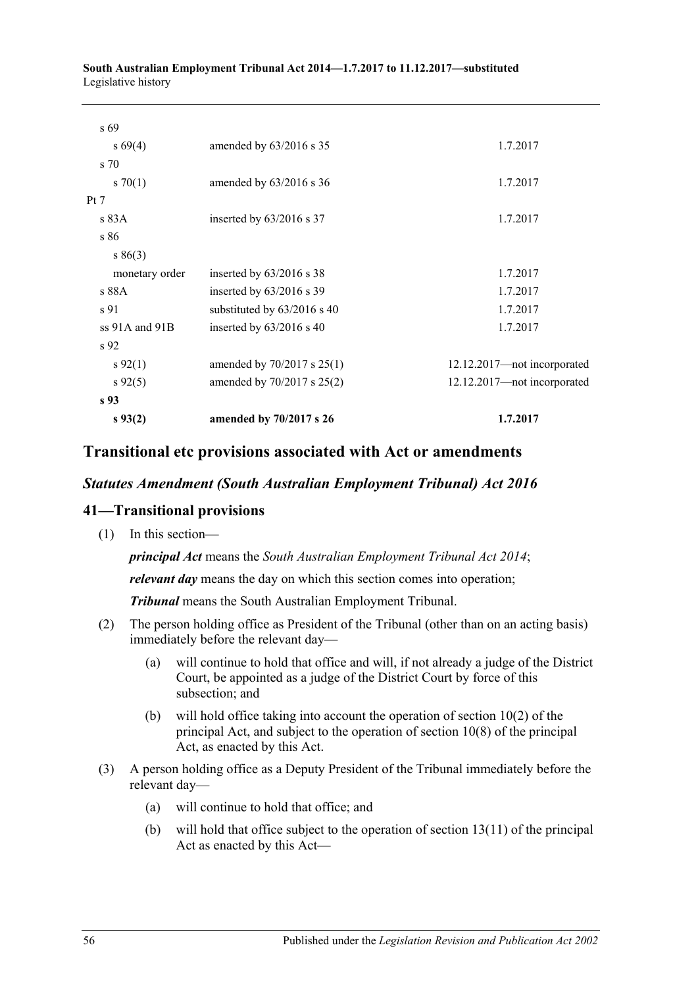#### **South Australian Employment Tribunal Act 2014—1.7.2017 to 11.12.2017—substituted** Legislative history

| $s\,93(2)$       | amended by 70/2017 s 26     | 1.7.2017                    |
|------------------|-----------------------------|-----------------------------|
| s <sub>93</sub>  |                             |                             |
| $s\,92(5)$       | amended by 70/2017 s 25(2)  | 12.12.2017-not incorporated |
| $s\,92(1)$       | amended by 70/2017 s 25(1)  | 12.12.2017-not incorporated |
| s 92             |                             |                             |
| $ss$ 91A and 91B | inserted by $63/2016$ s 40  | 1.7.2017                    |
| s 91             | substituted by 63/2016 s 40 | 1.7.2017                    |
| s 88A            | inserted by $63/2016$ s 39  | 1.7.2017                    |
| monetary order   | inserted by $63/2016$ s 38  | 1.7.2017                    |
| s 86(3)          |                             |                             |
| s 86             |                             |                             |
| Pt 7<br>s 83A    | inserted by $63/2016$ s 37  | 1.7.2017                    |
| 570(1)           | amended by $63/2016$ s 36   | 1.7.2017                    |
| s 70             |                             |                             |
| $s\,69(4)$       | amended by 63/2016 s 35     | 1.7.2017                    |
| s 69             |                             |                             |
|                  |                             |                             |

# **Transitional etc provisions associated with Act or amendments**

# *Statutes Amendment (South Australian Employment Tribunal) Act 2016*

# **41—Transitional provisions**

(1) In this section—

*principal Act* means the *[South Australian Employment Tribunal Act](http://www.legislation.sa.gov.au/index.aspx?action=legref&type=act&legtitle=South%20Australian%20Employment%20Tribunal%20Act%202014) 2014*;

*relevant day* means the day on which this section comes into operation;

*Tribunal* means the South Australian Employment Tribunal.

- (2) The person holding office as President of the Tribunal (other than on an acting basis) immediately before the relevant day—
	- (a) will continue to hold that office and will, if not already a judge of the District Court, be appointed as a judge of the District Court by force of this subsection; and
	- (b) will hold office taking into account the operation of section 10(2) of the principal Act, and subject to the operation of section 10(8) of the principal Act, as enacted by this Act.
- (3) A person holding office as a Deputy President of the Tribunal immediately before the relevant day—
	- (a) will continue to hold that office; and
	- (b) will hold that office subject to the operation of section 13(11) of the principal Act as enacted by this Act—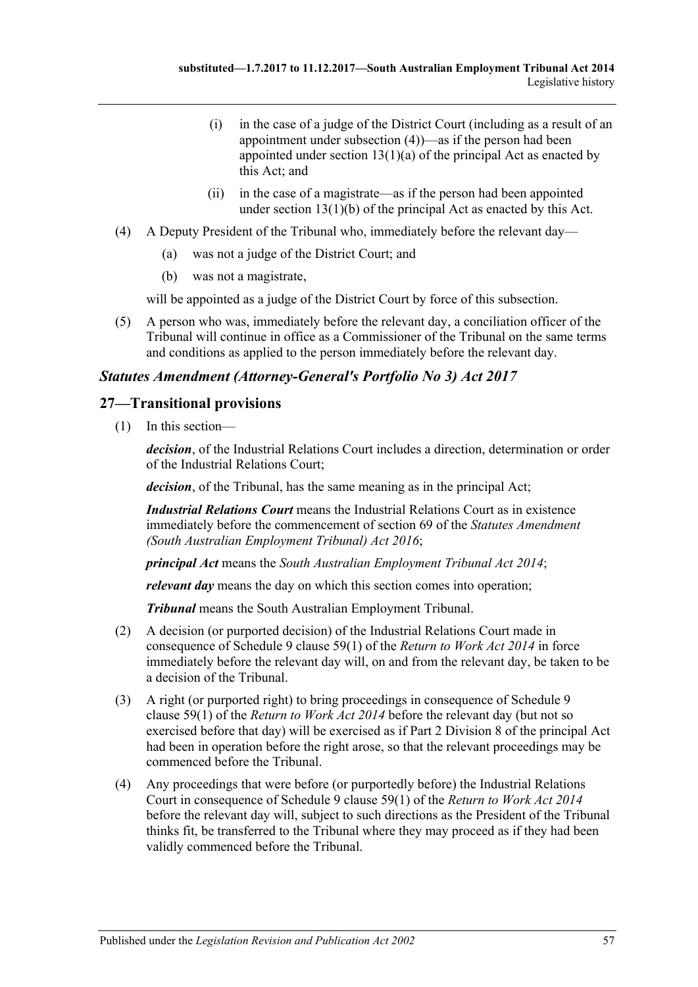- (i) in the case of a judge of the District Court (including as a result of an appointment under [subsection](#page-56-0) (4))—as if the person had been appointed under section  $13(1)(a)$  of the principal Act as enacted by this Act; and
- (ii) in the case of a magistrate—as if the person had been appointed under section 13(1)(b) of the principal Act as enacted by this Act.
- <span id="page-56-0"></span>(4) A Deputy President of the Tribunal who, immediately before the relevant day—
	- (a) was not a judge of the District Court; and
	- (b) was not a magistrate,

will be appointed as a judge of the District Court by force of this subsection.

(5) A person who was, immediately before the relevant day, a conciliation officer of the Tribunal will continue in office as a Commissioner of the Tribunal on the same terms and conditions as applied to the person immediately before the relevant day.

# *Statutes Amendment (Attorney-General's Portfolio No 3) Act 2017*

# **27—Transitional provisions**

(1) In this section—

*decision*, of the Industrial Relations Court includes a direction, determination or order of the Industrial Relations Court;

*decision*, of the Tribunal, has the same meaning as in the principal Act;

*Industrial Relations Court* means the Industrial Relations Court as in existence immediately before the commencement of section 69 of the *[Statutes Amendment](http://www.legislation.sa.gov.au/index.aspx?action=legref&type=act&legtitle=Statutes%20Amendment%20(South%20Australian%20Employment%20Tribunal)%20Act%202016)  [\(South Australian Employment Tribunal\) Act](http://www.legislation.sa.gov.au/index.aspx?action=legref&type=act&legtitle=Statutes%20Amendment%20(South%20Australian%20Employment%20Tribunal)%20Act%202016) 2016*;

*principal Act* means the *[South Australian Employment Tribunal Act](http://www.legislation.sa.gov.au/index.aspx?action=legref&type=act&legtitle=South%20Australian%20Employment%20Tribunal%20Act%202014) 2014*;

*relevant day* means the day on which this section comes into operation;

*Tribunal* means the South Australian Employment Tribunal.

- (2) A decision (or purported decision) of the Industrial Relations Court made in consequence of Schedule 9 clause 59(1) of the *[Return to Work Act](http://www.legislation.sa.gov.au/index.aspx?action=legref&type=act&legtitle=Return%20to%20Work%20Act%202014) 2014* in force immediately before the relevant day will, on and from the relevant day, be taken to be a decision of the Tribunal.
- (3) A right (or purported right) to bring proceedings in consequence of Schedule 9 clause 59(1) of the *[Return to Work Act](http://www.legislation.sa.gov.au/index.aspx?action=legref&type=act&legtitle=Return%20to%20Work%20Act%202014) 2014* before the relevant day (but not so exercised before that day) will be exercised as if Part 2 Division 8 of the principal Act had been in operation before the right arose, so that the relevant proceedings may be commenced before the Tribunal.
- (4) Any proceedings that were before (or purportedly before) the Industrial Relations Court in consequence of Schedule 9 clause 59(1) of the *[Return to Work Act 2014](http://www.legislation.sa.gov.au/index.aspx?action=legref&type=act&legtitle=Return%20to%20Work%20Act%202014)* before the relevant day will, subject to such directions as the President of the Tribunal thinks fit, be transferred to the Tribunal where they may proceed as if they had been validly commenced before the Tribunal.